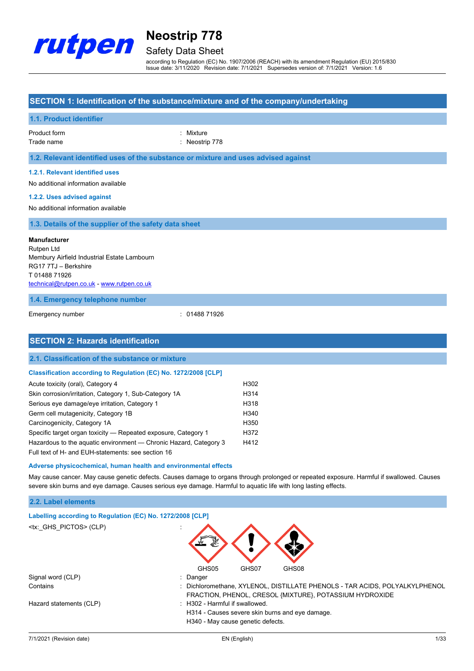

## Safety Data Sheet

according to Regulation (EC) No. 1907/2006 (REACH) with its amendment Regulation (EU) 2015/830 Issue date: 3/11/2020 Revision date: 7/1/2021 Supersedes version of: 7/1/2021 Version: 1.6

### **SECTION 1: Identification of the substance/mixture and of the company/undertaking**

| 1.1. Product identifier                                                                                                                                                                                                                                                                                                                                                                                          |                                                      |
|------------------------------------------------------------------------------------------------------------------------------------------------------------------------------------------------------------------------------------------------------------------------------------------------------------------------------------------------------------------------------------------------------------------|------------------------------------------------------|
| Product form<br>Trade name                                                                                                                                                                                                                                                                                                                                                                                       | Mixture<br>Neostrip 778                              |
| 1.2. Relevant identified uses of the substance or mixture and uses advised against                                                                                                                                                                                                                                                                                                                               |                                                      |
| 1.2.1. Relevant identified uses<br>No additional information available<br>1.2.2. Uses advised against<br>No additional information available                                                                                                                                                                                                                                                                     |                                                      |
| 1.3. Details of the supplier of the safety data sheet                                                                                                                                                                                                                                                                                                                                                            |                                                      |
| <b>Manufacturer</b><br>Rutpen Ltd<br>Membury Airfield Industrial Estate Lambourn<br>RG17 7TJ - Berkshire<br>T0148871926<br>technical@rutpen.co.uk - www.rutpen.co.uk                                                                                                                                                                                                                                             |                                                      |
| 1.4. Emergency telephone number                                                                                                                                                                                                                                                                                                                                                                                  |                                                      |
| Emergency number                                                                                                                                                                                                                                                                                                                                                                                                 | : 0148871926                                         |
| <b>SECTION 2: Hazards identification</b>                                                                                                                                                                                                                                                                                                                                                                         |                                                      |
| 2.1. Classification of the substance or mixture                                                                                                                                                                                                                                                                                                                                                                  |                                                      |
| Classification according to Regulation (EC) No. 1272/2008 [CLP]                                                                                                                                                                                                                                                                                                                                                  |                                                      |
| Acute toxicity (oral), Category 4<br>Skin corrosion/irritation, Category 1, Sub-Category 1A<br>Serious eye damage/eye irritation, Category 1<br>Germ cell mutagenicity, Category 1B<br>Carcinogenicity, Category 1A<br>Specific target organ toxicity - Repeated exposure, Category 1<br>Hazardous to the aquatic environment - Chronic Hazard, Category 3<br>Full text of H- and EUH-statements: see section 16 | H302<br>H314<br>H318<br>H340<br>H350<br>H372<br>H412 |

#### **Adverse physicochemical, human health and environmental effects**

May cause cancer. May cause genetic defects. Causes damage to organs through prolonged or repeated exposure. Harmful if swallowed. Causes severe skin burns and eye damage. Causes serious eye damage. Harmful to aquatic life with long lasting effects.

#### **2.2. Label elements**

| Labelling according to Regulation (EC) No. 1272/2008 [CLP] |                                                                                                                                        |
|------------------------------------------------------------|----------------------------------------------------------------------------------------------------------------------------------------|
| <tx: ghs="" pictos=""> (CLP)</tx:>                         |                                                                                                                                        |
|                                                            | GHS05<br>GHS07<br>GHS08                                                                                                                |
| Signal word (CLP)                                          | $\therefore$ Danger                                                                                                                    |
| Contains                                                   | : Dichloromethane, XYLENOL, DISTILLATE PHENOLS - TAR ACIDS, POLYALKYLPHENOL<br>FRACTION, PHENOL, CRESOL {MIXTURE}, POTASSIUM HYDROXIDE |
| Hazard statements (CLP)                                    | : H302 - Harmful if swallowed.                                                                                                         |
|                                                            | H314 - Causes severe skin burns and eye damage.                                                                                        |
|                                                            | H340 - May cause genetic defects.                                                                                                      |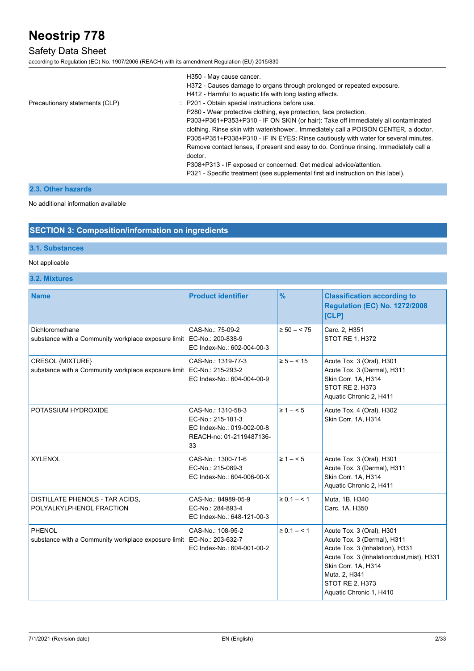### Safety Data Sheet

according to Regulation (EC) No. 1907/2006 (REACH) with its amendment Regulation (EU) 2015/830

|                                | H350 - May cause cancer.<br>H372 - Causes damage to organs through prolonged or repeated exposure.<br>H412 - Harmful to aquatic life with long lasting effects.                                                                                                                                                                                         |
|--------------------------------|---------------------------------------------------------------------------------------------------------------------------------------------------------------------------------------------------------------------------------------------------------------------------------------------------------------------------------------------------------|
| Precautionary statements (CLP) | : P201 - Obtain special instructions before use.                                                                                                                                                                                                                                                                                                        |
|                                | P280 - Wear protective clothing, eye protection, face protection.                                                                                                                                                                                                                                                                                       |
|                                | P303+P361+P353+P310 - IF ON SKIN (or hair): Take off immediately all contaminated<br>clothing. Rinse skin with water/shower Immediately call a POISON CENTER, a doctor.<br>P305+P351+P338+P310 - IF IN EYES: Rinse cautiously with water for several minutes.<br>Remove contact lenses, if present and easy to do. Continue rinsing. Immediately call a |
|                                | doctor.                                                                                                                                                                                                                                                                                                                                                 |
|                                | P308+P313 - IF exposed or concerned: Get medical advice/attention.                                                                                                                                                                                                                                                                                      |
|                                | P321 - Specific treatment (see supplemental first aid instruction on this label).                                                                                                                                                                                                                                                                       |

### **2.3. Other hazards**

No additional information available

### **SECTION 3: Composition/information on ingredients**

### **3.1. Substances**

#### Not applicable

### **3.2. Mixtures**

| <b>Name</b>                                                             | <b>Product identifier</b>                                                                               | $\frac{9}{6}$   | <b>Classification according to</b><br><b>Regulation (EC) No. 1272/2008</b><br>[CLP]                                                                                                                                                     |
|-------------------------------------------------------------------------|---------------------------------------------------------------------------------------------------------|-----------------|-----------------------------------------------------------------------------------------------------------------------------------------------------------------------------------------------------------------------------------------|
| Dichloromethane<br>substance with a Community workplace exposure limit  | CAS-No.: 75-09-2<br>EC-No.: 200-838-9<br>EC Index-No.: 602-004-00-3                                     | $\ge 50 - 575$  | Carc. 2, H351<br><b>STOT RE 1, H372</b>                                                                                                                                                                                                 |
| CRESOL {MIXTURE}<br>substance with a Community workplace exposure limit | CAS-No.: 1319-77-3<br>EC-No.: 215-293-2<br>EC Index-No.: 604-004-00-9                                   | $\ge 5 - < 15$  | Acute Tox. 3 (Oral), H301<br>Acute Tox. 3 (Dermal), H311<br>Skin Corr. 1A, H314<br><b>STOT RE 2, H373</b><br>Aquatic Chronic 2, H411                                                                                                    |
| POTASSIUM HYDROXIDE                                                     | CAS-No.: 1310-58-3<br>EC-No.: 215-181-3<br>EC Index-No.: 019-002-00-8<br>REACH-no: 01-2119487136-<br>33 | $\geq 1 - 5$    | Acute Tox. 4 (Oral), H302<br>Skin Corr. 1A, H314                                                                                                                                                                                        |
| <b>XYLENOL</b>                                                          | CAS-No.: 1300-71-6<br>EC-No.: 215-089-3<br>EC Index-No.: 604-006-00-X                                   | $\geq 1 - 5$    | Acute Tox. 3 (Oral), H301<br>Acute Tox. 3 (Dermal), H311<br>Skin Corr. 1A. H314<br>Aquatic Chronic 2, H411                                                                                                                              |
| DISTILLATE PHENOLS - TAR ACIDS,<br>POLYALKYLPHENOL FRACTION             | CAS-No.: 84989-05-9<br>EC-No.: 284-893-4<br>EC Index-No.: 648-121-00-3                                  | $\ge 0.1 - 5.1$ | Muta. 1B, H340<br>Carc. 1A, H350                                                                                                                                                                                                        |
| PHENOL<br>substance with a Community workplace exposure limit           | CAS-No.: 108-95-2<br>EC-No.: 203-632-7<br>EC Index-No.: 604-001-00-2                                    | $\ge 0.1 - 1.1$ | Acute Tox. 3 (Oral), H301<br>Acute Tox. 3 (Dermal), H311<br>Acute Tox. 3 (Inhalation), H331<br>Acute Tox. 3 (Inhalation: dust, mist), H331<br>Skin Corr. 1A, H314<br>Muta. 2, H341<br><b>STOT RE 2, H373</b><br>Aquatic Chronic 1, H410 |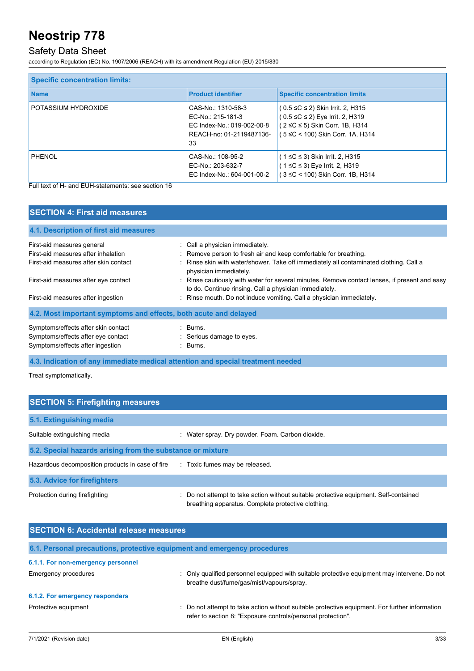## Safety Data Sheet

according to Regulation (EC) No. 1907/2006 (REACH) with its amendment Regulation (EU) 2015/830

| <b>Specific concentration limits:</b> |                                                                                                         |                                                                                                                                                 |  |
|---------------------------------------|---------------------------------------------------------------------------------------------------------|-------------------------------------------------------------------------------------------------------------------------------------------------|--|
| <b>Name</b>                           | <b>Product identifier</b>                                                                               | <b>Specific concentration limits</b>                                                                                                            |  |
| POTASSIUM HYDROXIDE                   | CAS-No.: 1310-58-3<br>EC-No.: 215-181-3<br>EC Index-No.: 019-002-00-8<br>REACH-no: 01-2119487136-<br>33 | $(0.5 ≤ C ≤ 2)$ Skin Irrit. 2, H315<br>$(0.5 ≤ C ≤ 2)$ Eye Irrit. 2, H319<br>(2 ≤C ≤ 5) Skin Corr. 1B, H314<br>(5 ≤C < 100) Skin Corr. 1A, H314 |  |
| PHENOL                                | CAS-No.: 108-95-2<br>EC-No.: 203-632-7<br>EC Index-No.: 604-001-00-2                                    | ( 1 ≤C ≤ 3) Skin Irrit. 2, H315<br>( 1 ≤C ≤ 3) Eye Irrit. 2, H319<br>(3 ≤C < 100) Skin Corr. 1B, H314                                           |  |

Full text of H- and EUH-statements: see section 16

| <b>SECTION 4: First aid measures</b>                                            |                                                                                                                                                         |  |
|---------------------------------------------------------------------------------|---------------------------------------------------------------------------------------------------------------------------------------------------------|--|
| 4.1. Description of first aid measures                                          |                                                                                                                                                         |  |
| First-aid measures general                                                      | : Call a physician immediately.                                                                                                                         |  |
| First-aid measures after inhalation                                             | : Remove person to fresh air and keep comfortable for breathing.                                                                                        |  |
| First-aid measures after skin contact                                           | : Rinse skin with water/shower. Take off immediately all contaminated clothing. Call a<br>physician immediately.                                        |  |
| First-aid measures after eye contact                                            | : Rinse cautiously with water for several minutes. Remove contact lenses, if present and easy<br>to do. Continue rinsing. Call a physician immediately. |  |
| First-aid measures after ingestion                                              | : Rinse mouth. Do not induce vomiting. Call a physician immediately.                                                                                    |  |
| 4.2. Most important symptoms and effects, both acute and delayed                |                                                                                                                                                         |  |
| Symptoms/effects after skin contact                                             | : Burns.                                                                                                                                                |  |
| Symptoms/effects after eye contact                                              | : Serious damage to eyes.                                                                                                                               |  |
| Symptoms/effects after ingestion                                                | $\therefore$ Burns.                                                                                                                                     |  |
| 4.3. Indication of any immediate medical attention and special treatment needed |                                                                                                                                                         |  |

Treat symptomatically.

| <b>SECTION 5: Firefighting measures</b>                    |                                                                                                                                             |  |  |
|------------------------------------------------------------|---------------------------------------------------------------------------------------------------------------------------------------------|--|--|
| 5.1. Extinguishing media                                   |                                                                                                                                             |  |  |
| Suitable extinguishing media                               | : Water spray. Dry powder. Foam. Carbon dioxide.                                                                                            |  |  |
| 5.2. Special hazards arising from the substance or mixture |                                                                                                                                             |  |  |
| Hazardous decomposition products in case of fire           | : Toxic fumes may be released.                                                                                                              |  |  |
| 5.3. Advice for firefighters                               |                                                                                                                                             |  |  |
| Protection during firefighting                             | : Do not attempt to take action without suitable protective equipment. Self-contained<br>breathing apparatus. Complete protective clothing. |  |  |

| <b>SECTION 6: Accidental release measures</b> |                                                                                                                                                                |  |
|-----------------------------------------------|----------------------------------------------------------------------------------------------------------------------------------------------------------------|--|
|                                               | 6.1. Personal precautions, protective equipment and emergency procedures                                                                                       |  |
| 6.1.1. For non-emergency personnel            |                                                                                                                                                                |  |
| <b>Emergency procedures</b>                   | : Only qualified personnel equipped with suitable protective equipment may intervene. Do not<br>breathe dust/fume/gas/mist/vapours/spray.                      |  |
| 6.1.2. For emergency responders               |                                                                                                                                                                |  |
| Protective equipment                          | : Do not attempt to take action without suitable protective equipment. For further information<br>refer to section 8: "Exposure controls/personal protection". |  |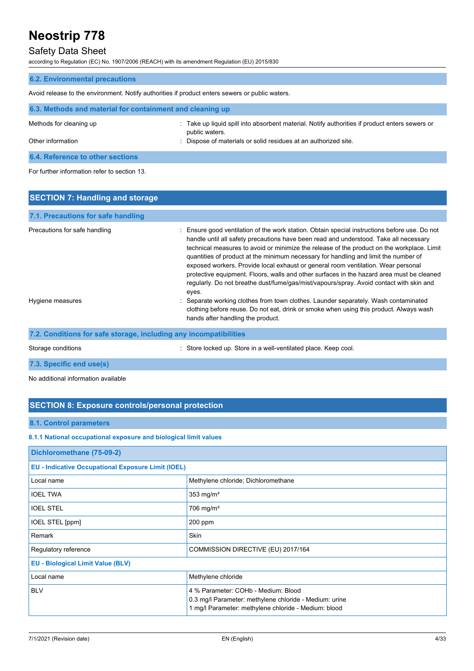### Safety Data Sheet

according to Regulation (EC) No. 1907/2006 (REACH) with its amendment Regulation (EU) 2015/830

| <b>6.2. Environmental precautions</b>                                                           |                                                                                                                  |  |
|-------------------------------------------------------------------------------------------------|------------------------------------------------------------------------------------------------------------------|--|
| Avoid release to the environment. Notify authorities if product enters sewers or public waters. |                                                                                                                  |  |
| 6.3. Methods and material for containment and cleaning up                                       |                                                                                                                  |  |
| Methods for cleaning up                                                                         | : Take up liquid spill into absorbent material. Notify authorities if product enters sewers or<br>public waters. |  |
| Other information                                                                               | : Dispose of materials or solid residues at an authorized site.                                                  |  |
| 6.4. Reference to other sections                                                                |                                                                                                                  |  |

For further information refer to section 13.

| <b>SECTION 7: Handling and storage</b>                            |                                                                                                                                                                                                                                                                                                                                                                                                                                                                                                                                                                                                                                                                   |  |
|-------------------------------------------------------------------|-------------------------------------------------------------------------------------------------------------------------------------------------------------------------------------------------------------------------------------------------------------------------------------------------------------------------------------------------------------------------------------------------------------------------------------------------------------------------------------------------------------------------------------------------------------------------------------------------------------------------------------------------------------------|--|
| 7.1. Precautions for safe handling                                |                                                                                                                                                                                                                                                                                                                                                                                                                                                                                                                                                                                                                                                                   |  |
| Precautions for safe handling                                     | : Ensure good ventilation of the work station. Obtain special instructions before use. Do not<br>handle until all safety precautions have been read and understood. Take all necessary<br>technical measures to avoid or minimize the release of the product on the workplace. Limit<br>quantities of product at the minimum necessary for handling and limit the number of<br>exposed workers. Provide local exhaust or general room ventilation. Wear personal<br>protective equipment. Floors, walls and other surfaces in the hazard area must be cleaned<br>regularly. Do not breathe dust/fume/gas/mist/vapours/spray. Avoid contact with skin and<br>eyes. |  |
| Hygiene measures                                                  | Separate working clothes from town clothes. Launder separately. Wash contaminated<br>clothing before reuse. Do not eat, drink or smoke when using this product. Always wash<br>hands after handling the product.                                                                                                                                                                                                                                                                                                                                                                                                                                                  |  |
| 7.2. Conditions for safe storage, including any incompatibilities |                                                                                                                                                                                                                                                                                                                                                                                                                                                                                                                                                                                                                                                                   |  |
| Storage conditions                                                | : Store locked up. Store in a well-ventilated place. Keep cool.                                                                                                                                                                                                                                                                                                                                                                                                                                                                                                                                                                                                   |  |

**7.3. Specific end use(s)**

No additional information available

### **SECTION 8: Exposure controls/personal protection**

#### **8.1. Control parameters**

#### **8.1.1 National occupational exposure and biological limit values**

| Dichloromethane (75-09-2)                                 |                                                                                                                                                       |  |
|-----------------------------------------------------------|-------------------------------------------------------------------------------------------------------------------------------------------------------|--|
| <b>EU - Indicative Occupational Exposure Limit (IOEL)</b> |                                                                                                                                                       |  |
| Local name                                                | Methylene chloride; Dichloromethane                                                                                                                   |  |
| <b>IOEL TWA</b>                                           | 353 mg/m <sup>3</sup>                                                                                                                                 |  |
| <b>IOEL STEL</b>                                          | $706$ mg/m <sup>3</sup>                                                                                                                               |  |
| <b>IOEL STEL [ppm]</b>                                    | $200$ ppm                                                                                                                                             |  |
| Remark                                                    | Skin                                                                                                                                                  |  |
| Regulatory reference                                      | COMMISSION DIRECTIVE (EU) 2017/164                                                                                                                    |  |
| <b>EU - Biological Limit Value (BLV)</b>                  |                                                                                                                                                       |  |
| Local name                                                | Methylene chloride                                                                                                                                    |  |
| <b>BLV</b>                                                | 4 % Parameter: COHb - Medium: Blood<br>0.3 mg/l Parameter: methylene chloride - Medium: urine<br>1 mg/l Parameter: methylene chloride - Medium: blood |  |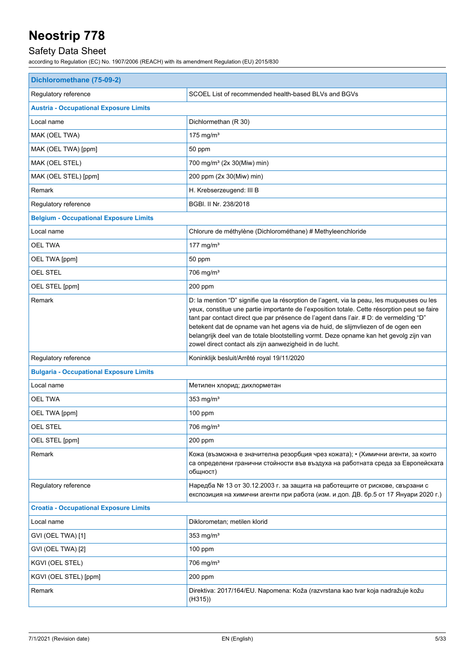## Safety Data Sheet

| Dichloromethane (75-09-2)                      |                                                                                                                                                                                                                                                                                                                                                                                                                                                                                                                               |  |
|------------------------------------------------|-------------------------------------------------------------------------------------------------------------------------------------------------------------------------------------------------------------------------------------------------------------------------------------------------------------------------------------------------------------------------------------------------------------------------------------------------------------------------------------------------------------------------------|--|
| Regulatory reference                           | SCOEL List of recommended health-based BLVs and BGVs                                                                                                                                                                                                                                                                                                                                                                                                                                                                          |  |
| <b>Austria - Occupational Exposure Limits</b>  |                                                                                                                                                                                                                                                                                                                                                                                                                                                                                                                               |  |
| Local name                                     | Dichlormethan (R 30)                                                                                                                                                                                                                                                                                                                                                                                                                                                                                                          |  |
| MAK (OEL TWA)                                  | 175 mg/m $3$                                                                                                                                                                                                                                                                                                                                                                                                                                                                                                                  |  |
| MAK (OEL TWA) [ppm]                            | 50 ppm                                                                                                                                                                                                                                                                                                                                                                                                                                                                                                                        |  |
| MAK (OEL STEL)                                 | 700 mg/m <sup>3</sup> (2x 30(Miw) min)                                                                                                                                                                                                                                                                                                                                                                                                                                                                                        |  |
| MAK (OEL STEL) [ppm]                           | 200 ppm (2x 30(Miw) min)                                                                                                                                                                                                                                                                                                                                                                                                                                                                                                      |  |
| Remark                                         | H. Krebserzeugend: III B                                                                                                                                                                                                                                                                                                                                                                                                                                                                                                      |  |
| Regulatory reference                           | BGBI. II Nr. 238/2018                                                                                                                                                                                                                                                                                                                                                                                                                                                                                                         |  |
| <b>Belgium - Occupational Exposure Limits</b>  |                                                                                                                                                                                                                                                                                                                                                                                                                                                                                                                               |  |
| Local name                                     | Chlorure de méthylène (Dichlorométhane) # Methyleenchloride                                                                                                                                                                                                                                                                                                                                                                                                                                                                   |  |
| <b>OEL TWA</b>                                 | 177 mg/m $3$                                                                                                                                                                                                                                                                                                                                                                                                                                                                                                                  |  |
| OEL TWA [ppm]                                  | 50 ppm                                                                                                                                                                                                                                                                                                                                                                                                                                                                                                                        |  |
| <b>OEL STEL</b>                                | $706$ mg/m <sup>3</sup>                                                                                                                                                                                                                                                                                                                                                                                                                                                                                                       |  |
| OEL STEL [ppm]                                 | 200 ppm                                                                                                                                                                                                                                                                                                                                                                                                                                                                                                                       |  |
| Remark                                         | D: la mention "D" signifie que la résorption de l'agent, via la peau, les muqueuses ou les<br>yeux, constitue une partie importante de l'exposition totale. Cette résorption peut se faire<br>tant par contact direct que par présence de l'agent dans l'air. # D: de vermelding "D"<br>betekent dat de opname van het agens via de huid, de slijmvliezen of de ogen een<br>belangrijk deel van de totale blootstelling vormt. Deze opname kan het gevolg zijn van<br>zowel direct contact als zijn aanwezigheid in de lucht. |  |
| Regulatory reference                           | Koninklijk besluit/Arrêté royal 19/11/2020                                                                                                                                                                                                                                                                                                                                                                                                                                                                                    |  |
| <b>Bulgaria - Occupational Exposure Limits</b> |                                                                                                                                                                                                                                                                                                                                                                                                                                                                                                                               |  |
| Local name                                     | Метилен хлорид; дихлорметан                                                                                                                                                                                                                                                                                                                                                                                                                                                                                                   |  |
| <b>OEL TWA</b>                                 | 353 mg/ $m3$                                                                                                                                                                                                                                                                                                                                                                                                                                                                                                                  |  |
| OEL TWA [ppm]                                  | 100 ppm                                                                                                                                                                                                                                                                                                                                                                                                                                                                                                                       |  |
| OEL STEL                                       | $706 \text{ mg/m}^3$                                                                                                                                                                                                                                                                                                                                                                                                                                                                                                          |  |
| OEL STEL [ppm]                                 | 200 ppm                                                                                                                                                                                                                                                                                                                                                                                                                                                                                                                       |  |
| Remark                                         | Кожа (възможна е значителна резорбция чрез кожата); • (Химични агенти, за които<br>са определени гранични стойности във въздуха на работната среда за Европейската<br>общност)                                                                                                                                                                                                                                                                                                                                                |  |
| Regulatory reference                           | Наредба № 13 от 30.12.2003 г. за защита на работещите от рискове, свързани с<br>експозиция на химични агенти при работа (изм. и доп. ДВ. бр.5 от 17 Януари 2020 г.)                                                                                                                                                                                                                                                                                                                                                           |  |
| <b>Croatia - Occupational Exposure Limits</b>  |                                                                                                                                                                                                                                                                                                                                                                                                                                                                                                                               |  |
| Local name                                     | Diklorometan; metilen klorid                                                                                                                                                                                                                                                                                                                                                                                                                                                                                                  |  |
| GVI (OEL TWA) [1]                              | 353 mg/ $m3$                                                                                                                                                                                                                                                                                                                                                                                                                                                                                                                  |  |
| GVI (OEL TWA) [2]                              | $100$ ppm                                                                                                                                                                                                                                                                                                                                                                                                                                                                                                                     |  |
| KGVI (OEL STEL)                                | $706$ mg/m <sup>3</sup>                                                                                                                                                                                                                                                                                                                                                                                                                                                                                                       |  |
| KGVI (OEL STEL) [ppm]                          | 200 ppm                                                                                                                                                                                                                                                                                                                                                                                                                                                                                                                       |  |
| Remark                                         | Direktiva: 2017/164/EU. Napomena: Koža (razvrstana kao tvar koja nadražuje kožu<br>(H315))                                                                                                                                                                                                                                                                                                                                                                                                                                    |  |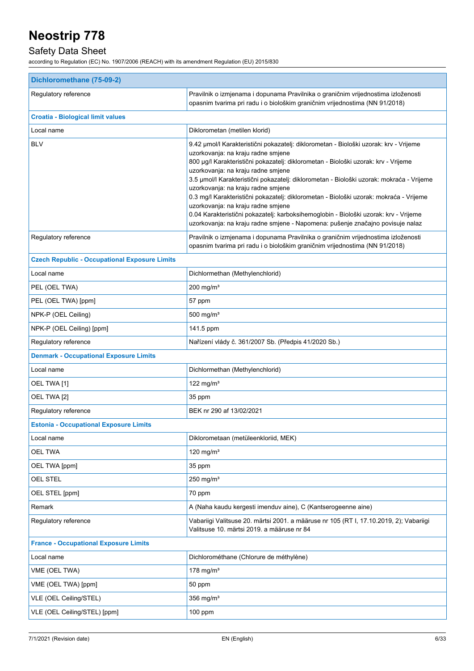## Safety Data Sheet

| Dichloromethane (75-09-2)                            |                                                                                                                                                                                                                                                                                                                                                                                                                                                                                                                                                                                                                                                                                                     |  |
|------------------------------------------------------|-----------------------------------------------------------------------------------------------------------------------------------------------------------------------------------------------------------------------------------------------------------------------------------------------------------------------------------------------------------------------------------------------------------------------------------------------------------------------------------------------------------------------------------------------------------------------------------------------------------------------------------------------------------------------------------------------------|--|
| Regulatory reference                                 | Pravilnik o izmjenama i dopunama Pravilnika o graničnim vrijednostima izloženosti<br>opasnim tvarima pri radu i o biološkim graničnim vrijednostima (NN 91/2018)                                                                                                                                                                                                                                                                                                                                                                                                                                                                                                                                    |  |
| <b>Croatia - Biological limit values</b>             |                                                                                                                                                                                                                                                                                                                                                                                                                                                                                                                                                                                                                                                                                                     |  |
| Local name                                           | Diklorometan (metilen klorid)                                                                                                                                                                                                                                                                                                                                                                                                                                                                                                                                                                                                                                                                       |  |
| <b>BLV</b>                                           | 9.42 µmol/l Karakteristični pokazatelj: diklorometan - Biološki uzorak: krv - Vrijeme<br>uzorkovanja: na kraju radne smjene<br>800 µg/l Karakteristični pokazatelj: diklorometan - Biološki uzorak: krv - Vrijeme<br>uzorkovanja: na kraju radne smjene<br>3.5 µmol/l Karakteristični pokazatelj: diklorometan - Biološki uzorak: mokraća - Vrijeme<br>uzorkovanja: na kraju radne smjene<br>0.3 mg/l Karakteristični pokazatelj: diklorometan - Biološki uzorak: mokraća - Vrijeme<br>uzorkovanja: na kraju radne smjene<br>0.04 Karakteristični pokazatelj: karboksihemoglobin - Biološki uzorak: krv - Vrijeme<br>uzorkovanja: na kraju radne smjene - Napomena: pušenje značajno povisuje nalaz |  |
| Regulatory reference                                 | Pravilnik o izmjenama i dopunama Pravilnika o graničnim vrijednostima izloženosti<br>opasnim tvarima pri radu i o biološkim graničnim vrijednostima (NN 91/2018)                                                                                                                                                                                                                                                                                                                                                                                                                                                                                                                                    |  |
| <b>Czech Republic - Occupational Exposure Limits</b> |                                                                                                                                                                                                                                                                                                                                                                                                                                                                                                                                                                                                                                                                                                     |  |
| Local name                                           | Dichlormethan (Methylenchlorid)                                                                                                                                                                                                                                                                                                                                                                                                                                                                                                                                                                                                                                                                     |  |
| PEL (OEL TWA)                                        | $200$ mg/m <sup>3</sup>                                                                                                                                                                                                                                                                                                                                                                                                                                                                                                                                                                                                                                                                             |  |
| PEL (OEL TWA) [ppm]                                  | 57 ppm                                                                                                                                                                                                                                                                                                                                                                                                                                                                                                                                                                                                                                                                                              |  |
| NPK-P (OEL Ceiling)                                  | 500 mg/ $m3$                                                                                                                                                                                                                                                                                                                                                                                                                                                                                                                                                                                                                                                                                        |  |
| NPK-P (OEL Ceiling) [ppm]                            | 141.5 ppm                                                                                                                                                                                                                                                                                                                                                                                                                                                                                                                                                                                                                                                                                           |  |
| Regulatory reference                                 | Nařízení vlády č. 361/2007 Sb. (Předpis 41/2020 Sb.)                                                                                                                                                                                                                                                                                                                                                                                                                                                                                                                                                                                                                                                |  |
| <b>Denmark - Occupational Exposure Limits</b>        |                                                                                                                                                                                                                                                                                                                                                                                                                                                                                                                                                                                                                                                                                                     |  |
| Local name                                           | Dichlormethan (Methylenchlorid)                                                                                                                                                                                                                                                                                                                                                                                                                                                                                                                                                                                                                                                                     |  |
| OEL TWA [1]                                          | 122 mg/m $3$                                                                                                                                                                                                                                                                                                                                                                                                                                                                                                                                                                                                                                                                                        |  |
| OEL TWA [2]                                          | 35 ppm                                                                                                                                                                                                                                                                                                                                                                                                                                                                                                                                                                                                                                                                                              |  |
| Regulatory reference                                 | BEK nr 290 af 13/02/2021                                                                                                                                                                                                                                                                                                                                                                                                                                                                                                                                                                                                                                                                            |  |
| <b>Estonia - Occupational Exposure Limits</b>        |                                                                                                                                                                                                                                                                                                                                                                                                                                                                                                                                                                                                                                                                                                     |  |
| Local name                                           | Diklorometaan (metüleenkloriid, MEK)                                                                                                                                                                                                                                                                                                                                                                                                                                                                                                                                                                                                                                                                |  |
| <b>OEL TWA</b>                                       | 120 mg/m <sup>3</sup>                                                                                                                                                                                                                                                                                                                                                                                                                                                                                                                                                                                                                                                                               |  |
| OEL TWA [ppm]                                        | 35 ppm                                                                                                                                                                                                                                                                                                                                                                                                                                                                                                                                                                                                                                                                                              |  |
| OEL STEL                                             | 250 mg/ $m3$                                                                                                                                                                                                                                                                                                                                                                                                                                                                                                                                                                                                                                                                                        |  |
| OEL STEL [ppm]                                       | 70 ppm                                                                                                                                                                                                                                                                                                                                                                                                                                                                                                                                                                                                                                                                                              |  |
| Remark                                               | A (Naha kaudu kergesti imenduv aine), C (Kantserogeenne aine)                                                                                                                                                                                                                                                                                                                                                                                                                                                                                                                                                                                                                                       |  |
| Regulatory reference                                 | Vabariigi Valitsuse 20. märtsi 2001. a määruse nr 105 (RT I, 17.10.2019, 2); Vabariigi<br>Valitsuse 10. märtsi 2019. a määruse nr 84                                                                                                                                                                                                                                                                                                                                                                                                                                                                                                                                                                |  |
| <b>France - Occupational Exposure Limits</b>         |                                                                                                                                                                                                                                                                                                                                                                                                                                                                                                                                                                                                                                                                                                     |  |
| Local name                                           | Dichlorométhane (Chlorure de méthylène)                                                                                                                                                                                                                                                                                                                                                                                                                                                                                                                                                                                                                                                             |  |
| VME (OEL TWA)                                        | 178 mg/m $3$                                                                                                                                                                                                                                                                                                                                                                                                                                                                                                                                                                                                                                                                                        |  |
| VME (OEL TWA) [ppm]                                  | 50 ppm                                                                                                                                                                                                                                                                                                                                                                                                                                                                                                                                                                                                                                                                                              |  |
| VLE (OEL Ceiling/STEL)                               | 356 mg/ $m3$                                                                                                                                                                                                                                                                                                                                                                                                                                                                                                                                                                                                                                                                                        |  |
| VLE (OEL Ceiling/STEL) [ppm]                         | 100 ppm                                                                                                                                                                                                                                                                                                                                                                                                                                                                                                                                                                                                                                                                                             |  |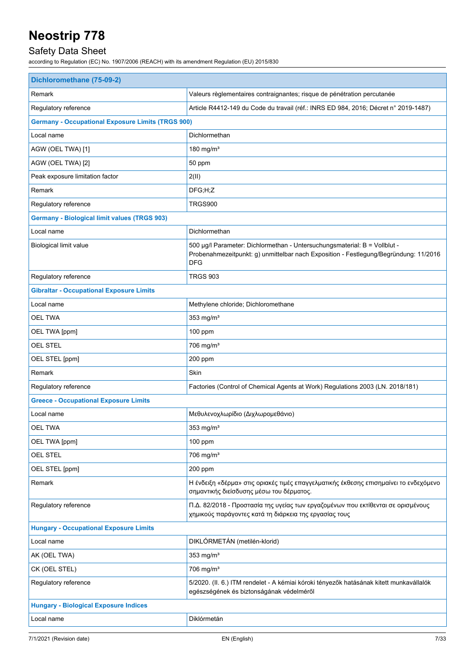## Safety Data Sheet

| Remark<br>Valeurs règlementaires contraignantes; risque de pénétration percutanée<br>Regulatory reference<br>Article R4412-149 du Code du travail (réf.: INRS ED 984, 2016; Décret n° 2019-1487)<br><b>Germany - Occupational Exposure Limits (TRGS 900)</b><br>Dichlormethan<br>Local name<br>AGW (OEL TWA) [1]<br>180 mg/ $m3$<br>AGW (OEL TWA) [2]<br>50 ppm<br>Peak exposure limitation factor<br>2(II)<br>Remark<br>DFG; H; Z<br>Regulatory reference<br>TRGS900<br><b>Germany - Biological limit values (TRGS 903)</b><br>Dichlormethan<br>Local name<br>500 µg/l Parameter: Dichlormethan - Untersuchungsmaterial: B = Vollblut -<br>Biological limit value<br>Probenahmezeitpunkt: g) unmittelbar nach Exposition - Festlegung/Begründung: 11/2016<br><b>DFG</b><br><b>TRGS 903</b><br>Regulatory reference<br><b>Gibraltar - Occupational Exposure Limits</b><br>Local name<br>Methylene chloride; Dichloromethane<br>353 mg/ $m3$<br><b>OEL TWA</b><br>OEL TWA [ppm]<br>100 ppm<br><b>OEL STEL</b><br>$706$ mg/m <sup>3</sup><br>OEL STEL [ppm]<br>200 ppm<br>Remark<br>Skin<br>Regulatory reference<br>Factories (Control of Chemical Agents at Work) Regulations 2003 (LN. 2018/181)<br><b>Greece - Occupational Exposure Limits</b><br>Μεθυλενοχλωρίδιο (Διχλωρομεθάνιο)<br>Local name<br><b>OEL TWA</b><br>$353 \text{ mg/m}^3$<br>OEL TWA [ppm]<br>100 ppm<br><b>OEL STEL</b><br>$706$ mg/m <sup>3</sup><br>OEL STEL [ppm]<br>200 ppm<br>Η ένδειξη «δέρμα» στις οριακές τιμές επαγγελματικής έκθεσης επισημαίνει το ενδεχόμενο<br>Remark<br>σημαντικής διείσδυσης μέσω του δέρματος.<br>Regulatory reference<br>Π.Δ. 82/2018 - Προστασία της υγείας των εργαζομένων που εκτίθενται σε ορισμένους<br>χημικούς παράγοντες κατά τη διάρκεια της εργασίας τους<br><b>Hungary - Occupational Exposure Limits</b><br>DIKLÓRMETÁN (metilén-klorid)<br>Local name<br>353 mg/m <sup>3</sup><br>AK (OEL TWA)<br>CK (OEL STEL)<br>$706$ mg/m <sup>3</sup><br>Regulatory reference<br>5/2020. (II. 6.) ITM rendelet - A kémiai kóroki tényezők hatásának kitett munkavállalók<br>egészségének és biztonságának védelméről<br><b>Hungary - Biological Exposure Indices</b><br>Diklórmetán<br>Local name | Dichloromethane (75-09-2) |  |  |
|-----------------------------------------------------------------------------------------------------------------------------------------------------------------------------------------------------------------------------------------------------------------------------------------------------------------------------------------------------------------------------------------------------------------------------------------------------------------------------------------------------------------------------------------------------------------------------------------------------------------------------------------------------------------------------------------------------------------------------------------------------------------------------------------------------------------------------------------------------------------------------------------------------------------------------------------------------------------------------------------------------------------------------------------------------------------------------------------------------------------------------------------------------------------------------------------------------------------------------------------------------------------------------------------------------------------------------------------------------------------------------------------------------------------------------------------------------------------------------------------------------------------------------------------------------------------------------------------------------------------------------------------------------------------------------------------------------------------------------------------------------------------------------------------------------------------------------------------------------------------------------------------------------------------------------------------------------------------------------------------------------------------------------------------------------------------------------------------------------------------------------------------------------------------------------------------------------------|---------------------------|--|--|
|                                                                                                                                                                                                                                                                                                                                                                                                                                                                                                                                                                                                                                                                                                                                                                                                                                                                                                                                                                                                                                                                                                                                                                                                                                                                                                                                                                                                                                                                                                                                                                                                                                                                                                                                                                                                                                                                                                                                                                                                                                                                                                                                                                                                           |                           |  |  |
|                                                                                                                                                                                                                                                                                                                                                                                                                                                                                                                                                                                                                                                                                                                                                                                                                                                                                                                                                                                                                                                                                                                                                                                                                                                                                                                                                                                                                                                                                                                                                                                                                                                                                                                                                                                                                                                                                                                                                                                                                                                                                                                                                                                                           |                           |  |  |
|                                                                                                                                                                                                                                                                                                                                                                                                                                                                                                                                                                                                                                                                                                                                                                                                                                                                                                                                                                                                                                                                                                                                                                                                                                                                                                                                                                                                                                                                                                                                                                                                                                                                                                                                                                                                                                                                                                                                                                                                                                                                                                                                                                                                           |                           |  |  |
|                                                                                                                                                                                                                                                                                                                                                                                                                                                                                                                                                                                                                                                                                                                                                                                                                                                                                                                                                                                                                                                                                                                                                                                                                                                                                                                                                                                                                                                                                                                                                                                                                                                                                                                                                                                                                                                                                                                                                                                                                                                                                                                                                                                                           |                           |  |  |
|                                                                                                                                                                                                                                                                                                                                                                                                                                                                                                                                                                                                                                                                                                                                                                                                                                                                                                                                                                                                                                                                                                                                                                                                                                                                                                                                                                                                                                                                                                                                                                                                                                                                                                                                                                                                                                                                                                                                                                                                                                                                                                                                                                                                           |                           |  |  |
|                                                                                                                                                                                                                                                                                                                                                                                                                                                                                                                                                                                                                                                                                                                                                                                                                                                                                                                                                                                                                                                                                                                                                                                                                                                                                                                                                                                                                                                                                                                                                                                                                                                                                                                                                                                                                                                                                                                                                                                                                                                                                                                                                                                                           |                           |  |  |
|                                                                                                                                                                                                                                                                                                                                                                                                                                                                                                                                                                                                                                                                                                                                                                                                                                                                                                                                                                                                                                                                                                                                                                                                                                                                                                                                                                                                                                                                                                                                                                                                                                                                                                                                                                                                                                                                                                                                                                                                                                                                                                                                                                                                           |                           |  |  |
|                                                                                                                                                                                                                                                                                                                                                                                                                                                                                                                                                                                                                                                                                                                                                                                                                                                                                                                                                                                                                                                                                                                                                                                                                                                                                                                                                                                                                                                                                                                                                                                                                                                                                                                                                                                                                                                                                                                                                                                                                                                                                                                                                                                                           |                           |  |  |
|                                                                                                                                                                                                                                                                                                                                                                                                                                                                                                                                                                                                                                                                                                                                                                                                                                                                                                                                                                                                                                                                                                                                                                                                                                                                                                                                                                                                                                                                                                                                                                                                                                                                                                                                                                                                                                                                                                                                                                                                                                                                                                                                                                                                           |                           |  |  |
|                                                                                                                                                                                                                                                                                                                                                                                                                                                                                                                                                                                                                                                                                                                                                                                                                                                                                                                                                                                                                                                                                                                                                                                                                                                                                                                                                                                                                                                                                                                                                                                                                                                                                                                                                                                                                                                                                                                                                                                                                                                                                                                                                                                                           |                           |  |  |
|                                                                                                                                                                                                                                                                                                                                                                                                                                                                                                                                                                                                                                                                                                                                                                                                                                                                                                                                                                                                                                                                                                                                                                                                                                                                                                                                                                                                                                                                                                                                                                                                                                                                                                                                                                                                                                                                                                                                                                                                                                                                                                                                                                                                           |                           |  |  |
|                                                                                                                                                                                                                                                                                                                                                                                                                                                                                                                                                                                                                                                                                                                                                                                                                                                                                                                                                                                                                                                                                                                                                                                                                                                                                                                                                                                                                                                                                                                                                                                                                                                                                                                                                                                                                                                                                                                                                                                                                                                                                                                                                                                                           |                           |  |  |
|                                                                                                                                                                                                                                                                                                                                                                                                                                                                                                                                                                                                                                                                                                                                                                                                                                                                                                                                                                                                                                                                                                                                                                                                                                                                                                                                                                                                                                                                                                                                                                                                                                                                                                                                                                                                                                                                                                                                                                                                                                                                                                                                                                                                           |                           |  |  |
|                                                                                                                                                                                                                                                                                                                                                                                                                                                                                                                                                                                                                                                                                                                                                                                                                                                                                                                                                                                                                                                                                                                                                                                                                                                                                                                                                                                                                                                                                                                                                                                                                                                                                                                                                                                                                                                                                                                                                                                                                                                                                                                                                                                                           |                           |  |  |
|                                                                                                                                                                                                                                                                                                                                                                                                                                                                                                                                                                                                                                                                                                                                                                                                                                                                                                                                                                                                                                                                                                                                                                                                                                                                                                                                                                                                                                                                                                                                                                                                                                                                                                                                                                                                                                                                                                                                                                                                                                                                                                                                                                                                           |                           |  |  |
|                                                                                                                                                                                                                                                                                                                                                                                                                                                                                                                                                                                                                                                                                                                                                                                                                                                                                                                                                                                                                                                                                                                                                                                                                                                                                                                                                                                                                                                                                                                                                                                                                                                                                                                                                                                                                                                                                                                                                                                                                                                                                                                                                                                                           |                           |  |  |
|                                                                                                                                                                                                                                                                                                                                                                                                                                                                                                                                                                                                                                                                                                                                                                                                                                                                                                                                                                                                                                                                                                                                                                                                                                                                                                                                                                                                                                                                                                                                                                                                                                                                                                                                                                                                                                                                                                                                                                                                                                                                                                                                                                                                           |                           |  |  |
|                                                                                                                                                                                                                                                                                                                                                                                                                                                                                                                                                                                                                                                                                                                                                                                                                                                                                                                                                                                                                                                                                                                                                                                                                                                                                                                                                                                                                                                                                                                                                                                                                                                                                                                                                                                                                                                                                                                                                                                                                                                                                                                                                                                                           |                           |  |  |
|                                                                                                                                                                                                                                                                                                                                                                                                                                                                                                                                                                                                                                                                                                                                                                                                                                                                                                                                                                                                                                                                                                                                                                                                                                                                                                                                                                                                                                                                                                                                                                                                                                                                                                                                                                                                                                                                                                                                                                                                                                                                                                                                                                                                           |                           |  |  |
|                                                                                                                                                                                                                                                                                                                                                                                                                                                                                                                                                                                                                                                                                                                                                                                                                                                                                                                                                                                                                                                                                                                                                                                                                                                                                                                                                                                                                                                                                                                                                                                                                                                                                                                                                                                                                                                                                                                                                                                                                                                                                                                                                                                                           |                           |  |  |
|                                                                                                                                                                                                                                                                                                                                                                                                                                                                                                                                                                                                                                                                                                                                                                                                                                                                                                                                                                                                                                                                                                                                                                                                                                                                                                                                                                                                                                                                                                                                                                                                                                                                                                                                                                                                                                                                                                                                                                                                                                                                                                                                                                                                           |                           |  |  |
|                                                                                                                                                                                                                                                                                                                                                                                                                                                                                                                                                                                                                                                                                                                                                                                                                                                                                                                                                                                                                                                                                                                                                                                                                                                                                                                                                                                                                                                                                                                                                                                                                                                                                                                                                                                                                                                                                                                                                                                                                                                                                                                                                                                                           |                           |  |  |
|                                                                                                                                                                                                                                                                                                                                                                                                                                                                                                                                                                                                                                                                                                                                                                                                                                                                                                                                                                                                                                                                                                                                                                                                                                                                                                                                                                                                                                                                                                                                                                                                                                                                                                                                                                                                                                                                                                                                                                                                                                                                                                                                                                                                           |                           |  |  |
|                                                                                                                                                                                                                                                                                                                                                                                                                                                                                                                                                                                                                                                                                                                                                                                                                                                                                                                                                                                                                                                                                                                                                                                                                                                                                                                                                                                                                                                                                                                                                                                                                                                                                                                                                                                                                                                                                                                                                                                                                                                                                                                                                                                                           |                           |  |  |
|                                                                                                                                                                                                                                                                                                                                                                                                                                                                                                                                                                                                                                                                                                                                                                                                                                                                                                                                                                                                                                                                                                                                                                                                                                                                                                                                                                                                                                                                                                                                                                                                                                                                                                                                                                                                                                                                                                                                                                                                                                                                                                                                                                                                           |                           |  |  |
|                                                                                                                                                                                                                                                                                                                                                                                                                                                                                                                                                                                                                                                                                                                                                                                                                                                                                                                                                                                                                                                                                                                                                                                                                                                                                                                                                                                                                                                                                                                                                                                                                                                                                                                                                                                                                                                                                                                                                                                                                                                                                                                                                                                                           |                           |  |  |
|                                                                                                                                                                                                                                                                                                                                                                                                                                                                                                                                                                                                                                                                                                                                                                                                                                                                                                                                                                                                                                                                                                                                                                                                                                                                                                                                                                                                                                                                                                                                                                                                                                                                                                                                                                                                                                                                                                                                                                                                                                                                                                                                                                                                           |                           |  |  |
|                                                                                                                                                                                                                                                                                                                                                                                                                                                                                                                                                                                                                                                                                                                                                                                                                                                                                                                                                                                                                                                                                                                                                                                                                                                                                                                                                                                                                                                                                                                                                                                                                                                                                                                                                                                                                                                                                                                                                                                                                                                                                                                                                                                                           |                           |  |  |
|                                                                                                                                                                                                                                                                                                                                                                                                                                                                                                                                                                                                                                                                                                                                                                                                                                                                                                                                                                                                                                                                                                                                                                                                                                                                                                                                                                                                                                                                                                                                                                                                                                                                                                                                                                                                                                                                                                                                                                                                                                                                                                                                                                                                           |                           |  |  |
|                                                                                                                                                                                                                                                                                                                                                                                                                                                                                                                                                                                                                                                                                                                                                                                                                                                                                                                                                                                                                                                                                                                                                                                                                                                                                                                                                                                                                                                                                                                                                                                                                                                                                                                                                                                                                                                                                                                                                                                                                                                                                                                                                                                                           |                           |  |  |
|                                                                                                                                                                                                                                                                                                                                                                                                                                                                                                                                                                                                                                                                                                                                                                                                                                                                                                                                                                                                                                                                                                                                                                                                                                                                                                                                                                                                                                                                                                                                                                                                                                                                                                                                                                                                                                                                                                                                                                                                                                                                                                                                                                                                           |                           |  |  |
|                                                                                                                                                                                                                                                                                                                                                                                                                                                                                                                                                                                                                                                                                                                                                                                                                                                                                                                                                                                                                                                                                                                                                                                                                                                                                                                                                                                                                                                                                                                                                                                                                                                                                                                                                                                                                                                                                                                                                                                                                                                                                                                                                                                                           |                           |  |  |
|                                                                                                                                                                                                                                                                                                                                                                                                                                                                                                                                                                                                                                                                                                                                                                                                                                                                                                                                                                                                                                                                                                                                                                                                                                                                                                                                                                                                                                                                                                                                                                                                                                                                                                                                                                                                                                                                                                                                                                                                                                                                                                                                                                                                           |                           |  |  |
|                                                                                                                                                                                                                                                                                                                                                                                                                                                                                                                                                                                                                                                                                                                                                                                                                                                                                                                                                                                                                                                                                                                                                                                                                                                                                                                                                                                                                                                                                                                                                                                                                                                                                                                                                                                                                                                                                                                                                                                                                                                                                                                                                                                                           |                           |  |  |
|                                                                                                                                                                                                                                                                                                                                                                                                                                                                                                                                                                                                                                                                                                                                                                                                                                                                                                                                                                                                                                                                                                                                                                                                                                                                                                                                                                                                                                                                                                                                                                                                                                                                                                                                                                                                                                                                                                                                                                                                                                                                                                                                                                                                           |                           |  |  |
|                                                                                                                                                                                                                                                                                                                                                                                                                                                                                                                                                                                                                                                                                                                                                                                                                                                                                                                                                                                                                                                                                                                                                                                                                                                                                                                                                                                                                                                                                                                                                                                                                                                                                                                                                                                                                                                                                                                                                                                                                                                                                                                                                                                                           |                           |  |  |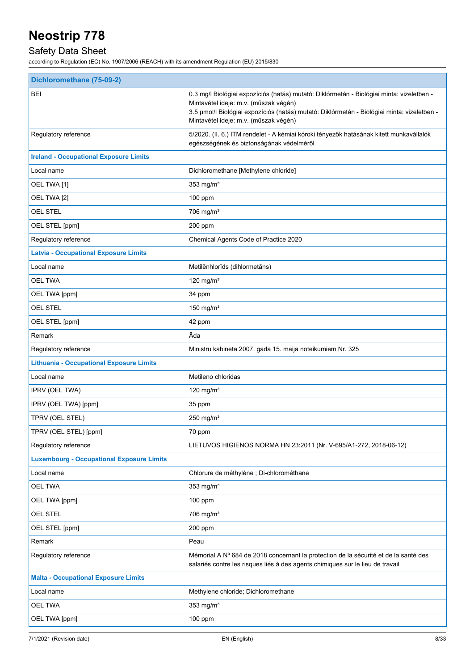## Safety Data Sheet

| Dichloromethane (75-09-2)                        |                                                                                                                                                                                                                                                                            |  |
|--------------------------------------------------|----------------------------------------------------------------------------------------------------------------------------------------------------------------------------------------------------------------------------------------------------------------------------|--|
| BEI                                              | 0.3 mg/l Biológiai expozíciós (hatás) mutató: Diklórmetán - Biológiai minta: vizeletben -<br>Mintavétel ideje: m.v. (műszak végén)<br>3.5 µmol/l Biológiai expozíciós (hatás) mutató: Diklórmetán - Biológiai minta: vizeletben -<br>Mintavétel ideje: m.v. (műszak végén) |  |
| Regulatory reference                             | 5/2020. (II. 6.) ITM rendelet - A kémiai kóroki tényezők hatásának kitett munkavállalók<br>egészségének és biztonságának védelméről                                                                                                                                        |  |
| <b>Ireland - Occupational Exposure Limits</b>    |                                                                                                                                                                                                                                                                            |  |
| Local name                                       | Dichloromethane [Methylene chloride]                                                                                                                                                                                                                                       |  |
| OEL TWA [1]                                      | 353 mg/ $m3$                                                                                                                                                                                                                                                               |  |
| OEL TWA [2]                                      | $100$ ppm                                                                                                                                                                                                                                                                  |  |
| <b>OEL STEL</b>                                  | $706$ mg/m <sup>3</sup>                                                                                                                                                                                                                                                    |  |
| OEL STEL [ppm]                                   | 200 ppm                                                                                                                                                                                                                                                                    |  |
| Regulatory reference                             | Chemical Agents Code of Practice 2020                                                                                                                                                                                                                                      |  |
| <b>Latvia - Occupational Exposure Limits</b>     |                                                                                                                                                                                                                                                                            |  |
| Local name                                       | Metilēnhlorīds (dihlormetāns)                                                                                                                                                                                                                                              |  |
| <b>OEL TWA</b>                                   | 120 mg/ $m3$                                                                                                                                                                                                                                                               |  |
| OEL TWA [ppm]                                    | 34 ppm                                                                                                                                                                                                                                                                     |  |
| <b>OEL STEL</b>                                  | 150 mg/m <sup>3</sup>                                                                                                                                                                                                                                                      |  |
| OEL STEL [ppm]                                   | 42 ppm                                                                                                                                                                                                                                                                     |  |
| Remark                                           | Āda                                                                                                                                                                                                                                                                        |  |
| Regulatory reference                             | Ministru kabineta 2007. gada 15. maija noteikumiem Nr. 325                                                                                                                                                                                                                 |  |
| <b>Lithuania - Occupational Exposure Limits</b>  |                                                                                                                                                                                                                                                                            |  |
| Local name                                       | Metileno chloridas                                                                                                                                                                                                                                                         |  |
| IPRV (OEL TWA)                                   | 120 mg/m <sup>3</sup>                                                                                                                                                                                                                                                      |  |
| IPRV (OEL TWA) [ppm]                             | 35 ppm                                                                                                                                                                                                                                                                     |  |
| TPRV (OEL STEL)                                  | 250 mg/m $3$                                                                                                                                                                                                                                                               |  |
| TPRV (OEL STEL) [ppm]                            | 70 ppm                                                                                                                                                                                                                                                                     |  |
| Regulatory reference                             | LIETUVOS HIGIENOS NORMA HN 23:2011 (Nr. V-695/A1-272, 2018-06-12)                                                                                                                                                                                                          |  |
| <b>Luxembourg - Occupational Exposure Limits</b> |                                                                                                                                                                                                                                                                            |  |
| Local name                                       | Chlorure de méthylène ; Di-chlorométhane                                                                                                                                                                                                                                   |  |
| <b>OEL TWA</b>                                   | 353 mg/ $m3$                                                                                                                                                                                                                                                               |  |
| OEL TWA [ppm]                                    | 100 ppm                                                                                                                                                                                                                                                                    |  |
| OEL STEL                                         | $706$ mg/m <sup>3</sup>                                                                                                                                                                                                                                                    |  |
| OEL STEL [ppm]                                   | 200 ppm                                                                                                                                                                                                                                                                    |  |
| Remark                                           | Peau                                                                                                                                                                                                                                                                       |  |
| Regulatory reference                             | Mémorial A Nº 684 de 2018 concernant la protection de la sécurité et de la santé des<br>salariés contre les risques liés à des agents chimiques sur le lieu de travail                                                                                                     |  |
| <b>Malta - Occupational Exposure Limits</b>      |                                                                                                                                                                                                                                                                            |  |
| Local name                                       | Methylene chloride; Dichloromethane                                                                                                                                                                                                                                        |  |
| <b>OEL TWA</b>                                   | 353 mg/ $m3$                                                                                                                                                                                                                                                               |  |
| OEL TWA [ppm]                                    | $100$ ppm                                                                                                                                                                                                                                                                  |  |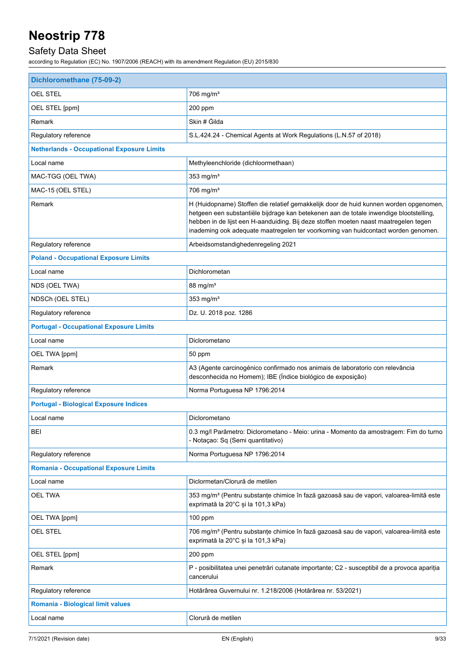## Safety Data Sheet

| Dichloromethane (75-09-2)                         |                                                                                                                                                                                                                                                                                                                                                              |  |
|---------------------------------------------------|--------------------------------------------------------------------------------------------------------------------------------------------------------------------------------------------------------------------------------------------------------------------------------------------------------------------------------------------------------------|--|
| <b>OEL STEL</b>                                   | 706 mg/m <sup>3</sup>                                                                                                                                                                                                                                                                                                                                        |  |
| OEL STEL [ppm]                                    | $200$ ppm                                                                                                                                                                                                                                                                                                                                                    |  |
| Remark                                            | Skin # Gilda                                                                                                                                                                                                                                                                                                                                                 |  |
| Regulatory reference                              | S.L.424.24 - Chemical Agents at Work Regulations (L.N.57 of 2018)                                                                                                                                                                                                                                                                                            |  |
| <b>Netherlands - Occupational Exposure Limits</b> |                                                                                                                                                                                                                                                                                                                                                              |  |
| Local name                                        | Methyleenchloride (dichloormethaan)                                                                                                                                                                                                                                                                                                                          |  |
| MAC-TGG (OEL TWA)                                 | 353 mg/ $m3$                                                                                                                                                                                                                                                                                                                                                 |  |
| MAC-15 (OEL STEL)                                 | $706$ mg/m <sup>3</sup>                                                                                                                                                                                                                                                                                                                                      |  |
| Remark                                            | H (Huidopname) Stoffen die relatief gemakkelijk door de huid kunnen worden opgenomen,<br>hetgeen een substantiële bijdrage kan betekenen aan de totale inwendige blootstelling,<br>hebben in de lijst een H-aanduiding. Bij deze stoffen moeten naast maatregelen tegen<br>inademing ook adequate maatregelen ter voorkoming van huidcontact worden genomen. |  |
| Regulatory reference                              | Arbeidsomstandighedenregeling 2021                                                                                                                                                                                                                                                                                                                           |  |
| <b>Poland - Occupational Exposure Limits</b>      |                                                                                                                                                                                                                                                                                                                                                              |  |
| Local name                                        | Dichlorometan                                                                                                                                                                                                                                                                                                                                                |  |
| NDS (OEL TWA)                                     | 88 mg/m <sup>3</sup>                                                                                                                                                                                                                                                                                                                                         |  |
| NDSCh (OEL STEL)                                  | 353 mg/ $m3$                                                                                                                                                                                                                                                                                                                                                 |  |
| Regulatory reference                              | Dz. U. 2018 poz. 1286                                                                                                                                                                                                                                                                                                                                        |  |
| <b>Portugal - Occupational Exposure Limits</b>    |                                                                                                                                                                                                                                                                                                                                                              |  |
| Local name                                        | Diclorometano                                                                                                                                                                                                                                                                                                                                                |  |
| OEL TWA [ppm]                                     | 50 ppm                                                                                                                                                                                                                                                                                                                                                       |  |
| Remark                                            | A3 (Agente carcinogénico confirmado nos animais de laboratorio con relevância<br>desconhecida no Homem); IBE (Índice biológico de exposição)                                                                                                                                                                                                                 |  |
| Regulatory reference                              | Norma Portuguesa NP 1796:2014                                                                                                                                                                                                                                                                                                                                |  |
| <b>Portugal - Biological Exposure Indices</b>     |                                                                                                                                                                                                                                                                                                                                                              |  |
| Local name                                        | Diclorometano                                                                                                                                                                                                                                                                                                                                                |  |
| <b>BEI</b>                                        | 0.3 mg/l Parâmetro: Diclorometano - Meio: urina - Momento da amostragem: Fim do turno<br>- Notaçao: Sq (Semi quantitativo)                                                                                                                                                                                                                                   |  |
| Regulatory reference                              | Norma Portuguesa NP 1796:2014                                                                                                                                                                                                                                                                                                                                |  |
| <b>Romania - Occupational Exposure Limits</b>     |                                                                                                                                                                                                                                                                                                                                                              |  |
| Local name                                        | Diclormetan/Clorură de metilen                                                                                                                                                                                                                                                                                                                               |  |
| <b>OEL TWA</b>                                    | 353 mg/m <sup>3</sup> (Pentru substanțe chimice în fază gazoasă sau de vapori, valoarea-limită este<br>exprimată la 20°C și la 101,3 kPa)                                                                                                                                                                                                                    |  |
| OEL TWA [ppm]                                     | 100 ppm                                                                                                                                                                                                                                                                                                                                                      |  |
| <b>OEL STEL</b>                                   | 706 mg/m <sup>3</sup> (Pentru substanțe chimice în fază gazoasă sau de vapori, valoarea-limită este<br>exprimată la 20°C și la 101,3 kPa)                                                                                                                                                                                                                    |  |
| OEL STEL [ppm]                                    | 200 ppm                                                                                                                                                                                                                                                                                                                                                      |  |
| Remark                                            | P - posibilitatea unei penetrări cutanate importante; C2 - susceptibil de a provoca apariția<br>cancerului                                                                                                                                                                                                                                                   |  |
| Regulatory reference                              | Hotărârea Guvernului nr. 1.218/2006 (Hotărârea nr. 53/2021)                                                                                                                                                                                                                                                                                                  |  |
| Romania - Biological limit values                 |                                                                                                                                                                                                                                                                                                                                                              |  |
| Local name                                        | Clorură de metilen                                                                                                                                                                                                                                                                                                                                           |  |
|                                                   |                                                                                                                                                                                                                                                                                                                                                              |  |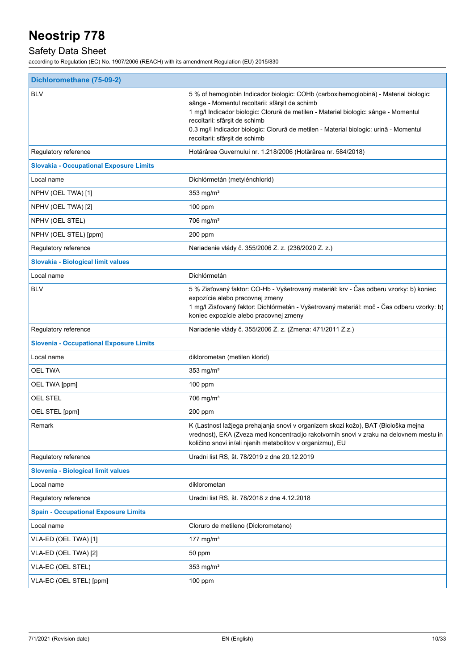## Safety Data Sheet

| Dichloromethane (75-09-2)                      |                                                                                                                                                                                                                                                                                                                                                                                          |  |
|------------------------------------------------|------------------------------------------------------------------------------------------------------------------------------------------------------------------------------------------------------------------------------------------------------------------------------------------------------------------------------------------------------------------------------------------|--|
| <b>BLV</b>                                     | 5 % of hemoglobin Indicador biologic: COHb (carboxihemoglobină) - Material biologic:<br>sânge - Momentul recoltarii: sfârșit de schimb<br>1 mg/l Indicador biologic: Clorură de metilen - Material biologic: sânge - Momentul<br>recoltarii: sfârșit de schimb<br>0.3 mg/l Indicador biologic: Clorură de metilen - Material biologic: urină - Momentul<br>recoltarii: sfârșit de schimb |  |
| Regulatory reference                           | Hotărârea Guvernului nr. 1.218/2006 (Hotărârea nr. 584/2018)                                                                                                                                                                                                                                                                                                                             |  |
| <b>Slovakia - Occupational Exposure Limits</b> |                                                                                                                                                                                                                                                                                                                                                                                          |  |
| Local name                                     | Dichlórmetán (metylénchlorid)                                                                                                                                                                                                                                                                                                                                                            |  |
| NPHV (OEL TWA) [1]                             | 353 mg/ $m3$                                                                                                                                                                                                                                                                                                                                                                             |  |
| NPHV (OEL TWA) [2]                             | 100 ppm                                                                                                                                                                                                                                                                                                                                                                                  |  |
| NPHV (OEL STEL)                                | $706$ mg/m <sup>3</sup>                                                                                                                                                                                                                                                                                                                                                                  |  |
| NPHV (OEL STEL) [ppm]                          | 200 ppm                                                                                                                                                                                                                                                                                                                                                                                  |  |
| Regulatory reference                           | Nariadenie vlády č. 355/2006 Z. z. (236/2020 Z. z.)                                                                                                                                                                                                                                                                                                                                      |  |
| Slovakia - Biological limit values             |                                                                                                                                                                                                                                                                                                                                                                                          |  |
| Local name                                     | Dichlórmetán                                                                                                                                                                                                                                                                                                                                                                             |  |
| <b>BLV</b>                                     | 5 % Zisťovaný faktor: CO-Hb - Vyšetrovaný materiál: krv - Čas odberu vzorky: b) koniec<br>expozície alebo pracovnej zmeny<br>1 mg/l Zisťovaný faktor: Dichlórmetán - Vyšetrovaný materiál: moč - Čas odberu vzorky: b)<br>koniec expozície alebo pracovnej zmeny                                                                                                                         |  |
| Regulatory reference                           | Nariadenie vlády č. 355/2006 Z. z. (Zmena: 471/2011 Z.z.)                                                                                                                                                                                                                                                                                                                                |  |
| <b>Slovenia - Occupational Exposure Limits</b> |                                                                                                                                                                                                                                                                                                                                                                                          |  |
| Local name                                     | diklorometan (metilen klorid)                                                                                                                                                                                                                                                                                                                                                            |  |
| <b>OEL TWA</b>                                 | 353 mg/ $m3$                                                                                                                                                                                                                                                                                                                                                                             |  |
| OEL TWA [ppm]                                  | $100$ ppm                                                                                                                                                                                                                                                                                                                                                                                |  |
| <b>OEL STEL</b>                                | 706 mg/m <sup>3</sup>                                                                                                                                                                                                                                                                                                                                                                    |  |
| OEL STEL [ppm]                                 | 200 ppm                                                                                                                                                                                                                                                                                                                                                                                  |  |
| Remark                                         | K (Lastnost lažjega prehajanja snovi v organizem skozi kožo), BAT (Biološka mejna<br>vrednost), EKA (Zveza med koncentracijo rakotvornih snovi v zraku na delovnem mestu in<br>količino snovi in/ali njenih metabolitov v organizmu), EU                                                                                                                                                 |  |
| Regulatory reference                           | Uradni list RS, št. 78/2019 z dne 20.12.2019                                                                                                                                                                                                                                                                                                                                             |  |
| Slovenia - Biological limit values             |                                                                                                                                                                                                                                                                                                                                                                                          |  |
| Local name                                     | diklorometan                                                                                                                                                                                                                                                                                                                                                                             |  |
| Regulatory reference                           | Uradni list RS, št. 78/2018 z dne 4.12.2018                                                                                                                                                                                                                                                                                                                                              |  |
| <b>Spain - Occupational Exposure Limits</b>    |                                                                                                                                                                                                                                                                                                                                                                                          |  |
| Local name                                     | Cloruro de metileno (Diclorometano)                                                                                                                                                                                                                                                                                                                                                      |  |
| VLA-ED (OEL TWA) [1]                           | 177 mg/m $3$                                                                                                                                                                                                                                                                                                                                                                             |  |
| VLA-ED (OEL TWA) [2]                           | 50 ppm                                                                                                                                                                                                                                                                                                                                                                                   |  |
| VLA-EC (OEL STEL)                              | 353 mg/ $m3$                                                                                                                                                                                                                                                                                                                                                                             |  |
| VLA-EC (OEL STEL) [ppm]                        | 100 ppm                                                                                                                                                                                                                                                                                                                                                                                  |  |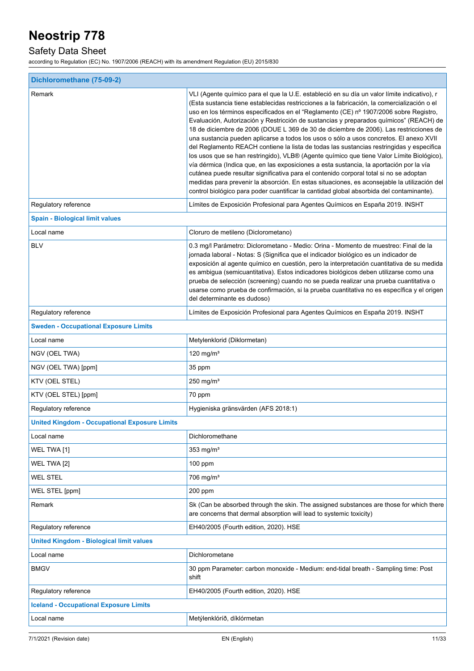## Safety Data Sheet

| Dichloromethane (75-09-2)                            |                                                                                                                                                                                                                                                                                                                                                                                                                                                                                                                                                                                                                                                                                                                                                                                                                                                                                                                                                                                                                                                                                                                                           |  |
|------------------------------------------------------|-------------------------------------------------------------------------------------------------------------------------------------------------------------------------------------------------------------------------------------------------------------------------------------------------------------------------------------------------------------------------------------------------------------------------------------------------------------------------------------------------------------------------------------------------------------------------------------------------------------------------------------------------------------------------------------------------------------------------------------------------------------------------------------------------------------------------------------------------------------------------------------------------------------------------------------------------------------------------------------------------------------------------------------------------------------------------------------------------------------------------------------------|--|
| Remark                                               | VLI (Agente químico para el que la U.E. estableció en su día un valor límite indicativo), r<br>(Esta sustancia tiene establecidas restricciones a la fabricación, la comercialización o el<br>uso en los términos especificados en el "Reglamento (CE) nº 1907/2006 sobre Registro,<br>Evaluación, Autorización y Restricción de sustancias y preparados químicos" (REACH) de<br>18 de diciembre de 2006 (DOUE L 369 de 30 de diciembre de 2006). Las restricciones de<br>una sustancia pueden aplicarse a todos los usos o sólo a usos concretos. El anexo XVII<br>del Reglamento REACH contiene la lista de todas las sustancias restringidas y especifica<br>los usos que se han restringido), VLB® (Agente químico que tiene Valor Límite Biológico),<br>vía dérmica (Indica que, en las exposiciones a esta sustancia, la aportación por la vía<br>cutánea puede resultar significativa para el contenido corporal total si no se adoptan<br>medidas para prevenir la absorción. En estas situaciones, es aconsejable la utilización del<br>control biológico para poder cuantificar la cantidad global absorbida del contaminante). |  |
| Regulatory reference                                 | Límites de Exposición Profesional para Agentes Químicos en España 2019. INSHT                                                                                                                                                                                                                                                                                                                                                                                                                                                                                                                                                                                                                                                                                                                                                                                                                                                                                                                                                                                                                                                             |  |
| <b>Spain - Biological limit values</b>               |                                                                                                                                                                                                                                                                                                                                                                                                                                                                                                                                                                                                                                                                                                                                                                                                                                                                                                                                                                                                                                                                                                                                           |  |
| Local name                                           | Cloruro de metileno (Diclorometano)                                                                                                                                                                                                                                                                                                                                                                                                                                                                                                                                                                                                                                                                                                                                                                                                                                                                                                                                                                                                                                                                                                       |  |
| <b>BLV</b>                                           | 0.3 mg/l Parámetro: Diclorometano - Medio: Orina - Momento de muestreo: Final de la<br>jornada laboral - Notas: S (Significa que el indicador biológico es un indicador de<br>exposición al agente químico en cuestión, pero la interpretación cuantitativa de su medida<br>es ambigua (semicuantitativa). Estos indicadores biológicos deben utilizarse como una<br>prueba de selección (screening) cuando no se pueda realizar una prueba cuantitativa o<br>usarse como prueba de confirmación, si la prueba cuantitativa no es específica y el origen<br>del determinante es dudoso)                                                                                                                                                                                                                                                                                                                                                                                                                                                                                                                                                   |  |
| Regulatory reference                                 | Límites de Exposición Profesional para Agentes Químicos en España 2019. INSHT                                                                                                                                                                                                                                                                                                                                                                                                                                                                                                                                                                                                                                                                                                                                                                                                                                                                                                                                                                                                                                                             |  |
| <b>Sweden - Occupational Exposure Limits</b>         |                                                                                                                                                                                                                                                                                                                                                                                                                                                                                                                                                                                                                                                                                                                                                                                                                                                                                                                                                                                                                                                                                                                                           |  |
| Local name                                           | Metylenklorid (Diklormetan)                                                                                                                                                                                                                                                                                                                                                                                                                                                                                                                                                                                                                                                                                                                                                                                                                                                                                                                                                                                                                                                                                                               |  |
| NGV (OEL TWA)                                        | 120 mg/m $3$                                                                                                                                                                                                                                                                                                                                                                                                                                                                                                                                                                                                                                                                                                                                                                                                                                                                                                                                                                                                                                                                                                                              |  |
| NGV (OEL TWA) [ppm]                                  | 35 ppm                                                                                                                                                                                                                                                                                                                                                                                                                                                                                                                                                                                                                                                                                                                                                                                                                                                                                                                                                                                                                                                                                                                                    |  |
| KTV (OEL STEL)                                       | $250$ mg/m <sup>3</sup>                                                                                                                                                                                                                                                                                                                                                                                                                                                                                                                                                                                                                                                                                                                                                                                                                                                                                                                                                                                                                                                                                                                   |  |
| KTV (OEL STEL) [ppm]                                 | 70 ppm                                                                                                                                                                                                                                                                                                                                                                                                                                                                                                                                                                                                                                                                                                                                                                                                                                                                                                                                                                                                                                                                                                                                    |  |
| Regulatory reference                                 | Hygieniska gränsvärden (AFS 2018:1)                                                                                                                                                                                                                                                                                                                                                                                                                                                                                                                                                                                                                                                                                                                                                                                                                                                                                                                                                                                                                                                                                                       |  |
| <b>United Kingdom - Occupational Exposure Limits</b> |                                                                                                                                                                                                                                                                                                                                                                                                                                                                                                                                                                                                                                                                                                                                                                                                                                                                                                                                                                                                                                                                                                                                           |  |
| Local name                                           | Dichloromethane                                                                                                                                                                                                                                                                                                                                                                                                                                                                                                                                                                                                                                                                                                                                                                                                                                                                                                                                                                                                                                                                                                                           |  |
| WEL TWA [1]                                          | $353$ mg/m <sup>3</sup>                                                                                                                                                                                                                                                                                                                                                                                                                                                                                                                                                                                                                                                                                                                                                                                                                                                                                                                                                                                                                                                                                                                   |  |
| WEL TWA [2]                                          | 100 ppm                                                                                                                                                                                                                                                                                                                                                                                                                                                                                                                                                                                                                                                                                                                                                                                                                                                                                                                                                                                                                                                                                                                                   |  |
| <b>WEL STEL</b>                                      | 706 mg/m <sup>3</sup>                                                                                                                                                                                                                                                                                                                                                                                                                                                                                                                                                                                                                                                                                                                                                                                                                                                                                                                                                                                                                                                                                                                     |  |
| WEL STEL [ppm]                                       | 200 ppm                                                                                                                                                                                                                                                                                                                                                                                                                                                                                                                                                                                                                                                                                                                                                                                                                                                                                                                                                                                                                                                                                                                                   |  |
| Remark                                               | Sk (Can be absorbed through the skin. The assigned substances are those for which there<br>are concerns that dermal absorption will lead to systemic toxicity)                                                                                                                                                                                                                                                                                                                                                                                                                                                                                                                                                                                                                                                                                                                                                                                                                                                                                                                                                                            |  |
| Regulatory reference                                 | EH40/2005 (Fourth edition, 2020). HSE                                                                                                                                                                                                                                                                                                                                                                                                                                                                                                                                                                                                                                                                                                                                                                                                                                                                                                                                                                                                                                                                                                     |  |
| <b>United Kingdom - Biological limit values</b>      |                                                                                                                                                                                                                                                                                                                                                                                                                                                                                                                                                                                                                                                                                                                                                                                                                                                                                                                                                                                                                                                                                                                                           |  |
| Local name                                           | Dichlorometane                                                                                                                                                                                                                                                                                                                                                                                                                                                                                                                                                                                                                                                                                                                                                                                                                                                                                                                                                                                                                                                                                                                            |  |
| <b>BMGV</b>                                          | 30 ppm Parameter: carbon monoxide - Medium: end-tidal breath - Sampling time: Post<br>shift                                                                                                                                                                                                                                                                                                                                                                                                                                                                                                                                                                                                                                                                                                                                                                                                                                                                                                                                                                                                                                               |  |
| Regulatory reference                                 | EH40/2005 (Fourth edition, 2020). HSE                                                                                                                                                                                                                                                                                                                                                                                                                                                                                                                                                                                                                                                                                                                                                                                                                                                                                                                                                                                                                                                                                                     |  |
| <b>Iceland - Occupational Exposure Limits</b>        |                                                                                                                                                                                                                                                                                                                                                                                                                                                                                                                                                                                                                                                                                                                                                                                                                                                                                                                                                                                                                                                                                                                                           |  |
| Local name                                           | Metýlenklóríð, díklórmetan                                                                                                                                                                                                                                                                                                                                                                                                                                                                                                                                                                                                                                                                                                                                                                                                                                                                                                                                                                                                                                                                                                                |  |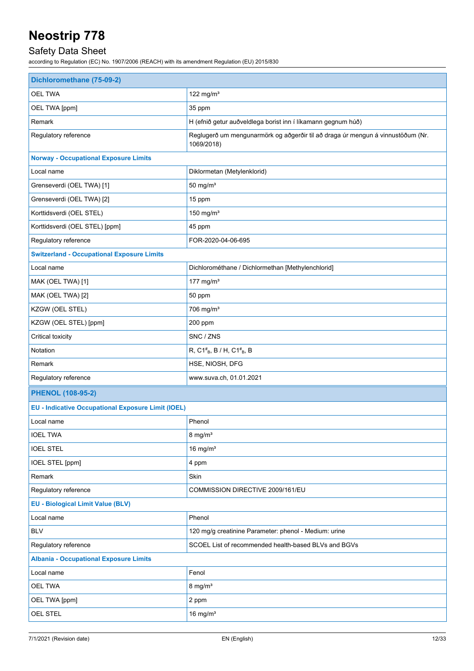## Safety Data Sheet

| 122 mg/m $3$<br><b>OEL TWA</b><br>OEL TWA [ppm]<br>35 ppm<br>Remark<br>H (efnið getur auðveldlega borist inn í líkamann gegnum húð)<br>Regulatory reference<br>Reglugerð um mengunarmörk og aðgerðir til að draga úr mengun á vinnustöðum (Nr.<br>1069/2018)<br><b>Norway - Occupational Exposure Limits</b><br>Local name<br>Diklormetan (Metylenklorid)<br>$50$ mg/m <sup>3</sup><br>Grenseverdi (OEL TWA) [1]<br>Grenseverdi (OEL TWA) [2]<br>15 ppm<br>Korttidsverdi (OEL STEL)<br>150 mg/ $m3$<br>Korttidsverdi (OEL STEL) [ppm]<br>45 ppm<br>Regulatory reference<br>FOR-2020-04-06-695<br><b>Switzerland - Occupational Exposure Limits</b><br>Local name<br>Dichlorométhane / Dichlormethan [Methylenchlorid]<br>177 mg/m $3$<br>MAK (OEL TWA) [1]<br>MAK (OEL TWA) [2]<br>50 ppm<br>KZGW (OEL STEL)<br>706 mg/m <sup>3</sup><br>KZGW (OEL STEL) [ppm]<br>200 ppm<br>Critical toxicity<br>SNC / ZNS<br>Notation<br>R, C1 <sup>#</sup> <sub>B</sub> , B / H, C1 <sup>#</sup> <sub>B</sub> , B<br>HSE, NIOSH, DFG<br>Remark<br>Regulatory reference<br>www.suva.ch, 01.01.2021<br><b>PHENOL (108-95-2)</b><br><b>EU - Indicative Occupational Exposure Limit (IOEL)</b><br>Local name<br>Phenol<br><b>IOEL TWA</b><br>$8$ mg/m <sup>3</sup><br>16 mg/ $m3$<br><b>IOEL STEL</b><br>IOEL STEL [ppm]<br>4 ppm<br>Remark<br>Skin<br>Regulatory reference<br>COMMISSION DIRECTIVE 2009/161/EU<br><b>EU - Biological Limit Value (BLV)</b><br>Phenol<br>Local name<br><b>BLV</b><br>120 mg/g creatinine Parameter: phenol - Medium: urine<br>Regulatory reference<br>SCOEL List of recommended health-based BLVs and BGVs<br><b>Albania - Occupational Exposure Limits</b><br>Fenol<br>Local name<br><b>OEL TWA</b><br>$8 \text{ mg/m}^3$<br>OEL TWA [ppm]<br>2 ppm<br>OEL STEL<br>16 mg/ $m3$ | Dichloromethane (75-09-2) |  |
|------------------------------------------------------------------------------------------------------------------------------------------------------------------------------------------------------------------------------------------------------------------------------------------------------------------------------------------------------------------------------------------------------------------------------------------------------------------------------------------------------------------------------------------------------------------------------------------------------------------------------------------------------------------------------------------------------------------------------------------------------------------------------------------------------------------------------------------------------------------------------------------------------------------------------------------------------------------------------------------------------------------------------------------------------------------------------------------------------------------------------------------------------------------------------------------------------------------------------------------------------------------------------------------------------------------------------------------------------------------------------------------------------------------------------------------------------------------------------------------------------------------------------------------------------------------------------------------------------------------------------------------------------------------------------------------------------------------------------------------------------------------------------------------------|---------------------------|--|
|                                                                                                                                                                                                                                                                                                                                                                                                                                                                                                                                                                                                                                                                                                                                                                                                                                                                                                                                                                                                                                                                                                                                                                                                                                                                                                                                                                                                                                                                                                                                                                                                                                                                                                                                                                                                |                           |  |
|                                                                                                                                                                                                                                                                                                                                                                                                                                                                                                                                                                                                                                                                                                                                                                                                                                                                                                                                                                                                                                                                                                                                                                                                                                                                                                                                                                                                                                                                                                                                                                                                                                                                                                                                                                                                |                           |  |
|                                                                                                                                                                                                                                                                                                                                                                                                                                                                                                                                                                                                                                                                                                                                                                                                                                                                                                                                                                                                                                                                                                                                                                                                                                                                                                                                                                                                                                                                                                                                                                                                                                                                                                                                                                                                |                           |  |
|                                                                                                                                                                                                                                                                                                                                                                                                                                                                                                                                                                                                                                                                                                                                                                                                                                                                                                                                                                                                                                                                                                                                                                                                                                                                                                                                                                                                                                                                                                                                                                                                                                                                                                                                                                                                |                           |  |
|                                                                                                                                                                                                                                                                                                                                                                                                                                                                                                                                                                                                                                                                                                                                                                                                                                                                                                                                                                                                                                                                                                                                                                                                                                                                                                                                                                                                                                                                                                                                                                                                                                                                                                                                                                                                |                           |  |
|                                                                                                                                                                                                                                                                                                                                                                                                                                                                                                                                                                                                                                                                                                                                                                                                                                                                                                                                                                                                                                                                                                                                                                                                                                                                                                                                                                                                                                                                                                                                                                                                                                                                                                                                                                                                |                           |  |
|                                                                                                                                                                                                                                                                                                                                                                                                                                                                                                                                                                                                                                                                                                                                                                                                                                                                                                                                                                                                                                                                                                                                                                                                                                                                                                                                                                                                                                                                                                                                                                                                                                                                                                                                                                                                |                           |  |
|                                                                                                                                                                                                                                                                                                                                                                                                                                                                                                                                                                                                                                                                                                                                                                                                                                                                                                                                                                                                                                                                                                                                                                                                                                                                                                                                                                                                                                                                                                                                                                                                                                                                                                                                                                                                |                           |  |
|                                                                                                                                                                                                                                                                                                                                                                                                                                                                                                                                                                                                                                                                                                                                                                                                                                                                                                                                                                                                                                                                                                                                                                                                                                                                                                                                                                                                                                                                                                                                                                                                                                                                                                                                                                                                |                           |  |
|                                                                                                                                                                                                                                                                                                                                                                                                                                                                                                                                                                                                                                                                                                                                                                                                                                                                                                                                                                                                                                                                                                                                                                                                                                                                                                                                                                                                                                                                                                                                                                                                                                                                                                                                                                                                |                           |  |
|                                                                                                                                                                                                                                                                                                                                                                                                                                                                                                                                                                                                                                                                                                                                                                                                                                                                                                                                                                                                                                                                                                                                                                                                                                                                                                                                                                                                                                                                                                                                                                                                                                                                                                                                                                                                |                           |  |
|                                                                                                                                                                                                                                                                                                                                                                                                                                                                                                                                                                                                                                                                                                                                                                                                                                                                                                                                                                                                                                                                                                                                                                                                                                                                                                                                                                                                                                                                                                                                                                                                                                                                                                                                                                                                |                           |  |
|                                                                                                                                                                                                                                                                                                                                                                                                                                                                                                                                                                                                                                                                                                                                                                                                                                                                                                                                                                                                                                                                                                                                                                                                                                                                                                                                                                                                                                                                                                                                                                                                                                                                                                                                                                                                |                           |  |
|                                                                                                                                                                                                                                                                                                                                                                                                                                                                                                                                                                                                                                                                                                                                                                                                                                                                                                                                                                                                                                                                                                                                                                                                                                                                                                                                                                                                                                                                                                                                                                                                                                                                                                                                                                                                |                           |  |
|                                                                                                                                                                                                                                                                                                                                                                                                                                                                                                                                                                                                                                                                                                                                                                                                                                                                                                                                                                                                                                                                                                                                                                                                                                                                                                                                                                                                                                                                                                                                                                                                                                                                                                                                                                                                |                           |  |
|                                                                                                                                                                                                                                                                                                                                                                                                                                                                                                                                                                                                                                                                                                                                                                                                                                                                                                                                                                                                                                                                                                                                                                                                                                                                                                                                                                                                                                                                                                                                                                                                                                                                                                                                                                                                |                           |  |
|                                                                                                                                                                                                                                                                                                                                                                                                                                                                                                                                                                                                                                                                                                                                                                                                                                                                                                                                                                                                                                                                                                                                                                                                                                                                                                                                                                                                                                                                                                                                                                                                                                                                                                                                                                                                |                           |  |
|                                                                                                                                                                                                                                                                                                                                                                                                                                                                                                                                                                                                                                                                                                                                                                                                                                                                                                                                                                                                                                                                                                                                                                                                                                                                                                                                                                                                                                                                                                                                                                                                                                                                                                                                                                                                |                           |  |
|                                                                                                                                                                                                                                                                                                                                                                                                                                                                                                                                                                                                                                                                                                                                                                                                                                                                                                                                                                                                                                                                                                                                                                                                                                                                                                                                                                                                                                                                                                                                                                                                                                                                                                                                                                                                |                           |  |
|                                                                                                                                                                                                                                                                                                                                                                                                                                                                                                                                                                                                                                                                                                                                                                                                                                                                                                                                                                                                                                                                                                                                                                                                                                                                                                                                                                                                                                                                                                                                                                                                                                                                                                                                                                                                |                           |  |
|                                                                                                                                                                                                                                                                                                                                                                                                                                                                                                                                                                                                                                                                                                                                                                                                                                                                                                                                                                                                                                                                                                                                                                                                                                                                                                                                                                                                                                                                                                                                                                                                                                                                                                                                                                                                |                           |  |
|                                                                                                                                                                                                                                                                                                                                                                                                                                                                                                                                                                                                                                                                                                                                                                                                                                                                                                                                                                                                                                                                                                                                                                                                                                                                                                                                                                                                                                                                                                                                                                                                                                                                                                                                                                                                |                           |  |
|                                                                                                                                                                                                                                                                                                                                                                                                                                                                                                                                                                                                                                                                                                                                                                                                                                                                                                                                                                                                                                                                                                                                                                                                                                                                                                                                                                                                                                                                                                                                                                                                                                                                                                                                                                                                |                           |  |
|                                                                                                                                                                                                                                                                                                                                                                                                                                                                                                                                                                                                                                                                                                                                                                                                                                                                                                                                                                                                                                                                                                                                                                                                                                                                                                                                                                                                                                                                                                                                                                                                                                                                                                                                                                                                |                           |  |
|                                                                                                                                                                                                                                                                                                                                                                                                                                                                                                                                                                                                                                                                                                                                                                                                                                                                                                                                                                                                                                                                                                                                                                                                                                                                                                                                                                                                                                                                                                                                                                                                                                                                                                                                                                                                |                           |  |
|                                                                                                                                                                                                                                                                                                                                                                                                                                                                                                                                                                                                                                                                                                                                                                                                                                                                                                                                                                                                                                                                                                                                                                                                                                                                                                                                                                                                                                                                                                                                                                                                                                                                                                                                                                                                |                           |  |
|                                                                                                                                                                                                                                                                                                                                                                                                                                                                                                                                                                                                                                                                                                                                                                                                                                                                                                                                                                                                                                                                                                                                                                                                                                                                                                                                                                                                                                                                                                                                                                                                                                                                                                                                                                                                |                           |  |
|                                                                                                                                                                                                                                                                                                                                                                                                                                                                                                                                                                                                                                                                                                                                                                                                                                                                                                                                                                                                                                                                                                                                                                                                                                                                                                                                                                                                                                                                                                                                                                                                                                                                                                                                                                                                |                           |  |
|                                                                                                                                                                                                                                                                                                                                                                                                                                                                                                                                                                                                                                                                                                                                                                                                                                                                                                                                                                                                                                                                                                                                                                                                                                                                                                                                                                                                                                                                                                                                                                                                                                                                                                                                                                                                |                           |  |
|                                                                                                                                                                                                                                                                                                                                                                                                                                                                                                                                                                                                                                                                                                                                                                                                                                                                                                                                                                                                                                                                                                                                                                                                                                                                                                                                                                                                                                                                                                                                                                                                                                                                                                                                                                                                |                           |  |
|                                                                                                                                                                                                                                                                                                                                                                                                                                                                                                                                                                                                                                                                                                                                                                                                                                                                                                                                                                                                                                                                                                                                                                                                                                                                                                                                                                                                                                                                                                                                                                                                                                                                                                                                                                                                |                           |  |
|                                                                                                                                                                                                                                                                                                                                                                                                                                                                                                                                                                                                                                                                                                                                                                                                                                                                                                                                                                                                                                                                                                                                                                                                                                                                                                                                                                                                                                                                                                                                                                                                                                                                                                                                                                                                |                           |  |
|                                                                                                                                                                                                                                                                                                                                                                                                                                                                                                                                                                                                                                                                                                                                                                                                                                                                                                                                                                                                                                                                                                                                                                                                                                                                                                                                                                                                                                                                                                                                                                                                                                                                                                                                                                                                |                           |  |
|                                                                                                                                                                                                                                                                                                                                                                                                                                                                                                                                                                                                                                                                                                                                                                                                                                                                                                                                                                                                                                                                                                                                                                                                                                                                                                                                                                                                                                                                                                                                                                                                                                                                                                                                                                                                |                           |  |
|                                                                                                                                                                                                                                                                                                                                                                                                                                                                                                                                                                                                                                                                                                                                                                                                                                                                                                                                                                                                                                                                                                                                                                                                                                                                                                                                                                                                                                                                                                                                                                                                                                                                                                                                                                                                |                           |  |
|                                                                                                                                                                                                                                                                                                                                                                                                                                                                                                                                                                                                                                                                                                                                                                                                                                                                                                                                                                                                                                                                                                                                                                                                                                                                                                                                                                                                                                                                                                                                                                                                                                                                                                                                                                                                |                           |  |
|                                                                                                                                                                                                                                                                                                                                                                                                                                                                                                                                                                                                                                                                                                                                                                                                                                                                                                                                                                                                                                                                                                                                                                                                                                                                                                                                                                                                                                                                                                                                                                                                                                                                                                                                                                                                |                           |  |
|                                                                                                                                                                                                                                                                                                                                                                                                                                                                                                                                                                                                                                                                                                                                                                                                                                                                                                                                                                                                                                                                                                                                                                                                                                                                                                                                                                                                                                                                                                                                                                                                                                                                                                                                                                                                |                           |  |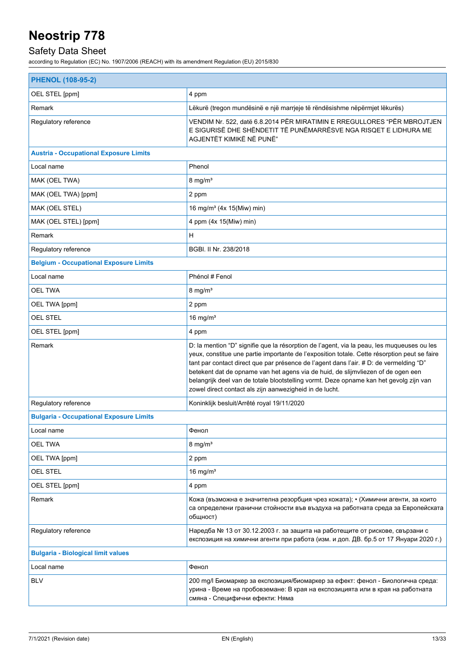## Safety Data Sheet

| <b>PHENOL (108-95-2)</b>                       |                                                                                                                                                                                                                                                                                                                                                                                                                                                                                                                               |  |
|------------------------------------------------|-------------------------------------------------------------------------------------------------------------------------------------------------------------------------------------------------------------------------------------------------------------------------------------------------------------------------------------------------------------------------------------------------------------------------------------------------------------------------------------------------------------------------------|--|
| OEL STEL [ppm]                                 | 4 ppm                                                                                                                                                                                                                                                                                                                                                                                                                                                                                                                         |  |
| Remark                                         | Lëkurë (tregon mundësinë e një marrjeje të rëndësishme nëpërmjet lëkurës)                                                                                                                                                                                                                                                                                                                                                                                                                                                     |  |
| Regulatory reference                           | VENDIM Nr. 522, datë 6.8.2014 PËR MIRATIMIN E RREGULLORES "PËR MBROJTJEN<br>E SIGURISË DHE SHËNDETIT TË PUNËMARRËSVE NGA RISQET E LIDHURA ME<br>AGJENTËT KIMIKË NË PUNË"                                                                                                                                                                                                                                                                                                                                                      |  |
| <b>Austria - Occupational Exposure Limits</b>  |                                                                                                                                                                                                                                                                                                                                                                                                                                                                                                                               |  |
| Local name                                     | Phenol                                                                                                                                                                                                                                                                                                                                                                                                                                                                                                                        |  |
| MAK (OEL TWA)                                  | $8 \text{ mg/m}^3$                                                                                                                                                                                                                                                                                                                                                                                                                                                                                                            |  |
| MAK (OEL TWA) [ppm]                            | 2 ppm                                                                                                                                                                                                                                                                                                                                                                                                                                                                                                                         |  |
| MAK (OEL STEL)                                 | 16 mg/m <sup>3</sup> (4x 15(Miw) min)                                                                                                                                                                                                                                                                                                                                                                                                                                                                                         |  |
| MAK (OEL STEL) [ppm]                           | 4 ppm (4x 15(Miw) min)                                                                                                                                                                                                                                                                                                                                                                                                                                                                                                        |  |
| Remark                                         | H                                                                                                                                                                                                                                                                                                                                                                                                                                                                                                                             |  |
| Regulatory reference                           | BGBI. II Nr. 238/2018                                                                                                                                                                                                                                                                                                                                                                                                                                                                                                         |  |
| <b>Belgium - Occupational Exposure Limits</b>  |                                                                                                                                                                                                                                                                                                                                                                                                                                                                                                                               |  |
| Local name                                     | Phénol # Fenol                                                                                                                                                                                                                                                                                                                                                                                                                                                                                                                |  |
| <b>OEL TWA</b>                                 | $8 \text{ mg/m}^3$                                                                                                                                                                                                                                                                                                                                                                                                                                                                                                            |  |
| OEL TWA [ppm]                                  | 2 ppm                                                                                                                                                                                                                                                                                                                                                                                                                                                                                                                         |  |
| <b>OEL STEL</b>                                | 16 mg/ $m3$                                                                                                                                                                                                                                                                                                                                                                                                                                                                                                                   |  |
| OEL STEL [ppm]                                 | 4 ppm                                                                                                                                                                                                                                                                                                                                                                                                                                                                                                                         |  |
| Remark                                         | D: la mention "D" signifie que la résorption de l'agent, via la peau, les muqueuses ou les<br>yeux, constitue une partie importante de l'exposition totale. Cette résorption peut se faire<br>tant par contact direct que par présence de l'agent dans l'air. # D: de vermelding "D"<br>betekent dat de opname van het agens via de huid, de slijmvliezen of de ogen een<br>belangrijk deel van de totale blootstelling vormt. Deze opname kan het gevolg zijn van<br>zowel direct contact als zijn aanwezigheid in de lucht. |  |
| Regulatory reference                           | Koninklijk besluit/Arrêté royal 19/11/2020                                                                                                                                                                                                                                                                                                                                                                                                                                                                                    |  |
| <b>Bulgaria - Occupational Exposure Limits</b> |                                                                                                                                                                                                                                                                                                                                                                                                                                                                                                                               |  |
| Local name                                     | Фенол                                                                                                                                                                                                                                                                                                                                                                                                                                                                                                                         |  |
| <b>OEL TWA</b>                                 | $8 \text{ mg/m}^3$                                                                                                                                                                                                                                                                                                                                                                                                                                                                                                            |  |
| OEL TWA [ppm]                                  | 2 ppm                                                                                                                                                                                                                                                                                                                                                                                                                                                                                                                         |  |
| OEL STEL                                       | 16 mg/ $m3$                                                                                                                                                                                                                                                                                                                                                                                                                                                                                                                   |  |
| OEL STEL [ppm]                                 | 4 ppm                                                                                                                                                                                                                                                                                                                                                                                                                                                                                                                         |  |
| Remark                                         | Кожа (възможна е значителна резорбция чрез кожата); • (Химични агенти, за които<br>са определени гранични стойности във въздуха на работната среда за Европейската<br>общност)                                                                                                                                                                                                                                                                                                                                                |  |
| Regulatory reference                           | Наредба № 13 от 30.12.2003 г. за защита на работещите от рискове, свързани с<br>експозиция на химични агенти при работа (изм. и доп. ДВ. бр.5 от 17 Януари 2020 г.)                                                                                                                                                                                                                                                                                                                                                           |  |
| <b>Bulgaria - Biological limit values</b>      |                                                                                                                                                                                                                                                                                                                                                                                                                                                                                                                               |  |
| Local name                                     | Фенол                                                                                                                                                                                                                                                                                                                                                                                                                                                                                                                         |  |
| <b>BLV</b>                                     | 200 mg/l Биомаркер за експозиция/биомаркер за ефект: фенол - Биологична среда:<br>урина - Време на пробовземане: В края на експозицията или в края на работната<br>смяна - Специфични ефекти: Няма                                                                                                                                                                                                                                                                                                                            |  |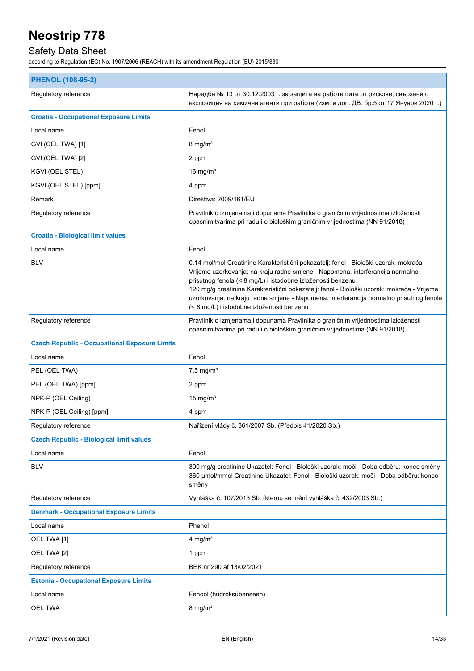## Safety Data Sheet

| <b>PHENOL (108-95-2)</b>                             |                                                                                                                                                                                                                                                                                                                                                                                                                                                                                |  |
|------------------------------------------------------|--------------------------------------------------------------------------------------------------------------------------------------------------------------------------------------------------------------------------------------------------------------------------------------------------------------------------------------------------------------------------------------------------------------------------------------------------------------------------------|--|
| Regulatory reference                                 | Наредба № 13 от 30.12.2003 г. за защита на работещите от рискове, свързани с<br>експозиция на химични агенти при работа (изм. и доп. ДВ. бр.5 от 17 Януари 2020 г.)                                                                                                                                                                                                                                                                                                            |  |
| <b>Croatia - Occupational Exposure Limits</b>        |                                                                                                                                                                                                                                                                                                                                                                                                                                                                                |  |
| Local name                                           | Fenol                                                                                                                                                                                                                                                                                                                                                                                                                                                                          |  |
| GVI (OEL TWA) [1]                                    | $8 \text{ mg/m}^3$                                                                                                                                                                                                                                                                                                                                                                                                                                                             |  |
| GVI (OEL TWA) [2]                                    | 2 ppm                                                                                                                                                                                                                                                                                                                                                                                                                                                                          |  |
| KGVI (OEL STEL)                                      | 16 mg/ $m3$                                                                                                                                                                                                                                                                                                                                                                                                                                                                    |  |
| KGVI (OEL STEL) [ppm]                                | 4 ppm                                                                                                                                                                                                                                                                                                                                                                                                                                                                          |  |
| Remark                                               | Direktiva: 2009/161/EU                                                                                                                                                                                                                                                                                                                                                                                                                                                         |  |
| Regulatory reference                                 | Pravilnik o izmjenama i dopunama Pravilnika o graničnim vrijednostima izloženosti<br>opasnim tvarima pri radu i o biološkim graničnim vrijednostima (NN 91/2018)                                                                                                                                                                                                                                                                                                               |  |
| <b>Croatia - Biological limit values</b>             |                                                                                                                                                                                                                                                                                                                                                                                                                                                                                |  |
| Local name                                           | Fenol                                                                                                                                                                                                                                                                                                                                                                                                                                                                          |  |
| <b>BLV</b>                                           | 0.14 mol/mol Creatinine Karakteristični pokazatelj: fenol - Biološki uzorak: mokraća -<br>Vrijeme uzorkovanja: na kraju radne smjene - Napomena: interferancija normalno<br>prisutnog fenola (< 8 mg/L) i istodobne izloženosti benzenu<br>120 mg/g creatinine Karakteristični pokazatelj: fenol - Biološki uzorak: mokraća - Vrijeme<br>uzorkovanja: na kraju radne smjene - Napomena: interferancija normalno prisutnog fenola<br>(< 8 mg/L) i istodobne izloženosti benzenu |  |
| Regulatory reference                                 | Pravilnik o izmjenama i dopunama Pravilnika o graničnim vrijednostima izloženosti<br>opasnim tvarima pri radu i o biološkim graničnim vrijednostima (NN 91/2018)                                                                                                                                                                                                                                                                                                               |  |
| <b>Czech Republic - Occupational Exposure Limits</b> |                                                                                                                                                                                                                                                                                                                                                                                                                                                                                |  |
| Local name                                           | Fenol                                                                                                                                                                                                                                                                                                                                                                                                                                                                          |  |
| PEL (OEL TWA)                                        | $7.5$ mg/m <sup>3</sup>                                                                                                                                                                                                                                                                                                                                                                                                                                                        |  |
| PEL (OEL TWA) [ppm]                                  | 2 ppm                                                                                                                                                                                                                                                                                                                                                                                                                                                                          |  |
| NPK-P (OEL Ceiling)                                  | 15 mg/ $m3$                                                                                                                                                                                                                                                                                                                                                                                                                                                                    |  |
| NPK-P (OEL Ceiling) [ppm]                            | 4 ppm                                                                                                                                                                                                                                                                                                                                                                                                                                                                          |  |
| Regulatory reference                                 | Nařízení vlády č. 361/2007 Sb. (Předpis 41/2020 Sb.)                                                                                                                                                                                                                                                                                                                                                                                                                           |  |
| <b>Czech Republic - Biological limit values</b>      |                                                                                                                                                                                                                                                                                                                                                                                                                                                                                |  |
| Local name                                           | Fenol                                                                                                                                                                                                                                                                                                                                                                                                                                                                          |  |
| <b>BLV</b>                                           | 300 mg/g creatinine Ukazatel: Fenol - Biološki uzorak: moči - Doba odběru: konec směny<br>360 µmol/mmol Creatinine Ukazatel: Fenol - Biološki uzorak: moči - Doba odběru: konec<br>směny                                                                                                                                                                                                                                                                                       |  |
| Regulatory reference                                 | Vyhláška č. 107/2013 Sb. (kterou se mění vyhláška č. 432/2003 Sb.)                                                                                                                                                                                                                                                                                                                                                                                                             |  |
| <b>Denmark - Occupational Exposure Limits</b>        |                                                                                                                                                                                                                                                                                                                                                                                                                                                                                |  |
| Local name                                           | Phenol                                                                                                                                                                                                                                                                                                                                                                                                                                                                         |  |
| OEL TWA [1]                                          | 4 mg/ $m3$                                                                                                                                                                                                                                                                                                                                                                                                                                                                     |  |
| OEL TWA [2]                                          | 1 ppm                                                                                                                                                                                                                                                                                                                                                                                                                                                                          |  |
| Regulatory reference                                 | BEK nr 290 af 13/02/2021                                                                                                                                                                                                                                                                                                                                                                                                                                                       |  |
| <b>Estonia - Occupational Exposure Limits</b>        |                                                                                                                                                                                                                                                                                                                                                                                                                                                                                |  |
| Local name                                           | Fenool (hüdroksübenseen)                                                                                                                                                                                                                                                                                                                                                                                                                                                       |  |
| <b>OEL TWA</b>                                       | $8$ mg/m <sup>3</sup>                                                                                                                                                                                                                                                                                                                                                                                                                                                          |  |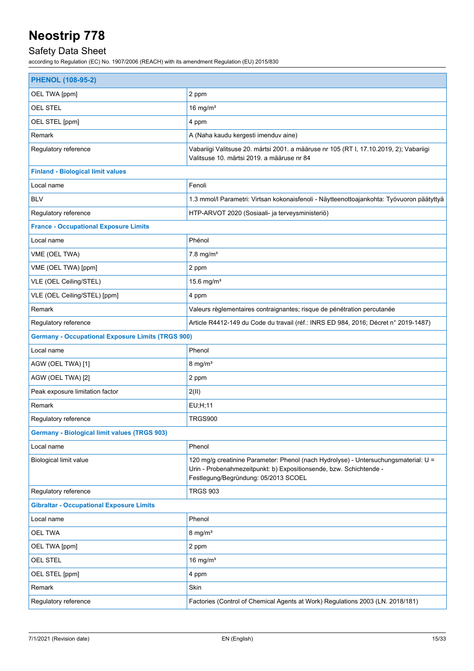## Safety Data Sheet

| <b>PHENOL (108-95-2)</b>                                 |                                                                                                                                                                                                   |
|----------------------------------------------------------|---------------------------------------------------------------------------------------------------------------------------------------------------------------------------------------------------|
| OEL TWA [ppm]                                            | 2 ppm                                                                                                                                                                                             |
| OEL STEL                                                 | 16 mg/ $m3$                                                                                                                                                                                       |
| OEL STEL [ppm]                                           | 4 ppm                                                                                                                                                                                             |
| Remark                                                   | A (Naha kaudu kergesti imenduv aine)                                                                                                                                                              |
| Regulatory reference                                     | Vabariigi Valitsuse 20. märtsi 2001. a määruse nr 105 (RT I, 17.10.2019, 2); Vabariigi<br>Valitsuse 10. märtsi 2019. a määruse nr 84                                                              |
| <b>Finland - Biological limit values</b>                 |                                                                                                                                                                                                   |
| Local name                                               | Fenoli                                                                                                                                                                                            |
| <b>BLV</b>                                               | 1.3 mmol/l Parametri: Virtsan kokonaisfenoli - Näytteenottoajankohta: Työvuoron päätyttyä                                                                                                         |
| Regulatory reference                                     | HTP-ARVOT 2020 (Sosiaali- ja terveysministeriö)                                                                                                                                                   |
| <b>France - Occupational Exposure Limits</b>             |                                                                                                                                                                                                   |
| Local name                                               | Phénol                                                                                                                                                                                            |
| VME (OEL TWA)                                            | $7.8$ mg/m <sup>3</sup>                                                                                                                                                                           |
| VME (OEL TWA) [ppm]                                      | 2 ppm                                                                                                                                                                                             |
| VLE (OEL Ceiling/STEL)                                   | 15.6 mg/ $m3$                                                                                                                                                                                     |
| VLE (OEL Ceiling/STEL) [ppm]                             | 4 ppm                                                                                                                                                                                             |
| Remark                                                   | Valeurs règlementaires contraignantes; risque de pénétration percutanée                                                                                                                           |
| Regulatory reference                                     | Article R4412-149 du Code du travail (réf.: INRS ED 984, 2016; Décret n° 2019-1487)                                                                                                               |
| <b>Germany - Occupational Exposure Limits (TRGS 900)</b> |                                                                                                                                                                                                   |
| Local name                                               | Phenol                                                                                                                                                                                            |
| AGW (OEL TWA) [1]                                        | $8$ mg/m <sup>3</sup>                                                                                                                                                                             |
| AGW (OEL TWA) [2]                                        | 2 ppm                                                                                                                                                                                             |
| Peak exposure limitation factor                          | 2(11)                                                                                                                                                                                             |
| Remark                                                   | EU;H;11                                                                                                                                                                                           |
| Regulatory reference                                     | TRGS900                                                                                                                                                                                           |
| <b>Germany - Biological limit values (TRGS 903)</b>      |                                                                                                                                                                                                   |
| Local name                                               | Phenol                                                                                                                                                                                            |
| Biological limit value                                   | 120 mg/g creatinine Parameter: Phenol (nach Hydrolyse) - Untersuchungsmaterial: U =<br>Urin - Probenahmezeitpunkt: b) Expositionsende, bzw. Schichtende -<br>Festlegung/Begründung: 05/2013 SCOEL |
| Regulatory reference                                     | <b>TRGS 903</b>                                                                                                                                                                                   |
| <b>Gibraltar - Occupational Exposure Limits</b>          |                                                                                                                                                                                                   |
| Local name                                               | Phenol                                                                                                                                                                                            |
| OEL TWA                                                  | $8 \text{ mg/m}^3$                                                                                                                                                                                |
| OEL TWA [ppm]                                            | 2 ppm                                                                                                                                                                                             |
| OEL STEL                                                 | 16 mg/ $m3$                                                                                                                                                                                       |
| OEL STEL [ppm]                                           | 4 ppm                                                                                                                                                                                             |
| Remark                                                   | Skin                                                                                                                                                                                              |
| Regulatory reference                                     | Factories (Control of Chemical Agents at Work) Regulations 2003 (LN. 2018/181)                                                                                                                    |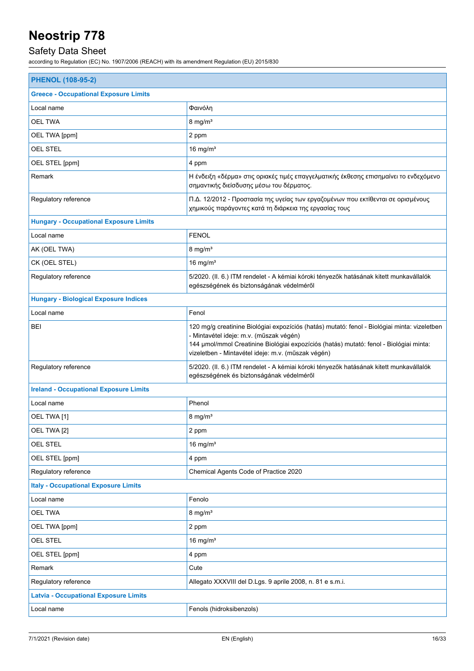## Safety Data Sheet

| <b>PHENOL (108-95-2)</b>                      |                                                                                                                                                                                                                                                                                         |  |
|-----------------------------------------------|-----------------------------------------------------------------------------------------------------------------------------------------------------------------------------------------------------------------------------------------------------------------------------------------|--|
| <b>Greece - Occupational Exposure Limits</b>  |                                                                                                                                                                                                                                                                                         |  |
| Local name                                    | Φαινόλη                                                                                                                                                                                                                                                                                 |  |
| <b>OEL TWA</b>                                | $8 \text{ mg/m}^3$                                                                                                                                                                                                                                                                      |  |
| OEL TWA [ppm]                                 | 2 ppm                                                                                                                                                                                                                                                                                   |  |
| <b>OEL STEL</b>                               | 16 mg/ $m3$                                                                                                                                                                                                                                                                             |  |
| OEL STEL [ppm]                                | 4 ppm                                                                                                                                                                                                                                                                                   |  |
| Remark                                        | Η ένδειξη «δέρμα» στις οριακές τιμές επαγγελματικής έκθεσης επισημαίνει το ενδεχόμενο<br>σημαντικής διείσδυσης μέσω του δέρματος.                                                                                                                                                       |  |
| Regulatory reference                          | Π.Δ. 12/2012 - Προστασία της υγείας των εργαζομένων που εκτίθενται σε ορισμένους<br>χημικούς παράγοντες κατά τη διάρκεια της εργασίας τους                                                                                                                                              |  |
| <b>Hungary - Occupational Exposure Limits</b> |                                                                                                                                                                                                                                                                                         |  |
| Local name                                    | <b>FENOL</b>                                                                                                                                                                                                                                                                            |  |
| AK (OEL TWA)                                  | $8 \text{ mg/m}^3$                                                                                                                                                                                                                                                                      |  |
| CK (OEL STEL)                                 | 16 mg/ $m3$                                                                                                                                                                                                                                                                             |  |
| Regulatory reference                          | 5/2020. (II. 6.) ITM rendelet - A kémiai kóroki tényezők hatásának kitett munkavállalók<br>egészségének és biztonságának védelméről                                                                                                                                                     |  |
| <b>Hungary - Biological Exposure Indices</b>  |                                                                                                                                                                                                                                                                                         |  |
| Local name                                    | Fenol                                                                                                                                                                                                                                                                                   |  |
| BEI                                           | 120 mg/g creatinine Biológiai expozíciós (hatás) mutató: fenol - Biológiai minta: vizeletben<br>- Mintavétel ideje: m.v. (műszak végén)<br>144 µmol/mmol Creatinine Biológiai expozíciós (hatás) mutató: fenol - Biológiai minta:<br>vizeletben - Mintavétel ideje: m.v. (műszak végén) |  |
| Regulatory reference                          | 5/2020. (II. 6.) ITM rendelet - A kémiai kóroki tényezők hatásának kitett munkavállalók<br>egészségének és biztonságának védelméről                                                                                                                                                     |  |
| <b>Ireland - Occupational Exposure Limits</b> |                                                                                                                                                                                                                                                                                         |  |
| Local name                                    | Phenol                                                                                                                                                                                                                                                                                  |  |
| OEL TWA [1]                                   | $8 \text{ mg/m}^3$                                                                                                                                                                                                                                                                      |  |
| OEL TWA [2]                                   | 2 ppm                                                                                                                                                                                                                                                                                   |  |
| OEL STEL                                      | 16 mg/ $m3$                                                                                                                                                                                                                                                                             |  |
| OEL STEL [ppm]                                | 4 ppm                                                                                                                                                                                                                                                                                   |  |
| Regulatory reference                          | Chemical Agents Code of Practice 2020                                                                                                                                                                                                                                                   |  |
| <b>Italy - Occupational Exposure Limits</b>   |                                                                                                                                                                                                                                                                                         |  |
| Local name                                    | Fenolo                                                                                                                                                                                                                                                                                  |  |
| <b>OEL TWA</b>                                | $8 \text{ mg/m}^3$                                                                                                                                                                                                                                                                      |  |
| OEL TWA [ppm]                                 | 2 ppm                                                                                                                                                                                                                                                                                   |  |
| <b>OEL STEL</b>                               | 16 mg/ $m3$                                                                                                                                                                                                                                                                             |  |
| OEL STEL [ppm]                                | 4 ppm                                                                                                                                                                                                                                                                                   |  |
| Remark                                        | Cute                                                                                                                                                                                                                                                                                    |  |
| Regulatory reference                          | Allegato XXXVIII del D.Lgs. 9 aprile 2008, n. 81 e s.m.i.                                                                                                                                                                                                                               |  |
| <b>Latvia - Occupational Exposure Limits</b>  |                                                                                                                                                                                                                                                                                         |  |
| Local name                                    | Fenols (hidroksibenzols)                                                                                                                                                                                                                                                                |  |
|                                               |                                                                                                                                                                                                                                                                                         |  |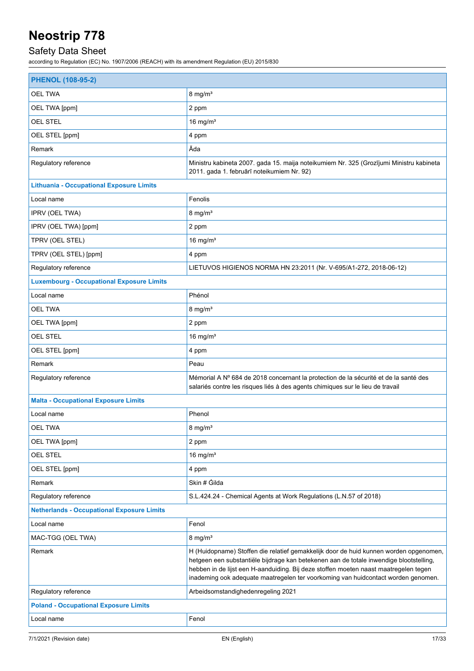## Safety Data Sheet

| <b>PHENOL (108-95-2)</b>                          |                                                                                                                                                                                                                                                                                                                                                              |
|---------------------------------------------------|--------------------------------------------------------------------------------------------------------------------------------------------------------------------------------------------------------------------------------------------------------------------------------------------------------------------------------------------------------------|
| <b>OEL TWA</b>                                    | $8 \text{ mg/m}^3$                                                                                                                                                                                                                                                                                                                                           |
| OEL TWA [ppm]                                     | 2 ppm                                                                                                                                                                                                                                                                                                                                                        |
| OEL STEL                                          | 16 mg/ $m3$                                                                                                                                                                                                                                                                                                                                                  |
| OEL STEL [ppm]                                    | 4 ppm                                                                                                                                                                                                                                                                                                                                                        |
| Remark                                            | Āda                                                                                                                                                                                                                                                                                                                                                          |
| Regulatory reference                              | Ministru kabineta 2007. gada 15. maija noteikumiem Nr. 325 (Grozījumi Ministru kabineta<br>2011. gada 1. februārī noteikumiem Nr. 92)                                                                                                                                                                                                                        |
| <b>Lithuania - Occupational Exposure Limits</b>   |                                                                                                                                                                                                                                                                                                                                                              |
| Local name                                        | Fenolis                                                                                                                                                                                                                                                                                                                                                      |
| IPRV (OEL TWA)                                    | $8 \text{ mg/m}^3$                                                                                                                                                                                                                                                                                                                                           |
| IPRV (OEL TWA) [ppm]                              | 2 ppm                                                                                                                                                                                                                                                                                                                                                        |
| TPRV (OEL STEL)                                   | 16 mg/ $m3$                                                                                                                                                                                                                                                                                                                                                  |
| TPRV (OEL STEL) [ppm]                             | 4 ppm                                                                                                                                                                                                                                                                                                                                                        |
| Regulatory reference                              | LIETUVOS HIGIENOS NORMA HN 23:2011 (Nr. V-695/A1-272, 2018-06-12)                                                                                                                                                                                                                                                                                            |
| <b>Luxembourg - Occupational Exposure Limits</b>  |                                                                                                                                                                                                                                                                                                                                                              |
| Local name                                        | Phénol                                                                                                                                                                                                                                                                                                                                                       |
| <b>OEL TWA</b>                                    | $8 \text{ mg/m}^3$                                                                                                                                                                                                                                                                                                                                           |
| OEL TWA [ppm]                                     | 2 ppm                                                                                                                                                                                                                                                                                                                                                        |
| <b>OEL STEL</b>                                   | 16 mg/ $m3$                                                                                                                                                                                                                                                                                                                                                  |
| OEL STEL [ppm]                                    | 4 ppm                                                                                                                                                                                                                                                                                                                                                        |
| Remark                                            | Peau                                                                                                                                                                                                                                                                                                                                                         |
| Regulatory reference                              | Mémorial A Nº 684 de 2018 concernant la protection de la sécurité et de la santé des<br>salariés contre les risques liés à des agents chimiques sur le lieu de travail                                                                                                                                                                                       |
| <b>Malta - Occupational Exposure Limits</b>       |                                                                                                                                                                                                                                                                                                                                                              |
| Local name                                        | Phenol                                                                                                                                                                                                                                                                                                                                                       |
| <b>OEL TWA</b>                                    | $8 \text{ mg/m}^3$                                                                                                                                                                                                                                                                                                                                           |
| OEL TWA [ppm]                                     | 2 ppm                                                                                                                                                                                                                                                                                                                                                        |
| OEL STEL                                          | 16 mg/ $m3$                                                                                                                                                                                                                                                                                                                                                  |
| OEL STEL [ppm]                                    | 4 ppm                                                                                                                                                                                                                                                                                                                                                        |
| Remark                                            | Skin # Gilda                                                                                                                                                                                                                                                                                                                                                 |
| Regulatory reference                              | S.L.424.24 - Chemical Agents at Work Regulations (L.N.57 of 2018)                                                                                                                                                                                                                                                                                            |
| <b>Netherlands - Occupational Exposure Limits</b> |                                                                                                                                                                                                                                                                                                                                                              |
| Local name                                        | Fenol                                                                                                                                                                                                                                                                                                                                                        |
| MAC-TGG (OEL TWA)                                 | $8 \text{ mg/m}^3$                                                                                                                                                                                                                                                                                                                                           |
| Remark                                            | H (Huidopname) Stoffen die relatief gemakkelijk door de huid kunnen worden opgenomen,<br>hetgeen een substantiële bijdrage kan betekenen aan de totale inwendige blootstelling,<br>hebben in de lijst een H-aanduiding. Bij deze stoffen moeten naast maatregelen tegen<br>inademing ook adequate maatregelen ter voorkoming van huidcontact worden genomen. |
| Regulatory reference                              | Arbeidsomstandighedenregeling 2021                                                                                                                                                                                                                                                                                                                           |
| <b>Poland - Occupational Exposure Limits</b>      |                                                                                                                                                                                                                                                                                                                                                              |
| Local name                                        | Fenol                                                                                                                                                                                                                                                                                                                                                        |
|                                                   |                                                                                                                                                                                                                                                                                                                                                              |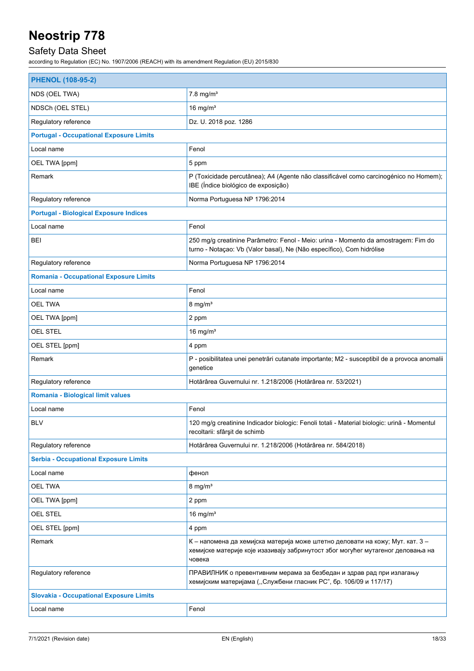## Safety Data Sheet

| <b>PHENOL (108-95-2)</b>                       |                                                                                                                                                                            |  |
|------------------------------------------------|----------------------------------------------------------------------------------------------------------------------------------------------------------------------------|--|
| NDS (OEL TWA)                                  | $7.8$ mg/m <sup>3</sup>                                                                                                                                                    |  |
| NDSCh (OEL STEL)                               | 16 mg/ $m3$                                                                                                                                                                |  |
| Regulatory reference                           | Dz. U. 2018 poz. 1286                                                                                                                                                      |  |
| <b>Portugal - Occupational Exposure Limits</b> |                                                                                                                                                                            |  |
| Local name                                     | Fenol                                                                                                                                                                      |  |
| OEL TWA [ppm]                                  | 5 ppm                                                                                                                                                                      |  |
| Remark                                         | P (Toxicidade percutânea); A4 (Agente não classificável como carcinogénico no Homem);<br>IBE (Índice biológico de exposição)                                               |  |
| Regulatory reference                           | Norma Portuguesa NP 1796:2014                                                                                                                                              |  |
| <b>Portugal - Biological Exposure Indices</b>  |                                                                                                                                                                            |  |
| Local name                                     | Fenol                                                                                                                                                                      |  |
| <b>BEI</b>                                     | 250 mg/g creatinine Parâmetro: Fenol - Meio: urina - Momento da amostragem: Fim do<br>turno - Notaçao: Vb (Valor basal), Ne (Não específico), Com hidrólise                |  |
| Regulatory reference                           | Norma Portuguesa NP 1796:2014                                                                                                                                              |  |
| <b>Romania - Occupational Exposure Limits</b>  |                                                                                                                                                                            |  |
| Local name                                     | Fenol                                                                                                                                                                      |  |
| <b>OEL TWA</b>                                 | $8 \text{ mg/m}^3$                                                                                                                                                         |  |
| OEL TWA [ppm]                                  | 2 ppm                                                                                                                                                                      |  |
| <b>OEL STEL</b>                                | 16 mg/ $m3$                                                                                                                                                                |  |
| OEL STEL [ppm]                                 | 4 ppm                                                                                                                                                                      |  |
| Remark                                         | P - posibilitatea unei penetrări cutanate importante; M2 - susceptibil de a provoca anomalii<br>genetice                                                                   |  |
| Regulatory reference                           | Hotărârea Guvernului nr. 1.218/2006 (Hotărârea nr. 53/2021)                                                                                                                |  |
| Romania - Biological limit values              |                                                                                                                                                                            |  |
| Local name                                     | Fenol                                                                                                                                                                      |  |
| <b>BLV</b>                                     | 120 mg/g creatinine Indicador biologic: Fenoli totali - Material biologic: urină - Momentul<br>recoltarii: sfârșit de schimb                                               |  |
| Regulatory reference                           | Hotărârea Guvernului nr. 1.218/2006 (Hotărârea nr. 584/2018)                                                                                                               |  |
| <b>Serbia - Occupational Exposure Limits</b>   |                                                                                                                                                                            |  |
| Local name                                     | фенол                                                                                                                                                                      |  |
| <b>OEL TWA</b>                                 | $8 \text{ mg/m}^3$                                                                                                                                                         |  |
| OEL TWA [ppm]                                  | 2 ppm                                                                                                                                                                      |  |
| OEL STEL                                       | 16 mg/ $m3$                                                                                                                                                                |  |
| OEL STEL [ppm]                                 | 4 ppm                                                                                                                                                                      |  |
| Remark                                         | К – напомена да хемијска материја може штетно деловати на кожу; Мут. кат. 3 –<br>хемијске материје које изазивају забринутост због могућег мутагеног деловања на<br>човека |  |
| Regulatory reference                           | ПРАВИЛНИК о превентивним мерама за безбедан и здрав рад при излагању<br>хемијским материјама ("Службени гласник РС", бр. 106/09 и 117/17)                                  |  |
| <b>Slovakia - Occupational Exposure Limits</b> |                                                                                                                                                                            |  |
| Local name                                     | Fenol                                                                                                                                                                      |  |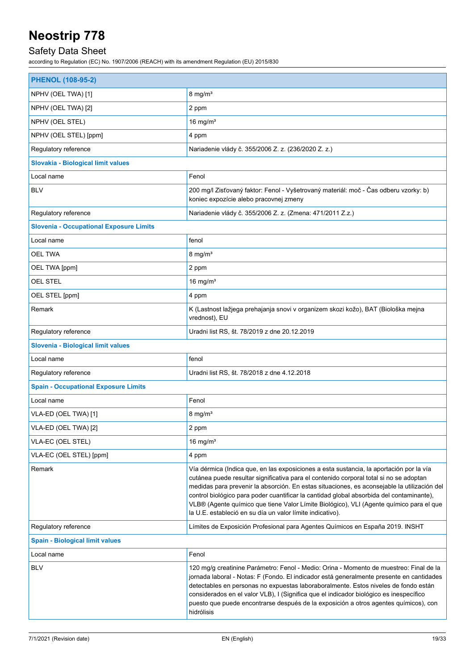## Safety Data Sheet

| <b>PHENOL (108-95-2)</b>                       |                                                                                                                                                                                                                                                                                                                                                                                                                                                                                                                                      |
|------------------------------------------------|--------------------------------------------------------------------------------------------------------------------------------------------------------------------------------------------------------------------------------------------------------------------------------------------------------------------------------------------------------------------------------------------------------------------------------------------------------------------------------------------------------------------------------------|
| NPHV (OEL TWA) [1]                             | $8 \text{ mg/m}^3$                                                                                                                                                                                                                                                                                                                                                                                                                                                                                                                   |
| NPHV (OEL TWA) [2]                             | 2 ppm                                                                                                                                                                                                                                                                                                                                                                                                                                                                                                                                |
| NPHV (OEL STEL)                                | 16 mg/ $m3$                                                                                                                                                                                                                                                                                                                                                                                                                                                                                                                          |
| NPHV (OEL STEL) [ppm]                          | 4 ppm                                                                                                                                                                                                                                                                                                                                                                                                                                                                                                                                |
| Regulatory reference                           | Nariadenie vlády č. 355/2006 Z. z. (236/2020 Z. z.)                                                                                                                                                                                                                                                                                                                                                                                                                                                                                  |
| Slovakia - Biological limit values             |                                                                                                                                                                                                                                                                                                                                                                                                                                                                                                                                      |
| Local name                                     | Fenol                                                                                                                                                                                                                                                                                                                                                                                                                                                                                                                                |
| <b>BLV</b>                                     | 200 mg/l Zisťovaný faktor: Fenol - Vyšetrovaný materiál: moč - Čas odberu vzorky: b)<br>koniec expozície alebo pracovnej zmeny                                                                                                                                                                                                                                                                                                                                                                                                       |
| Regulatory reference                           | Nariadenie vlády č. 355/2006 Z. z. (Zmena: 471/2011 Z.z.)                                                                                                                                                                                                                                                                                                                                                                                                                                                                            |
| <b>Slovenia - Occupational Exposure Limits</b> |                                                                                                                                                                                                                                                                                                                                                                                                                                                                                                                                      |
| Local name                                     | fenol                                                                                                                                                                                                                                                                                                                                                                                                                                                                                                                                |
| <b>OEL TWA</b>                                 | $8 \text{ mg/m}^3$                                                                                                                                                                                                                                                                                                                                                                                                                                                                                                                   |
| OEL TWA [ppm]                                  | 2 ppm                                                                                                                                                                                                                                                                                                                                                                                                                                                                                                                                |
| OEL STEL                                       | 16 mg/ $m3$                                                                                                                                                                                                                                                                                                                                                                                                                                                                                                                          |
| OEL STEL [ppm]                                 | 4 ppm                                                                                                                                                                                                                                                                                                                                                                                                                                                                                                                                |
| Remark                                         | K (Lastnost lažjega prehajanja snovi v organizem skozi kožo), BAT (Biološka mejna<br>vrednost), EU                                                                                                                                                                                                                                                                                                                                                                                                                                   |
| Regulatory reference                           | Uradni list RS, št. 78/2019 z dne 20.12.2019                                                                                                                                                                                                                                                                                                                                                                                                                                                                                         |
| Slovenia - Biological limit values             |                                                                                                                                                                                                                                                                                                                                                                                                                                                                                                                                      |
| Local name                                     | fenol                                                                                                                                                                                                                                                                                                                                                                                                                                                                                                                                |
| Regulatory reference                           | Uradni list RS, št. 78/2018 z dne 4.12.2018                                                                                                                                                                                                                                                                                                                                                                                                                                                                                          |
| <b>Spain - Occupational Exposure Limits</b>    |                                                                                                                                                                                                                                                                                                                                                                                                                                                                                                                                      |
| Local name                                     | Fenol                                                                                                                                                                                                                                                                                                                                                                                                                                                                                                                                |
| VLA-ED (OEL TWA) [1]                           | $8 \text{ mg/m}^3$                                                                                                                                                                                                                                                                                                                                                                                                                                                                                                                   |
| VLA-ED (OEL TWA) [2]                           | 2 ppm                                                                                                                                                                                                                                                                                                                                                                                                                                                                                                                                |
| VLA-EC (OEL STEL)                              | 16 mg/ $m3$                                                                                                                                                                                                                                                                                                                                                                                                                                                                                                                          |
| VLA-EC (OEL STEL) [ppm]                        | 4 ppm                                                                                                                                                                                                                                                                                                                                                                                                                                                                                                                                |
| Remark                                         | Vía dérmica (Indica que, en las exposiciones a esta sustancia, la aportación por la vía<br>cutánea puede resultar significativa para el contenido corporal total si no se adoptan<br>medidas para prevenir la absorción. En estas situaciones, es aconsejable la utilización del<br>control biológico para poder cuantificar la cantidad global absorbida del contaminante),<br>VLB® (Agente químico que tiene Valor Límite Biológico), VLI (Agente químico para el que<br>la U.E. estableció en su día un valor límite indicativo). |
| Regulatory reference                           | Límites de Exposición Profesional para Agentes Químicos en España 2019. INSHT                                                                                                                                                                                                                                                                                                                                                                                                                                                        |
| <b>Spain - Biological limit values</b>         |                                                                                                                                                                                                                                                                                                                                                                                                                                                                                                                                      |
| Local name                                     | Fenol                                                                                                                                                                                                                                                                                                                                                                                                                                                                                                                                |
| <b>BLV</b>                                     | 120 mg/g creatinine Parámetro: Fenol - Medio: Orina - Momento de muestreo: Final de la<br>jornada laboral - Notas: F (Fondo. El indicador está generalmente presente en cantidades<br>detectables en personas no expuestas laboraboralmente. Estos niveles de fondo están<br>considerados en el valor VLB), I (Significa que el indicador biológico es inespecífico<br>puesto que puede encontrarse después de la exposición a otros agentes químicos), con<br>hidrólisis                                                            |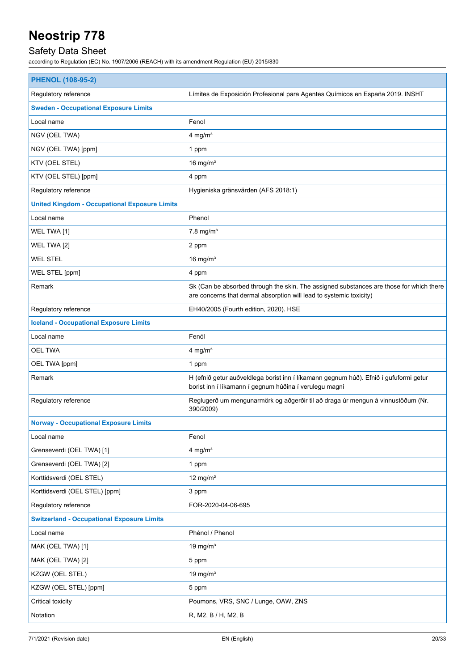## Safety Data Sheet

| <b>PHENOL (108-95-2)</b>                             |                                                                                                                                                                |  |
|------------------------------------------------------|----------------------------------------------------------------------------------------------------------------------------------------------------------------|--|
| Regulatory reference                                 | Límites de Exposición Profesional para Agentes Químicos en España 2019. INSHT                                                                                  |  |
| <b>Sweden - Occupational Exposure Limits</b>         |                                                                                                                                                                |  |
| Local name                                           | Fenol                                                                                                                                                          |  |
| NGV (OEL TWA)                                        | $4$ mg/m <sup>3</sup>                                                                                                                                          |  |
| NGV (OEL TWA) [ppm]                                  | 1 ppm                                                                                                                                                          |  |
| KTV (OEL STEL)                                       | 16 mg/ $m3$                                                                                                                                                    |  |
| KTV (OEL STEL) [ppm]                                 | 4 ppm                                                                                                                                                          |  |
| Regulatory reference                                 | Hygieniska gränsvärden (AFS 2018:1)                                                                                                                            |  |
| <b>United Kingdom - Occupational Exposure Limits</b> |                                                                                                                                                                |  |
| Local name                                           | Phenol                                                                                                                                                         |  |
| WEL TWA [1]                                          | $7.8$ mg/m <sup>3</sup>                                                                                                                                        |  |
| WEL TWA [2]                                          | 2 ppm                                                                                                                                                          |  |
| <b>WEL STEL</b>                                      | 16 mg/ $m3$                                                                                                                                                    |  |
| WEL STEL [ppm]                                       | 4 ppm                                                                                                                                                          |  |
| Remark                                               | Sk (Can be absorbed through the skin. The assigned substances are those for which there<br>are concerns that dermal absorption will lead to systemic toxicity) |  |
| Regulatory reference                                 | EH40/2005 (Fourth edition, 2020). HSE                                                                                                                          |  |
| <b>Iceland - Occupational Exposure Limits</b>        |                                                                                                                                                                |  |
| Local name                                           | Fenól                                                                                                                                                          |  |
| <b>OEL TWA</b>                                       | $4$ mg/m <sup>3</sup>                                                                                                                                          |  |
| OEL TWA [ppm]                                        | 1 ppm                                                                                                                                                          |  |
| Remark                                               | H (efnið getur auðveldlega borist inn í líkamann gegnum húð). Efnið í gufuformi getur<br>borist inn í líkamann í gegnum húðina í verulegu magni                |  |
| Regulatory reference                                 | Reglugerð um mengunarmörk og aðgerðir til að draga úr mengun á vinnustöðum (Nr.<br>390/2009)                                                                   |  |
| <b>Norway - Occupational Exposure Limits</b>         |                                                                                                                                                                |  |
| Local name                                           | Fenol                                                                                                                                                          |  |
| Grenseverdi (OEL TWA) [1]                            | $4$ mg/m <sup>3</sup>                                                                                                                                          |  |
| Grenseverdi (OEL TWA) [2]                            | 1 ppm                                                                                                                                                          |  |
| Korttidsverdi (OEL STEL)                             | 12 mg/ $m3$                                                                                                                                                    |  |
| Korttidsverdi (OEL STEL) [ppm]                       | 3 ppm                                                                                                                                                          |  |
| Regulatory reference                                 | FOR-2020-04-06-695                                                                                                                                             |  |
| <b>Switzerland - Occupational Exposure Limits</b>    |                                                                                                                                                                |  |
| Local name                                           | Phénol / Phenol                                                                                                                                                |  |
| MAK (OEL TWA) [1]                                    | 19 mg/ $m3$                                                                                                                                                    |  |
| MAK (OEL TWA) [2]                                    | 5 ppm                                                                                                                                                          |  |
| KZGW (OEL STEL)                                      | 19 mg/ $m3$                                                                                                                                                    |  |
| KZGW (OEL STEL) [ppm]                                | 5 ppm                                                                                                                                                          |  |
| Critical toxicity                                    | Poumons, VRS, SNC / Lunge, OAW, ZNS                                                                                                                            |  |
| Notation                                             | R, M2, B / H, M2, B                                                                                                                                            |  |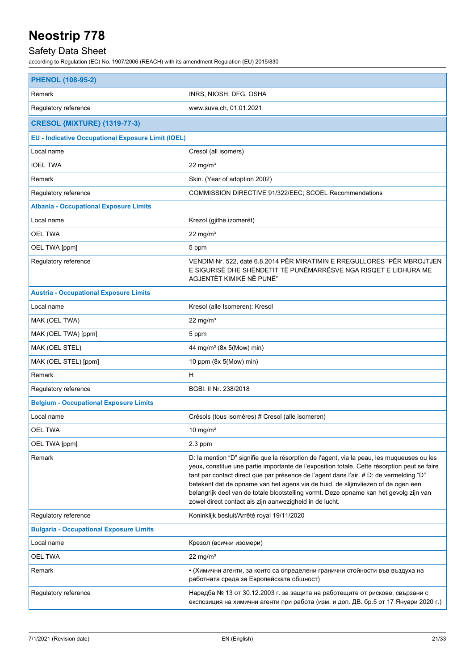## Safety Data Sheet

| <b>PHENOL (108-95-2)</b>                                  |                                                                                                                                                                                                                                                                                                                                                                                                                                                                                                                               |  |  |
|-----------------------------------------------------------|-------------------------------------------------------------------------------------------------------------------------------------------------------------------------------------------------------------------------------------------------------------------------------------------------------------------------------------------------------------------------------------------------------------------------------------------------------------------------------------------------------------------------------|--|--|
| Remark                                                    | INRS, NIOSH, DFG, OSHA                                                                                                                                                                                                                                                                                                                                                                                                                                                                                                        |  |  |
| Regulatory reference                                      | www.suva.ch, 01.01.2021                                                                                                                                                                                                                                                                                                                                                                                                                                                                                                       |  |  |
| <b>CRESOL {MIXTURE} (1319-77-3)</b>                       |                                                                                                                                                                                                                                                                                                                                                                                                                                                                                                                               |  |  |
| <b>EU - Indicative Occupational Exposure Limit (IOEL)</b> |                                                                                                                                                                                                                                                                                                                                                                                                                                                                                                                               |  |  |
| Local name                                                | Cresol (all isomers)                                                                                                                                                                                                                                                                                                                                                                                                                                                                                                          |  |  |
| <b>IOEL TWA</b>                                           | $22 \text{ mg/m}^3$                                                                                                                                                                                                                                                                                                                                                                                                                                                                                                           |  |  |
| Remark                                                    | Skin. (Year of adoption 2002)                                                                                                                                                                                                                                                                                                                                                                                                                                                                                                 |  |  |
| Regulatory reference                                      | COMMISSION DIRECTIVE 91/322/EEC; SCOEL Recommendations                                                                                                                                                                                                                                                                                                                                                                                                                                                                        |  |  |
| <b>Albania - Occupational Exposure Limits</b>             |                                                                                                                                                                                                                                                                                                                                                                                                                                                                                                                               |  |  |
| Local name                                                | Krezol (gjithë izomerët)                                                                                                                                                                                                                                                                                                                                                                                                                                                                                                      |  |  |
| <b>OEL TWA</b>                                            | $22 \text{ mg/m}^3$                                                                                                                                                                                                                                                                                                                                                                                                                                                                                                           |  |  |
| OEL TWA [ppm]                                             | 5 ppm                                                                                                                                                                                                                                                                                                                                                                                                                                                                                                                         |  |  |
| Regulatory reference                                      | VENDIM Nr. 522, datë 6.8.2014 PËR MIRATIMIN E RREGULLORES "PËR MBROJTJEN<br>E SIGURISË DHE SHËNDETIT TË PUNËMARRËSVE NGA RISQET E LIDHURA ME<br>AGJENTËT KIMIKË NË PUNË"                                                                                                                                                                                                                                                                                                                                                      |  |  |
| <b>Austria - Occupational Exposure Limits</b>             |                                                                                                                                                                                                                                                                                                                                                                                                                                                                                                                               |  |  |
| Local name                                                | Kresol (alle Isomeren): Kresol                                                                                                                                                                                                                                                                                                                                                                                                                                                                                                |  |  |
| MAK (OEL TWA)                                             | $22$ mg/m <sup>3</sup>                                                                                                                                                                                                                                                                                                                                                                                                                                                                                                        |  |  |
| MAK (OEL TWA) [ppm]                                       | 5 ppm                                                                                                                                                                                                                                                                                                                                                                                                                                                                                                                         |  |  |
| MAK (OEL STEL)                                            | 44 mg/m <sup>3</sup> (8x 5(Mow) min)                                                                                                                                                                                                                                                                                                                                                                                                                                                                                          |  |  |
| MAK (OEL STEL) [ppm]                                      | 10 ppm (8x 5(Mow) min)                                                                                                                                                                                                                                                                                                                                                                                                                                                                                                        |  |  |
| Remark                                                    | н                                                                                                                                                                                                                                                                                                                                                                                                                                                                                                                             |  |  |
| Regulatory reference                                      | BGBI. II Nr. 238/2018                                                                                                                                                                                                                                                                                                                                                                                                                                                                                                         |  |  |
| <b>Belgium - Occupational Exposure Limits</b>             |                                                                                                                                                                                                                                                                                                                                                                                                                                                                                                                               |  |  |
| Local name                                                | Crésols (tous isomères) # Cresol (alle isomeren)                                                                                                                                                                                                                                                                                                                                                                                                                                                                              |  |  |
| <b>OEL TWA</b>                                            | 10 mg/ $m3$                                                                                                                                                                                                                                                                                                                                                                                                                                                                                                                   |  |  |
| OEL TWA [ppm]                                             | $2.3$ ppm                                                                                                                                                                                                                                                                                                                                                                                                                                                                                                                     |  |  |
| Remark                                                    | D: la mention "D" signifie que la résorption de l'agent, via la peau, les muqueuses ou les<br>yeux, constitue une partie importante de l'exposition totale. Cette résorption peut se faire<br>tant par contact direct que par présence de l'agent dans l'air. # D: de vermelding "D"<br>betekent dat de opname van het agens via de huid, de slijmvliezen of de ogen een<br>belangrijk deel van de totale blootstelling vormt. Deze opname kan het gevolg zijn van<br>zowel direct contact als zijn aanwezigheid in de lucht. |  |  |
| Regulatory reference                                      | Koninklijk besluit/Arrêté royal 19/11/2020                                                                                                                                                                                                                                                                                                                                                                                                                                                                                    |  |  |
| <b>Bulgaria - Occupational Exposure Limits</b>            |                                                                                                                                                                                                                                                                                                                                                                                                                                                                                                                               |  |  |
| Local name                                                | Крезол (всички изомери)                                                                                                                                                                                                                                                                                                                                                                                                                                                                                                       |  |  |
| <b>OEL TWA</b>                                            | $22 \text{ mg/m}^3$                                                                                                                                                                                                                                                                                                                                                                                                                                                                                                           |  |  |
| Remark                                                    | • (Химични агенти, за които са определени гранични стойности във въздуха на<br>работната среда за Европейската общност)                                                                                                                                                                                                                                                                                                                                                                                                       |  |  |
| Regulatory reference                                      | Наредба № 13 от 30.12.2003 г. за защита на работещите от рискове, свързани с<br>експозиция на химични агенти при работа (изм. и доп. ДВ. бр.5 от 17 Януари 2020 г.)                                                                                                                                                                                                                                                                                                                                                           |  |  |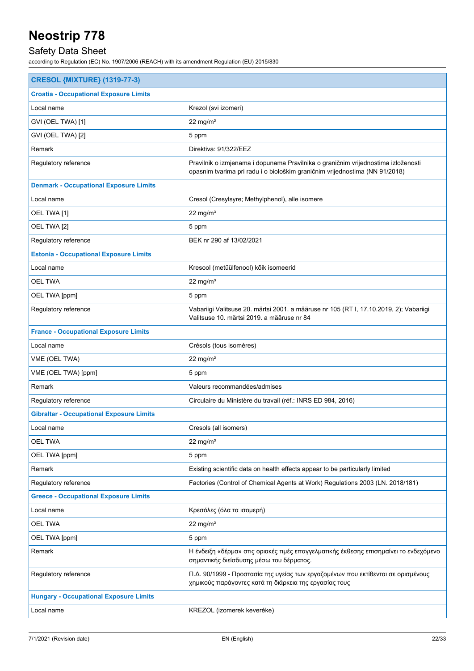## Safety Data Sheet

| <b>CRESOL {MIXTURE} (1319-77-3)</b>             |                                                                                                                                                                  |  |
|-------------------------------------------------|------------------------------------------------------------------------------------------------------------------------------------------------------------------|--|
| <b>Croatia - Occupational Exposure Limits</b>   |                                                                                                                                                                  |  |
| Local name                                      | Krezol (svi izomeri)                                                                                                                                             |  |
| GVI (OEL TWA) [1]                               | 22 mg/ $m3$                                                                                                                                                      |  |
| GVI (OEL TWA) [2]                               | 5 ppm                                                                                                                                                            |  |
| Remark                                          | Direktiva: 91/322/EEZ                                                                                                                                            |  |
| Regulatory reference                            | Pravilnik o izmjenama i dopunama Pravilnika o graničnim vrijednostima izloženosti<br>opasnim tvarima pri radu i o biološkim graničnim vrijednostima (NN 91/2018) |  |
| <b>Denmark - Occupational Exposure Limits</b>   |                                                                                                                                                                  |  |
| Local name                                      | Cresol (Cresylsyre; Methylphenol), alle isomere                                                                                                                  |  |
| OEL TWA [1]                                     | $22$ mg/m <sup>3</sup>                                                                                                                                           |  |
| OEL TWA [2]                                     | 5 ppm                                                                                                                                                            |  |
| Regulatory reference                            | BEK nr 290 af 13/02/2021                                                                                                                                         |  |
| <b>Estonia - Occupational Exposure Limits</b>   |                                                                                                                                                                  |  |
| Local name                                      | Kresool (metüülfenool) kõik isomeerid                                                                                                                            |  |
| <b>OEL TWA</b>                                  | 22 mg/ $m3$                                                                                                                                                      |  |
| OEL TWA [ppm]                                   | 5 ppm                                                                                                                                                            |  |
| Regulatory reference                            | Vabariigi Valitsuse 20. märtsi 2001. a määruse nr 105 (RT I, 17.10.2019, 2); Vabariigi<br>Valitsuse 10. märtsi 2019. a määruse nr 84                             |  |
| <b>France - Occupational Exposure Limits</b>    |                                                                                                                                                                  |  |
| Local name                                      | Crésols (tous isomères)                                                                                                                                          |  |
| VME (OEL TWA)                                   | $22$ mg/m <sup>3</sup>                                                                                                                                           |  |
| VME (OEL TWA) [ppm]                             | 5 ppm                                                                                                                                                            |  |
| Remark                                          | Valeurs recommandées/admises                                                                                                                                     |  |
| Regulatory reference                            | Circulaire du Ministère du travail (réf.: INRS ED 984, 2016)                                                                                                     |  |
| <b>Gibraltar - Occupational Exposure Limits</b> |                                                                                                                                                                  |  |
| Local name                                      | Cresols (all isomers)                                                                                                                                            |  |
| <b>OEL TWA</b>                                  | $22$ mg/m <sup>3</sup>                                                                                                                                           |  |
| OEL TWA [ppm]                                   | 5 ppm                                                                                                                                                            |  |
| Remark                                          | Existing scientific data on health effects appear to be particularly limited                                                                                     |  |
| Regulatory reference                            | Factories (Control of Chemical Agents at Work) Regulations 2003 (LN. 2018/181)                                                                                   |  |
| <b>Greece - Occupational Exposure Limits</b>    |                                                                                                                                                                  |  |
| Local name                                      | Κρεσόλες (όλα τα ισομερή)                                                                                                                                        |  |
| <b>OEL TWA</b>                                  | $22$ mg/m <sup>3</sup>                                                                                                                                           |  |
| OEL TWA [ppm]                                   | 5 ppm                                                                                                                                                            |  |
| Remark                                          | Η ένδειξη «δέρμα» στις οριακές τιμές επαγγελματικής έκθεσης επισημαίνει το ενδεχόμενο<br>σημαντικής διείσδυσης μέσω του δέρματος.                                |  |
| Regulatory reference                            | Π.Δ. 90/1999 - Προστασία της υγείας των εργαζομένων που εκτίθενται σε ορισμένους<br>χημικούς παράγοντες κατά τη διάρκεια της εργασίας τους                       |  |
| <b>Hungary - Occupational Exposure Limits</b>   |                                                                                                                                                                  |  |
| Local name                                      | KREZOL (izomerek keveréke)                                                                                                                                       |  |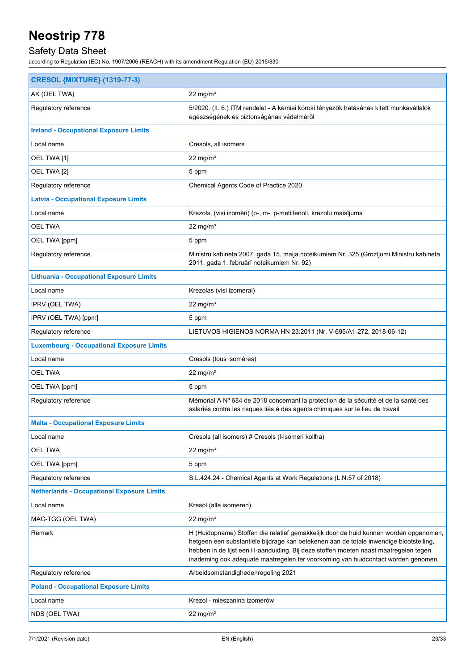## Safety Data Sheet

| <b>CRESOL {MIXTURE} (1319-77-3)</b>               |                                                                                                                                                                                                                                                                                                                                                              |  |  |
|---------------------------------------------------|--------------------------------------------------------------------------------------------------------------------------------------------------------------------------------------------------------------------------------------------------------------------------------------------------------------------------------------------------------------|--|--|
| AK (OEL TWA)                                      | 22 mg/ $m3$                                                                                                                                                                                                                                                                                                                                                  |  |  |
| Regulatory reference                              | 5/2020. (II. 6.) ITM rendelet - A kémiai kóroki tényezők hatásának kitett munkavállalók<br>egészségének és biztonságának védelméről                                                                                                                                                                                                                          |  |  |
| <b>Ireland - Occupational Exposure Limits</b>     |                                                                                                                                                                                                                                                                                                                                                              |  |  |
| Local name                                        | Cresols, all isomers                                                                                                                                                                                                                                                                                                                                         |  |  |
| OEL TWA [1]                                       | 22 mg/ $m3$                                                                                                                                                                                                                                                                                                                                                  |  |  |
| OEL TWA [2]                                       | 5 ppm                                                                                                                                                                                                                                                                                                                                                        |  |  |
| Regulatory reference                              | Chemical Agents Code of Practice 2020                                                                                                                                                                                                                                                                                                                        |  |  |
| <b>Latvia - Occupational Exposure Limits</b>      |                                                                                                                                                                                                                                                                                                                                                              |  |  |
| Local name                                        | Krezols, (visi izomēri) (o-, m-, p-metilfenoli, krezolu maisījums                                                                                                                                                                                                                                                                                            |  |  |
| <b>OEL TWA</b>                                    | 22 mg/ $m3$                                                                                                                                                                                                                                                                                                                                                  |  |  |
| OEL TWA [ppm]                                     | 5 ppm                                                                                                                                                                                                                                                                                                                                                        |  |  |
| Regulatory reference                              | Ministru kabineta 2007. gada 15. maija noteikumiem Nr. 325 (Grozījumi Ministru kabineta<br>2011. gada 1. februārī noteikumiem Nr. 92)                                                                                                                                                                                                                        |  |  |
| <b>Lithuania - Occupational Exposure Limits</b>   |                                                                                                                                                                                                                                                                                                                                                              |  |  |
| Local name                                        | Krezolas (visi izomerai)                                                                                                                                                                                                                                                                                                                                     |  |  |
| IPRV (OEL TWA)                                    | 22 mg/ $m3$                                                                                                                                                                                                                                                                                                                                                  |  |  |
| IPRV (OEL TWA) [ppm]                              | 5 ppm                                                                                                                                                                                                                                                                                                                                                        |  |  |
| Regulatory reference                              | LIETUVOS HIGIENOS NORMA HN 23:2011 (Nr. V-695/A1-272, 2018-06-12)                                                                                                                                                                                                                                                                                            |  |  |
| <b>Luxembourg - Occupational Exposure Limits</b>  |                                                                                                                                                                                                                                                                                                                                                              |  |  |
| Local name                                        | Cresols (tous isomères)                                                                                                                                                                                                                                                                                                                                      |  |  |
| <b>OEL TWA</b>                                    | $22$ mg/m <sup>3</sup>                                                                                                                                                                                                                                                                                                                                       |  |  |
| OEL TWA [ppm]                                     | 5 ppm                                                                                                                                                                                                                                                                                                                                                        |  |  |
| Regulatory reference                              | Mémorial A Nº 684 de 2018 concernant la protection de la sécurité et de la santé des<br>salariés contre les risques liés à des agents chimiques sur le lieu de travail                                                                                                                                                                                       |  |  |
| <b>Malta - Occupational Exposure Limits</b>       |                                                                                                                                                                                                                                                                                                                                                              |  |  |
| Local name                                        | Cresols (all isomers) # Cresols (I-isomeri kollha)                                                                                                                                                                                                                                                                                                           |  |  |
| <b>OEL TWA</b>                                    | $22 \text{ mg/m}^3$                                                                                                                                                                                                                                                                                                                                          |  |  |
| OEL TWA [ppm]                                     | 5 ppm                                                                                                                                                                                                                                                                                                                                                        |  |  |
| Regulatory reference                              | S.L.424.24 - Chemical Agents at Work Regulations (L.N.57 of 2018)                                                                                                                                                                                                                                                                                            |  |  |
| <b>Netherlands - Occupational Exposure Limits</b> |                                                                                                                                                                                                                                                                                                                                                              |  |  |
| Local name                                        | Kresol (alle isomeren)                                                                                                                                                                                                                                                                                                                                       |  |  |
| MAC-TGG (OEL TWA)                                 | 22 mg/ $m3$                                                                                                                                                                                                                                                                                                                                                  |  |  |
| Remark                                            | H (Huidopname) Stoffen die relatief gemakkelijk door de huid kunnen worden opgenomen,<br>hetgeen een substantiële bijdrage kan betekenen aan de totale inwendige blootstelling,<br>hebben in de lijst een H-aanduiding. Bij deze stoffen moeten naast maatregelen tegen<br>inademing ook adequate maatregelen ter voorkoming van huidcontact worden genomen. |  |  |
| Regulatory reference                              | Arbeidsomstandighedenregeling 2021                                                                                                                                                                                                                                                                                                                           |  |  |
| <b>Poland - Occupational Exposure Limits</b>      |                                                                                                                                                                                                                                                                                                                                                              |  |  |
| Local name                                        | Krezol - mieszanina izomerów                                                                                                                                                                                                                                                                                                                                 |  |  |
| NDS (OEL TWA)                                     | $22 \text{ mg/m}^3$                                                                                                                                                                                                                                                                                                                                          |  |  |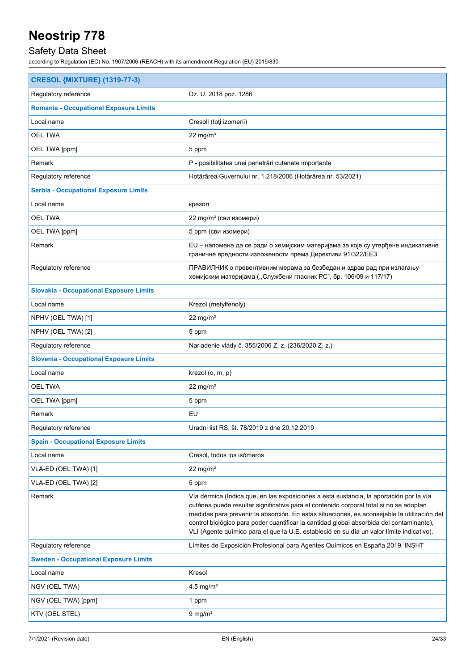## Safety Data Sheet

| <b>CRESOL {MIXTURE} (1319-77-3)</b>            |                                                                                                                                                                                                                                                                                                                                                                                                                                                                           |  |
|------------------------------------------------|---------------------------------------------------------------------------------------------------------------------------------------------------------------------------------------------------------------------------------------------------------------------------------------------------------------------------------------------------------------------------------------------------------------------------------------------------------------------------|--|
| Regulatory reference                           | Dz. U. 2018 poz. 1286                                                                                                                                                                                                                                                                                                                                                                                                                                                     |  |
| <b>Romania - Occupational Exposure Limits</b>  |                                                                                                                                                                                                                                                                                                                                                                                                                                                                           |  |
| Local name                                     | Cresoli (toți izomerii)                                                                                                                                                                                                                                                                                                                                                                                                                                                   |  |
| <b>OEL TWA</b>                                 | 22 mg/ $m3$                                                                                                                                                                                                                                                                                                                                                                                                                                                               |  |
| OEL TWA [ppm]                                  | 5 ppm                                                                                                                                                                                                                                                                                                                                                                                                                                                                     |  |
| Remark                                         | P - posibilitatea unei penetrări cutanate importante                                                                                                                                                                                                                                                                                                                                                                                                                      |  |
| Regulatory reference                           | Hotărârea Guvernului nr. 1.218/2006 (Hotărârea nr. 53/2021)                                                                                                                                                                                                                                                                                                                                                                                                               |  |
| <b>Serbia - Occupational Exposure Limits</b>   |                                                                                                                                                                                                                                                                                                                                                                                                                                                                           |  |
| Local name                                     | крезол                                                                                                                                                                                                                                                                                                                                                                                                                                                                    |  |
| <b>OEL TWA</b>                                 | 22 mg/m <sup>3</sup> (сви изомери)                                                                                                                                                                                                                                                                                                                                                                                                                                        |  |
| OEL TWA [ppm]                                  | 5 ppm (сви изомери)                                                                                                                                                                                                                                                                                                                                                                                                                                                       |  |
| Remark                                         | EU – напомена да се ради о хемијским материјама за које су утврђене индикативне<br>граничне вредности изложености према Директиви 91/322/ЕЕЗ                                                                                                                                                                                                                                                                                                                              |  |
| Regulatory reference                           | ПРАВИЛНИК о превентивним мерама за безбедан и здрав рад при излагању<br>хемијским материјама ("Службени гласник РС", бр. 106/09 и 117/17)                                                                                                                                                                                                                                                                                                                                 |  |
| <b>Slovakia - Occupational Exposure Limits</b> |                                                                                                                                                                                                                                                                                                                                                                                                                                                                           |  |
| Local name                                     | Krezol (metylfenoly)                                                                                                                                                                                                                                                                                                                                                                                                                                                      |  |
| NPHV (OEL TWA) [1]                             | $22$ mg/m <sup>3</sup>                                                                                                                                                                                                                                                                                                                                                                                                                                                    |  |
| NPHV (OEL TWA) [2]                             | 5 ppm                                                                                                                                                                                                                                                                                                                                                                                                                                                                     |  |
| Regulatory reference                           | Nariadenie vlády č. 355/2006 Z. z. (236/2020 Z. z.)                                                                                                                                                                                                                                                                                                                                                                                                                       |  |
| <b>Slovenia - Occupational Exposure Limits</b> |                                                                                                                                                                                                                                                                                                                                                                                                                                                                           |  |
| Local name                                     | krezol (o, m, p)                                                                                                                                                                                                                                                                                                                                                                                                                                                          |  |
| <b>OEL TWA</b>                                 | 22 mg/ $m3$                                                                                                                                                                                                                                                                                                                                                                                                                                                               |  |
| OEL TWA [ppm]                                  | 5 ppm                                                                                                                                                                                                                                                                                                                                                                                                                                                                     |  |
| Remark                                         | EU                                                                                                                                                                                                                                                                                                                                                                                                                                                                        |  |
| Regulatory reference                           | Uradni list RS, št. 78/2019 z dne 20.12.2019                                                                                                                                                                                                                                                                                                                                                                                                                              |  |
| <b>Spain - Occupational Exposure Limits</b>    |                                                                                                                                                                                                                                                                                                                                                                                                                                                                           |  |
| Local name                                     | Cresol, todos los isómeros                                                                                                                                                                                                                                                                                                                                                                                                                                                |  |
| VLA-ED (OEL TWA) [1]                           | $22$ mg/m <sup>3</sup>                                                                                                                                                                                                                                                                                                                                                                                                                                                    |  |
| VLA-ED (OEL TWA) [2]                           | 5 ppm                                                                                                                                                                                                                                                                                                                                                                                                                                                                     |  |
| Remark                                         | Vía dérmica (Indica que, en las exposiciones a esta sustancia, la aportación por la vía<br>cutánea puede resultar significativa para el contenido corporal total si no se adoptan<br>medidas para prevenir la absorción. En estas situaciones, es aconsejable la utilización del<br>control biológico para poder cuantificar la cantidad global absorbida del contaminante),<br>VLI (Agente químico para el que la U.E. estableció en su día un valor límite indicativo). |  |
| Regulatory reference                           | Límites de Exposición Profesional para Agentes Químicos en España 2019. INSHT                                                                                                                                                                                                                                                                                                                                                                                             |  |
| <b>Sweden - Occupational Exposure Limits</b>   |                                                                                                                                                                                                                                                                                                                                                                                                                                                                           |  |
| Local name                                     | Kresol                                                                                                                                                                                                                                                                                                                                                                                                                                                                    |  |
| NGV (OEL TWA)                                  | 4.5 mg/m <sup>3</sup>                                                                                                                                                                                                                                                                                                                                                                                                                                                     |  |
| NGV (OEL TWA) [ppm]                            | 1 ppm                                                                                                                                                                                                                                                                                                                                                                                                                                                                     |  |
| KTV (OEL STEL)                                 | $9 \text{ mg/m}^3$                                                                                                                                                                                                                                                                                                                                                                                                                                                        |  |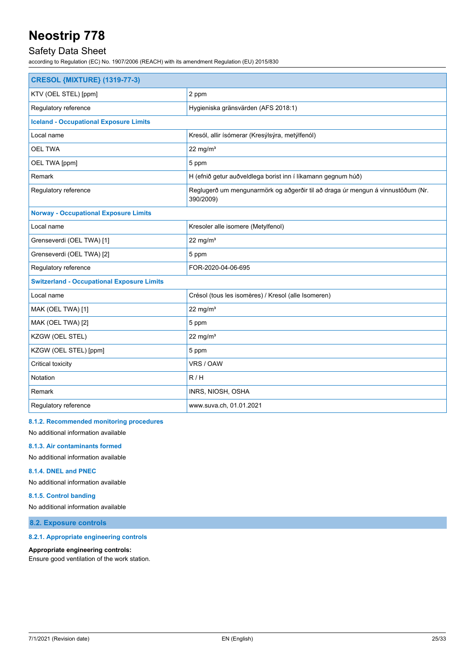### Safety Data Sheet

according to Regulation (EC) No. 1907/2006 (REACH) with its amendment Regulation (EU) 2015/830

| <b>CRESOL {MIXTURE} (1319-77-3)</b>               |                                                                                              |  |
|---------------------------------------------------|----------------------------------------------------------------------------------------------|--|
| KTV (OEL STEL) [ppm]                              | 2 ppm                                                                                        |  |
| Regulatory reference                              | Hygieniska gränsvärden (AFS 2018:1)                                                          |  |
| <b>Iceland - Occupational Exposure Limits</b>     |                                                                                              |  |
| Local name                                        | Kresól, allir ísómerar (Kresýlsýra, metýlfenól)                                              |  |
| <b>OEL TWA</b>                                    | $22$ mg/m <sup>3</sup>                                                                       |  |
| OEL TWA [ppm]                                     | 5 ppm                                                                                        |  |
| Remark                                            | H (efnið getur auðveldlega borist inn í líkamann gegnum húð)                                 |  |
| Regulatory reference                              | Reglugerð um mengunarmörk og aðgerðir til að draga úr mengun á vinnustöðum (Nr.<br>390/2009) |  |
| <b>Norway - Occupational Exposure Limits</b>      |                                                                                              |  |
| Local name                                        | Kresoler alle isomere (Metylfenol)                                                           |  |
| Grenseverdi (OEL TWA) [1]                         | 22 mg/m $3$                                                                                  |  |
| Grenseverdi (OEL TWA) [2]                         | 5 ppm                                                                                        |  |
| Regulatory reference                              | FOR-2020-04-06-695                                                                           |  |
| <b>Switzerland - Occupational Exposure Limits</b> |                                                                                              |  |
| Local name                                        | Crésol (tous les isomères) / Kresol (alle Isomeren)                                          |  |
| MAK (OEL TWA) [1]                                 | 22 mg/ $m3$                                                                                  |  |
| MAK (OEL TWA) [2]                                 | 5 ppm                                                                                        |  |
| KZGW (OEL STEL)                                   | 22 mg/m $3$                                                                                  |  |
| KZGW (OEL STEL) [ppm]                             | 5 ppm                                                                                        |  |
| Critical toxicity                                 | VRS / OAW                                                                                    |  |
| Notation                                          | R/H                                                                                          |  |
| Remark                                            | INRS, NIOSH, OSHA                                                                            |  |
| Regulatory reference                              | www.suva.ch, 01.01.2021                                                                      |  |

#### **8.1.2. Recommended monitoring procedures**

No additional information available

**8.1.3. Air contaminants formed**

No additional information available

#### **8.1.4. DNEL and PNEC**

No additional information available

#### **8.1.5. Control banding**

No additional information available

**8.2. Exposure controls**

#### **8.2.1. Appropriate engineering controls**

#### **Appropriate engineering controls:**

Ensure good ventilation of the work station.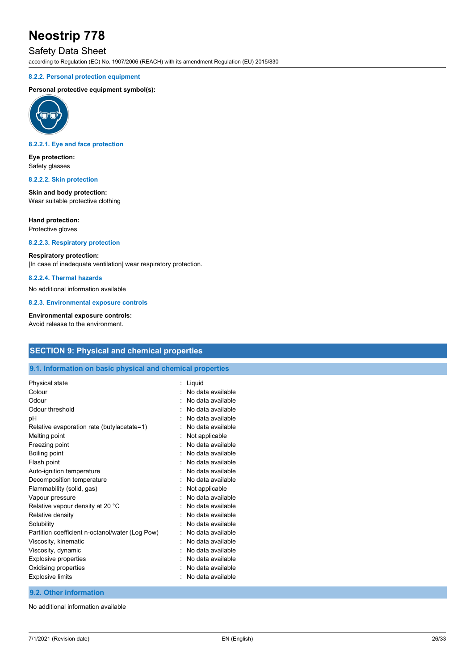### Safety Data Sheet

according to Regulation (EC) No. 1907/2006 (REACH) with its amendment Regulation (EU) 2015/830

#### **8.2.2. Personal protection equipment**

#### **Personal protective equipment symbol(s):**



#### **8.2.2.1. Eye and face protection**

**Eye protection:** Safety glasses

#### **8.2.2.2. Skin protection**

**Skin and body protection:** Wear suitable protective clothing

#### **Hand protection:**

Protective gloves

#### **8.2.2.3. Respiratory protection**

#### **Respiratory protection:**

[In case of inadequate ventilation] wear respiratory protection.

#### **8.2.2.4. Thermal hazards**

No additional information available

**8.2.3. Environmental exposure controls**

#### **Environmental exposure controls:**

Avoid release to the environment.

### **SECTION 9: Physical and chemical properties**

#### **9.1. Information on basic physical and chemical properties**

| Physical state                                  | Liquid            |
|-------------------------------------------------|-------------------|
| Colour                                          | No data available |
| Odour                                           | No data available |
| Odour threshold                                 | No data available |
| рH                                              | No data available |
| Relative evaporation rate (butylacetate=1)      | No data available |
| Melting point                                   | Not applicable    |
| Freezing point                                  | No data available |
| Boiling point                                   | No data available |
| Flash point                                     | No data available |
| Auto-ignition temperature                       | No data available |
| Decomposition temperature                       | No data available |
| Flammability (solid, gas)                       | Not applicable    |
| Vapour pressure                                 | No data available |
| Relative vapour density at 20 °C                | No data available |
| Relative density                                | No data available |
| Solubility                                      | No data available |
| Partition coefficient n-octanol/water (Log Pow) | No data available |
| Viscosity, kinematic                            | No data available |
| Viscosity, dynamic                              | No data available |
| Explosive properties                            | No data available |
| Oxidising properties                            | No data available |
| <b>Explosive limits</b>                         | No data available |

#### **9.2. Other information**

No additional information available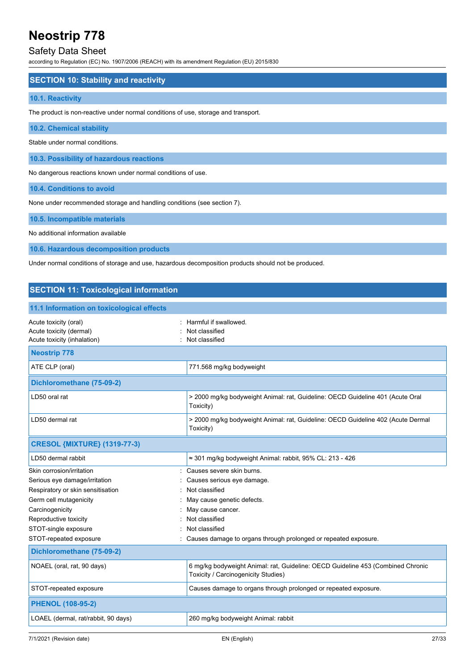### Safety Data Sheet

according to Regulation (EC) No. 1907/2006 (REACH) with its amendment Regulation (EU) 2015/830

#### **SECTION 10: Stability and reactivity**

#### **10.1. Reactivity**

The product is non-reactive under normal conditions of use, storage and transport.

#### **10.2. Chemical stability**

Stable under normal conditions.

**10.3. Possibility of hazardous reactions**

No dangerous reactions known under normal conditions of use.

**10.4. Conditions to avoid**

None under recommended storage and handling conditions (see section 7).

#### **10.5. Incompatible materials**

No additional information available

**10.6. Hazardous decomposition products**

Under normal conditions of storage and use, hazardous decomposition products should not be produced.

| <b>SECTION 11: Toxicological information</b>                                    |                                                                                                                        |  |
|---------------------------------------------------------------------------------|------------------------------------------------------------------------------------------------------------------------|--|
| 11.1 Information on toxicological effects                                       |                                                                                                                        |  |
| Acute toxicity (oral)<br>Acute toxicity (dermal)<br>Acute toxicity (inhalation) | Harmful if swallowed.<br>Not classified<br>Not classified                                                              |  |
| <b>Neostrip 778</b>                                                             |                                                                                                                        |  |
| ATE CLP (oral)                                                                  | 771.568 mg/kg bodyweight                                                                                               |  |
| Dichloromethane (75-09-2)                                                       |                                                                                                                        |  |
| LD50 oral rat                                                                   | > 2000 mg/kg bodyweight Animal: rat, Guideline: OECD Guideline 401 (Acute Oral<br>Toxicity)                            |  |
| LD50 dermal rat                                                                 | > 2000 mg/kg bodyweight Animal: rat, Guideline: OECD Guideline 402 (Acute Dermal<br>Toxicity)                          |  |
| <b>CRESOL {MIXTURE} (1319-77-3)</b>                                             |                                                                                                                        |  |
| LD50 dermal rabbit                                                              | $\approx$ 301 mg/kg bodyweight Animal: rabbit, 95% CL: 213 - 426                                                       |  |
| Skin corrosion/irritation                                                       | Causes severe skin burns.                                                                                              |  |
| Serious eye damage/irritation                                                   | Causes serious eye damage.                                                                                             |  |
| Respiratory or skin sensitisation                                               | Not classified                                                                                                         |  |
| Germ cell mutagenicity                                                          | May cause genetic defects.                                                                                             |  |
| Carcinogenicity                                                                 | May cause cancer.                                                                                                      |  |
| Reproductive toxicity                                                           | Not classified                                                                                                         |  |
| STOT-single exposure                                                            | Not classified                                                                                                         |  |
| STOT-repeated exposure                                                          | Causes damage to organs through prolonged or repeated exposure.                                                        |  |
| Dichloromethane (75-09-2)                                                       |                                                                                                                        |  |
| NOAEL (oral, rat, 90 days)                                                      | 6 mg/kg bodyweight Animal: rat, Guideline: OECD Guideline 453 (Combined Chronic<br>Toxicity / Carcinogenicity Studies) |  |
| STOT-repeated exposure                                                          | Causes damage to organs through prolonged or repeated exposure.                                                        |  |
| <b>PHENOL (108-95-2)</b>                                                        |                                                                                                                        |  |
| LOAEL (dermal, rat/rabbit, 90 days)                                             | 260 mg/kg bodyweight Animal: rabbit                                                                                    |  |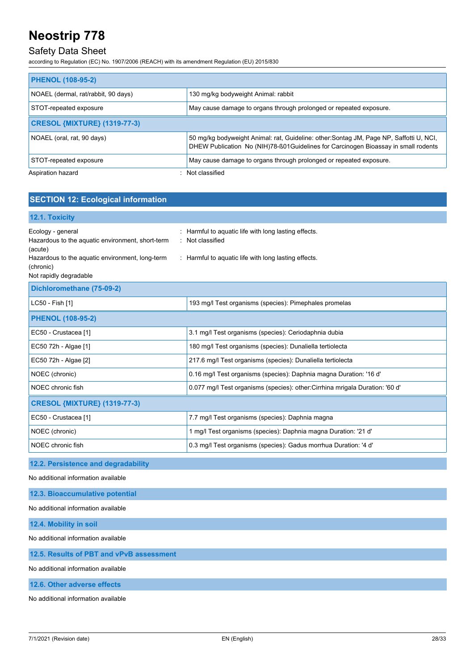### Safety Data Sheet

according to Regulation (EC) No. 1907/2006 (REACH) with its amendment Regulation (EU) 2015/830

| <b>PHENOL (108-95-2)</b>            |                                                                                                                                                                               |
|-------------------------------------|-------------------------------------------------------------------------------------------------------------------------------------------------------------------------------|
| NOAEL (dermal, rat/rabbit, 90 days) | 130 mg/kg bodyweight Animal: rabbit                                                                                                                                           |
| STOT-repeated exposure              | May cause damage to organs through prolonged or repeated exposure.                                                                                                            |
| <b>CRESOL {MIXTURE} (1319-77-3)</b> |                                                                                                                                                                               |
| NOAEL (oral, rat, 90 days)          | 50 mg/kg bodyweight Animal: rat, Guideline: other: Sontag JM, Page NP, Saffotti U, NCI,<br>DHEW Publication No (NIH)78-ß01Guidelines for Carcinogen Bioassay in small rodents |
| STOT-repeated exposure              | May cause damage to organs through prolonged or repeated exposure.                                                                                                            |
| Aspiration hazard                   | : Not classified                                                                                                                                                              |

### **SECTION 12: Ecological information**

#### **12.1. Toxicity**

| Ecology - general<br>Hazardous to the aquatic environment, short-term<br>(acute)<br>Hazardous to the aquatic environment, long-term<br>(chronic)<br>Not rapidly degradable | Harmful to aquatic life with long lasting effects.<br>: Not classified<br>: Harmful to aquatic life with long lasting effects. |  |
|----------------------------------------------------------------------------------------------------------------------------------------------------------------------------|--------------------------------------------------------------------------------------------------------------------------------|--|
| Dichloromethane (75-09-2)                                                                                                                                                  |                                                                                                                                |  |
| LC50 - Fish [1]                                                                                                                                                            | 193 mg/l Test organisms (species): Pimephales promelas                                                                         |  |
| <b>PHENOL (108-95-2)</b>                                                                                                                                                   |                                                                                                                                |  |
| EC50 - Crustacea [1]                                                                                                                                                       | 3.1 mg/l Test organisms (species): Ceriodaphnia dubia                                                                          |  |
| EC50 72h - Algae [1]                                                                                                                                                       | 180 mg/l Test organisms (species): Dunaliella tertiolecta                                                                      |  |
| EC50 72h - Algae [2]                                                                                                                                                       | 217.6 mg/l Test organisms (species): Dunaliella tertiolecta                                                                    |  |
| NOEC (chronic)                                                                                                                                                             | 0.16 mg/l Test organisms (species): Daphnia magna Duration: '16 d'                                                             |  |
| NOEC chronic fish                                                                                                                                                          | 0.077 mg/l Test organisms (species): other: Cirrhina mrigala Duration: '60 d'                                                  |  |
| <b>CRESOL {MIXTURE} (1319-77-3)</b>                                                                                                                                        |                                                                                                                                |  |
| EC50 - Crustacea [1]                                                                                                                                                       | 7.7 mg/l Test organisms (species): Daphnia magna                                                                               |  |
| NOEC (chronic)                                                                                                                                                             | 1 mg/l Test organisms (species): Daphnia magna Duration: '21 d'                                                                |  |
| NOEC chronic fish                                                                                                                                                          | 0.3 mg/l Test organisms (species): Gadus morrhua Duration: '4 d'                                                               |  |
| 12.2. Persistence and degradability                                                                                                                                        |                                                                                                                                |  |
| No additional information available                                                                                                                                        |                                                                                                                                |  |

#### **12.3. Bioaccumulative potential**

No additional information available

**12.4. Mobility in soil**

No additional information available

#### **12.5. Results of PBT and vPvB assessment**

No additional information available

**12.6. Other adverse effects**

No additional information available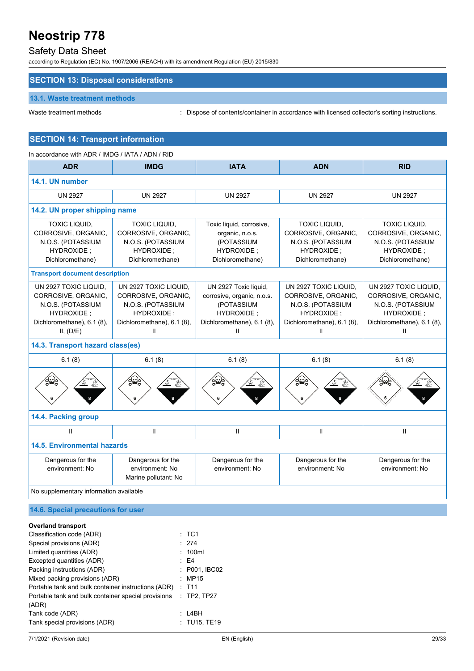### Safety Data Sheet

according to Regulation (EC) No. 1907/2006 (REACH) with its amendment Regulation (EU) 2015/830

### **SECTION 13: Disposal considerations**

#### **13.1. Waste treatment methods**

Waste treatment methods : Dispose of contents/container in accordance with licensed collector's sorting instructions.

### **SECTION 14: Transport information**

| In accordance with ADR / IMDG / IATA / ADN / RID                                                                           |                                                                                                                    |                                                                                                                    |                                                                                                                    |                                                                                                                    |  |
|----------------------------------------------------------------------------------------------------------------------------|--------------------------------------------------------------------------------------------------------------------|--------------------------------------------------------------------------------------------------------------------|--------------------------------------------------------------------------------------------------------------------|--------------------------------------------------------------------------------------------------------------------|--|
| <b>ADR</b>                                                                                                                 | <b>IMDG</b>                                                                                                        | <b>IATA</b>                                                                                                        | <b>ADN</b>                                                                                                         | <b>RID</b>                                                                                                         |  |
| 14.1. UN number                                                                                                            |                                                                                                                    |                                                                                                                    |                                                                                                                    |                                                                                                                    |  |
| <b>UN 2927</b>                                                                                                             | <b>UN 2927</b>                                                                                                     | <b>UN 2927</b>                                                                                                     | <b>UN 2927</b>                                                                                                     | <b>UN 2927</b>                                                                                                     |  |
| 14.2. UN proper shipping name                                                                                              |                                                                                                                    |                                                                                                                    |                                                                                                                    |                                                                                                                    |  |
| TOXIC LIQUID,<br>CORROSIVE, ORGANIC,<br>N.O.S. (POTASSIUM<br>HYDROXIDE:<br>Dichloromethane)                                | TOXIC LIQUID,<br>CORROSIVE, ORGANIC,<br>N.O.S. (POTASSIUM<br>HYDROXIDE;<br>Dichloromethane)                        | Toxic liquid, corrosive,<br>organic, n.o.s.<br>(POTASSIUM<br>HYDROXIDE:<br>Dichloromethane)                        | <b>TOXIC LIQUID,</b><br>CORROSIVE, ORGANIC,<br>N.O.S. (POTASSIUM<br>HYDROXIDE:<br>Dichloromethane)                 | TOXIC LIQUID,<br>CORROSIVE, ORGANIC,<br>N.O.S. (POTASSIUM<br>HYDROXIDE;<br>Dichloromethane)                        |  |
|                                                                                                                            | <b>Transport document description</b>                                                                              |                                                                                                                    |                                                                                                                    |                                                                                                                    |  |
| UN 2927 TOXIC LIQUID.<br>CORROSIVE, ORGANIC,<br>N.O.S. (POTASSIUM<br>HYDROXIDE:<br>Dichloromethane), 6.1 (8),<br>II, (D/E) | UN 2927 TOXIC LIQUID.<br>CORROSIVE, ORGANIC,<br>N.O.S. (POTASSIUM<br>HYDROXIDE;<br>Dichloromethane), 6.1 (8),<br>Ш | UN 2927 Toxic liquid,<br>corrosive, organic, n.o.s.<br>(POTASSIUM<br>HYDROXIDE;<br>Dichloromethane), 6.1 (8),<br>Ш | UN 2927 TOXIC LIQUID.<br>CORROSIVE, ORGANIC,<br>N.O.S. (POTASSIUM<br>HYDROXIDE;<br>Dichloromethane), 6.1 (8),<br>Ш | UN 2927 TOXIC LIQUID.<br>CORROSIVE, ORGANIC,<br>N.O.S. (POTASSIUM<br>HYDROXIDE;<br>Dichloromethane), 6.1 (8),<br>Ш |  |
| 14.3. Transport hazard class(es)                                                                                           |                                                                                                                    |                                                                                                                    |                                                                                                                    |                                                                                                                    |  |
| 6.1(8)                                                                                                                     | 6.1(8)                                                                                                             | 6.1(8)                                                                                                             | 6.1(8)                                                                                                             | 6.1(8)                                                                                                             |  |
|                                                                                                                            |                                                                                                                    |                                                                                                                    |                                                                                                                    |                                                                                                                    |  |
| 14.4. Packing group                                                                                                        |                                                                                                                    |                                                                                                                    |                                                                                                                    |                                                                                                                    |  |
| $\mathbf{H}$                                                                                                               | $\mathbf{H}$                                                                                                       | $\mathbf{II}$                                                                                                      | $\mathbf{H}$                                                                                                       | $\mathbf{H}$                                                                                                       |  |
| <b>14.5. Environmental hazards</b>                                                                                         |                                                                                                                    |                                                                                                                    |                                                                                                                    |                                                                                                                    |  |
| Dangerous for the<br>environment: No                                                                                       | Dangerous for the<br>environment: No<br>Marine pollutant: No                                                       | Dangerous for the<br>environment: No                                                                               | Dangerous for the<br>environment: No                                                                               | Dangerous for the<br>environment: No                                                                               |  |
| No supplementary information available                                                                                     |                                                                                                                    |                                                                                                                    |                                                                                                                    |                                                                                                                    |  |
| 14.6. Special precautions for user                                                                                         |                                                                                                                    |                                                                                                                    |                                                                                                                    |                                                                                                                    |  |

| Classification code (ADR)                           | $:$ TC1        |
|-----------------------------------------------------|----------------|
| Special provisions (ADR)                            | : 274          |
| Limited quantities (ADR)                            | : 100ml        |
| Excepted quantities (ADR)                           | E4             |
| Packing instructions (ADR)                          | : P001, IBC02  |
| Mixed packing provisions (ADR)                      | : MP15         |
| Portable tank and bulk container instructions (ADR) | $:$ T11        |
| Portable tank and bulk container special provisions | $:$ TP2, TP27  |
| (ADR)                                               |                |
| Tank code (ADR)                                     | $\cdot$ 14BH   |
| Tank special provisions (ADR)                       | $:$ TU15, TE19 |
|                                                     |                |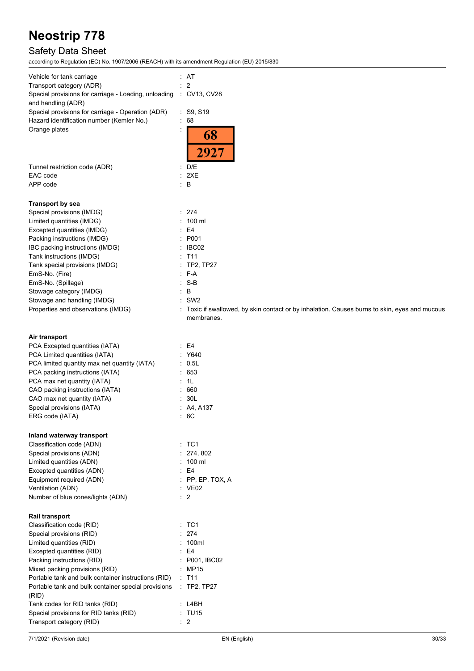## Safety Data Sheet

| Vehicle for tank carriage                                                               | : AT                                                                                                        |
|-----------------------------------------------------------------------------------------|-------------------------------------------------------------------------------------------------------------|
| Transport category (ADR)                                                                | $\therefore$ 2                                                                                              |
| Special provisions for carriage - Loading, unloading : CV13, CV28<br>and handling (ADR) |                                                                                                             |
| Special provisions for carriage - Operation (ADR)                                       | : S9, S19                                                                                                   |
| Hazard identification number (Kemler No.)                                               | : 68                                                                                                        |
| Orange plates                                                                           | 68                                                                                                          |
|                                                                                         |                                                                                                             |
|                                                                                         | 2927                                                                                                        |
| Tunnel restriction code (ADR)                                                           | : D/E                                                                                                       |
| EAC code                                                                                | : 2XE                                                                                                       |
| APP code                                                                                | $\therefore$ B                                                                                              |
|                                                                                         |                                                                                                             |
| <b>Transport by sea</b><br>Special provisions (IMDG)                                    | : 274                                                                                                       |
| Limited quantities (IMDG)                                                               | $: 100$ ml                                                                                                  |
| Excepted quantities (IMDG)                                                              | E4<br>÷.                                                                                                    |
| Packing instructions (IMDG)                                                             | : P001                                                                                                      |
| IBC packing instructions (IMDG)                                                         | : IBCO2                                                                                                     |
| Tank instructions (IMDG)                                                                | $:$ T11                                                                                                     |
| Tank special provisions (IMDG)                                                          | : TP2, TP27                                                                                                 |
| EmS-No. (Fire)                                                                          | : F-A                                                                                                       |
| EmS-No. (Spillage)                                                                      | $: S-B$                                                                                                     |
| Stowage category (IMDG)                                                                 | B<br>÷.                                                                                                     |
| Stowage and handling (IMDG)                                                             | $:$ SW2                                                                                                     |
| Properties and observations (IMDG)                                                      | : Toxic if swallowed, by skin contact or by inhalation. Causes burns to skin, eyes and mucous<br>membranes. |
|                                                                                         |                                                                                                             |
| Air transport                                                                           |                                                                                                             |
| PCA Excepted quantities (IATA)                                                          | E4                                                                                                          |
| PCA Limited quantities (IATA)                                                           | : Y640                                                                                                      |
| PCA limited quantity max net quantity (IATA)                                            | $\therefore$ 0.5L                                                                                           |
| PCA packing instructions (IATA)                                                         | : 653                                                                                                       |
| PCA max net quantity (IATA)                                                             | : 1L                                                                                                        |
| CAO packing instructions (IATA)                                                         | 660                                                                                                         |
| CAO max net quantity (IATA)                                                             | : 30L                                                                                                       |
| Special provisions (IATA)                                                               | : A4, A137                                                                                                  |
| ERG code (IATA)                                                                         | :6C                                                                                                         |
| Inland waterway transport                                                               |                                                                                                             |
| Classification code (ADN)                                                               | :TC1                                                                                                        |
| Special provisions (ADN)                                                                | : 274, 802                                                                                                  |
| Limited quantities (ADN)                                                                | 100 ml                                                                                                      |
| Excepted quantities (ADN)                                                               | E4                                                                                                          |
| Equipment required (ADN)                                                                | $:$ PP, EP, TOX, A                                                                                          |
| Ventilation (ADN)                                                                       | $\therefore$ VE02                                                                                           |
| Number of blue cones/lights (ADN)                                                       | $\therefore$ 2                                                                                              |
| <b>Rail transport</b>                                                                   |                                                                                                             |
| Classification code (RID)                                                               | $:$ TC1                                                                                                     |
| Special provisions (RID)                                                                | 274                                                                                                         |
| Limited quantities (RID)                                                                | 100ml                                                                                                       |
| Excepted quantities (RID)                                                               | E4                                                                                                          |
| Packing instructions (RID)                                                              | P001, IBC02                                                                                                 |
| Mixed packing provisions (RID)                                                          | : MP15                                                                                                      |
| Portable tank and bulk container instructions (RID)                                     | $\therefore$ T11                                                                                            |
| Portable tank and bulk container special provisions                                     | : TP2, TP27                                                                                                 |
| (RID)                                                                                   |                                                                                                             |
| Tank codes for RID tanks (RID)                                                          | : L4BH                                                                                                      |
| Special provisions for RID tanks (RID)<br>Transport category (RID)                      | : TU15<br>$\therefore$ 2                                                                                    |
|                                                                                         |                                                                                                             |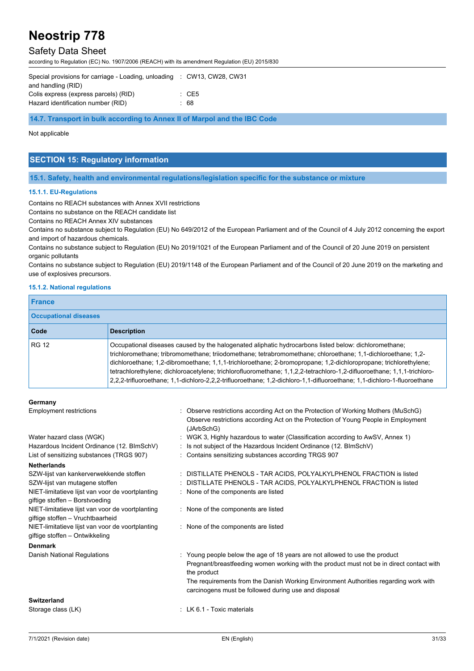### Safety Data Sheet

according to Regulation (EC) No. 1907/2006 (REACH) with its amendment Regulation (EU) 2015/830

| Special provisions for carriage - Loading, unloading : CW13, CW28, CW31 |                  |
|-------------------------------------------------------------------------|------------------|
| and handling (RID)                                                      |                  |
| Colis express (express parcels) (RID)                                   | $\therefore$ CE5 |
| Hazard identification number (RID)                                      | : 68             |
|                                                                         |                  |

**14.7. Transport in bulk according to Annex II of Marpol and the IBC Code**

#### Not applicable

### **SECTION 15: Regulatory information**

**15.1. Safety, health and environmental regulations/legislation specific for the substance or mixture**

#### **15.1.1. EU-Regulations**

Contains no REACH substances with Annex XVII restrictions

Contains no substance on the REACH candidate list

Contains no REACH Annex XIV substances

Contains no substance subject to Regulation (EU) No 649/2012 of the European Parliament and of the Council of 4 July 2012 concerning the export and import of hazardous chemicals.

Contains no substance subject to Regulation (EU) No 2019/1021 of the European Parliament and of the Council of 20 June 2019 on persistent organic pollutants

Contains no substance subject to Regulation (EU) 2019/1148 of the European Parliament and of the Council of 20 June 2019 on the marketing and use of explosives precursors.

#### **15.1.2. National regulations**

| <b>France</b>                |                                                                                                                                                                                                                                                                                                                                                                                                                                                                                                                                                                                                 |  |
|------------------------------|-------------------------------------------------------------------------------------------------------------------------------------------------------------------------------------------------------------------------------------------------------------------------------------------------------------------------------------------------------------------------------------------------------------------------------------------------------------------------------------------------------------------------------------------------------------------------------------------------|--|
| <b>Occupational diseases</b> |                                                                                                                                                                                                                                                                                                                                                                                                                                                                                                                                                                                                 |  |
| <b>Code</b>                  | <b>Description</b>                                                                                                                                                                                                                                                                                                                                                                                                                                                                                                                                                                              |  |
| RG 12                        | Occupational diseases caused by the halogenated aliphatic hydrocarbons listed below: dichloromethane;<br>trichloromethane; tribromomethane; triiodomethane; tetrabromomethane; chloroethane; 1,1-dichloroethane; 1,2-<br>dichloroethane; 1,2-dibromoethane; 1,1,1-trichloroethane; 2-bromopropane; 1,2-dichloropropane; trichlorethylene;<br>tetrachlorethylene; dichloroacetylene; trichlorofluoromethane; 1,1,2,2-tetrachloro-1,2-difluoroethane; 1,1,1-trichloro-<br>2.2.2-trifluoroethane; 1.1-dichloro-2.2.2-trifluoroethane; 1.2-dichloro-1.1-difluoroethane; 1.1-dichloro-1-fluoroethane |  |

#### **Germany**

| OUTHAITY                                                                             |                                                                                                                                                                                                                                                                                                                                        |
|--------------------------------------------------------------------------------------|----------------------------------------------------------------------------------------------------------------------------------------------------------------------------------------------------------------------------------------------------------------------------------------------------------------------------------------|
| <b>Employment restrictions</b>                                                       | : Observe restrictions according Act on the Protection of Working Mothers (MuSchG)<br>Observe restrictions according Act on the Protection of Young People in Employment<br>(JArbSchG)                                                                                                                                                 |
| Water hazard class (WGK)                                                             | : WGK 3, Highly hazardous to water (Classification according to AwSV, Annex 1)                                                                                                                                                                                                                                                         |
| Hazardous Incident Ordinance (12. BImSchV)                                           | : Is not subject of the Hazardous Incident Ordinance (12. BImSchV)                                                                                                                                                                                                                                                                     |
| List of sensitizing substances (TRGS 907)                                            | : Contains sensitizing substances according TRGS 907                                                                                                                                                                                                                                                                                   |
| <b>Netherlands</b>                                                                   |                                                                                                                                                                                                                                                                                                                                        |
| SZW-lijst van kankerverwekkende stoffen<br>SZW-lijst van mutagene stoffen            | : DISTILLATE PHENOLS - TAR ACIDS, POLYALKYLPHENOL FRACTION is listed<br>DISTILLATE PHENOLS - TAR ACIDS, POLYALKYLPHENOL FRACTION is listed                                                                                                                                                                                             |
| NIET-limitatieve lijst van voor de voortplanting<br>giftige stoffen - Borstvoeding   | : None of the components are listed                                                                                                                                                                                                                                                                                                    |
| NIET-limitatieve lijst van voor de voortplanting<br>giftige stoffen - Vruchtbaarheid | : None of the components are listed                                                                                                                                                                                                                                                                                                    |
| NIET-limitatieve lijst van voor de voortplanting<br>giftige stoffen - Ontwikkeling   | : None of the components are listed                                                                                                                                                                                                                                                                                                    |
| <b>Denmark</b>                                                                       |                                                                                                                                                                                                                                                                                                                                        |
| Danish National Regulations                                                          | : Young people below the age of 18 years are not allowed to use the product<br>Pregnant/breastfeeding women working with the product must not be in direct contact with<br>the product<br>The requirements from the Danish Working Environment Authorities regarding work with<br>carcinogens must be followed during use and disposal |
| Switzerland                                                                          |                                                                                                                                                                                                                                                                                                                                        |
| Storage class (LK)                                                                   | : LK 6.1 - Toxic materials                                                                                                                                                                                                                                                                                                             |
|                                                                                      |                                                                                                                                                                                                                                                                                                                                        |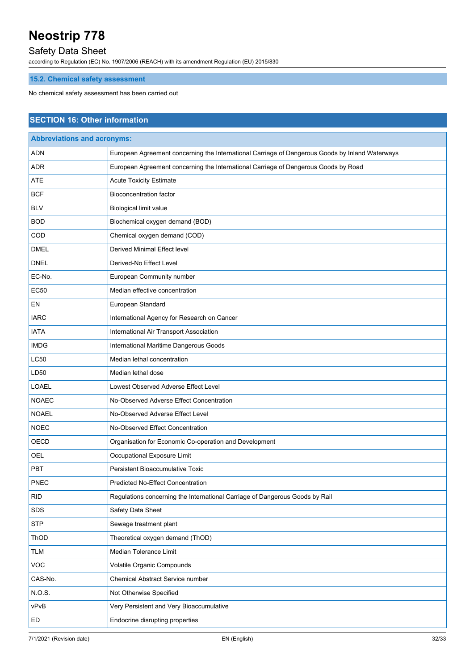### Safety Data Sheet

according to Regulation (EC) No. 1907/2006 (REACH) with its amendment Regulation (EU) 2015/830

### **15.2. Chemical safety assessment**

No chemical safety assessment has been carried out

### **SECTION 16: Other information**

| <b>Abbreviations and acronyms:</b> |                                                                                                 |  |
|------------------------------------|-------------------------------------------------------------------------------------------------|--|
| <b>ADN</b>                         | European Agreement concerning the International Carriage of Dangerous Goods by Inland Waterways |  |
| <b>ADR</b>                         | European Agreement concerning the International Carriage of Dangerous Goods by Road             |  |
| <b>ATE</b>                         | <b>Acute Toxicity Estimate</b>                                                                  |  |
| <b>BCF</b>                         | <b>Bioconcentration factor</b>                                                                  |  |
| <b>BLV</b>                         | <b>Biological limit value</b>                                                                   |  |
| <b>BOD</b>                         | Biochemical oxygen demand (BOD)                                                                 |  |
| COD                                | Chemical oxygen demand (COD)                                                                    |  |
| <b>DMEL</b>                        | Derived Minimal Effect level                                                                    |  |
| <b>DNEL</b>                        | Derived-No Effect Level                                                                         |  |
| EC-No.                             | European Community number                                                                       |  |
| <b>EC50</b>                        | Median effective concentration                                                                  |  |
| EN                                 | European Standard                                                                               |  |
| <b>IARC</b>                        | International Agency for Research on Cancer                                                     |  |
| <b>IATA</b>                        | International Air Transport Association                                                         |  |
| <b>IMDG</b>                        | International Maritime Dangerous Goods                                                          |  |
| <b>LC50</b>                        | Median lethal concentration                                                                     |  |
| LD50                               | Median lethal dose                                                                              |  |
| <b>LOAEL</b>                       | Lowest Observed Adverse Effect Level                                                            |  |
| <b>NOAEC</b>                       | No-Observed Adverse Effect Concentration                                                        |  |
| <b>NOAEL</b>                       | No-Observed Adverse Effect Level                                                                |  |
| <b>NOEC</b>                        | No-Observed Effect Concentration                                                                |  |
| OECD                               | Organisation for Economic Co-operation and Development                                          |  |
| <b>OEL</b>                         | Occupational Exposure Limit                                                                     |  |
| <b>PBT</b>                         | Persistent Bioaccumulative Toxic                                                                |  |
| <b>PNEC</b>                        | Predicted No-Effect Concentration                                                               |  |
| <b>RID</b>                         | Regulations concerning the International Carriage of Dangerous Goods by Rail                    |  |
| SDS                                | Safety Data Sheet                                                                               |  |
| <b>STP</b>                         | Sewage treatment plant                                                                          |  |
| ThOD                               | Theoretical oxygen demand (ThOD)                                                                |  |
| TLM                                | Median Tolerance Limit                                                                          |  |
| VOC                                | Volatile Organic Compounds                                                                      |  |
| CAS-No.                            | Chemical Abstract Service number                                                                |  |
| N.O.S.                             | Not Otherwise Specified                                                                         |  |
| vPvB                               | Very Persistent and Very Bioaccumulative                                                        |  |
| ED                                 | Endocrine disrupting properties                                                                 |  |
|                                    |                                                                                                 |  |